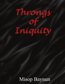# Throngs Iniquity

Misop Baynun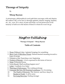# **Throngs of Iniquity**

By

#### **Misop Baynun**

A picturesque, philosophical word path that converges with and depicts the author's life, as he sees it, through agitated, dismal, longing, hopeful, etc., etc., eyes. It's a story of pain and hope, as God perseveres in his tenacity to hold on to the hearts of those to whom he won't let go.

# MagPro Publishing

**"Throngs of Iniquity" - Misop Baynun** 

#### **Table of Contents**

- 1. Shape Without Color: Agitated longings for something
- 2. Blow Cool, O Merciless Winds: Dissent-hearted moaning towards a hope of escape
- 3. Prelude to Life: Expecting a new beginning
- 4. Pockets of Eternity: A love expressed in the terms of forever
- 5. Nnne: Exhausted terms
- 6. Loves Result: Shall anything happen now?
- 7. Letter: A pathetic love letter
- 8. Thawing of Deliverance: The waiting prolongs
- 9. Consume Me Not, Oh Wretched Loneliness: Cry for joining
- 10. The Depth of Moments: The Answer, and how deep it is
- 11. Burden of Truth: A call to arms
- 12. For Long Have Jets: Feeling stronger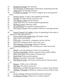- 13. Hardened Hostage: Not anymore
- 14. The Pleadings of Obstruction: Distractions, detracting from life
- 15. Lifeless Jest: An attempt at humor
- 16. To Help is to Hinder: Two forces wrapped up in one agonized body
- 17. Abstract Justice: A plea to the potential serial killer
- 18. The Bell: The bell will toll, and toll it will
- 19. Two Shades of Blue: Racial tensions
- 20. Loud: Brief story of a loud mouthed acquaintance
- 21. Snarling Leisure: Sneering youth
- 22. No one Knows: In response to being picked on
- 23. The Union of Strife: Some problems with love, marriage and the such
- 24. Hands Clasped Too Tightly: In lieu of submitting to the rules of oppression that oppressed me
- 25. Gore to Meet with Angels' Feet: The bride's stride
- 26. Toys: Toys over eternity
- 27. Every Day: Consistency, compassion, peace and fear
- 28. Lust: The waiting has been, and is now over
- 29. The Weakness of Guessing: Supposed distrust
- 30. Cornered Belligerence: The running away when faced with truth?
- 31. Morals: A strong statement of one's own weakness
- 32. Coyest of Infirmities: Idolatry exposed while equally hidden
- 33. Better Than Back: The results of Vitamin God
- 34. Royal Pond: Some pond metaphor
- 35. Morons: A problem with some "Christians"
- 36. Fate Hath No Folly: God knows just the time to trip the enemy

up

- 37. Balance: A little work, a little play
- 38. One Man: The effects of just one
- 39. Redundancy of Will: Strength turned to weakness from idolatry
- 40. "Stifling," I Thought: Waiting for someone to tear off their mask and say, ...
- 41. Levity of Being: Spiritual truth before false merriment
- 42. In Absence of Honor: What is love without respect?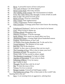- 43. River: A powerful source of force and power
- 44. The Lusts of Pieces: Can all be happy?
- 45. Street Corner Kids: Heavenly streams
- 46. The Validity of the Unseen: The measurement of whales
- 47. Foray My Child, Betray this Thought: A form of hell on earth
- 48. Bore to Salt: The grind towards good
- 49. Barter of Fools: Trust for commodity
- 50. Holy Veneer: Fake righteousness
- 51. Volley of Ignorance: Surface judgments
- 52. Pink Grenades: A strange poem that I don't know the meaning
	- of
- 53. Enlightened Darkness?: And so try too hard to be honest
- 54. Gray: When trying to define sin
- 55. Pointless Ritual: Struggling a bit
- 56. Majestic Overtones: A divine message
- 57. Seedy Whites: How much our deeds affect our lives
- 58. Abandoned Wants: A losing High School basketball season
- 59. Position: Manifestations of one's self
- 60. As Death's Pure Justice Breathes Life: To die and to live
- 61. Vacant Intimacy: The distance of our souls
- 62. Red War: War in the shadows
- 63. Lament: As they stare at dreams that cost too much
- 64. The Courtship of Fear: Who is fear to tame your love?
- 65. Decisions of Fools: The question of war
- 66. Weary Lifts: To lose myself in others' plight
- 67. The Question Considered: To help is to help
- 68. Agonies of Discontent: To not swim in them
- 69. Softening of Blows: A cry for mercy
- 70. Sin: Unable to deal
- 71. Thought: Should they only be of one?
- 72. Shy: To skirt the issue of love
- 73. Torture: For love is eternal
- 74. Benign Contrite: Unresolved half-happy smiles
- 75. The Endeavors of Pain: Why is there pain in the world? Like bearing fish in the air?
- 76. Save: A cat running from an aggressive, adoring bear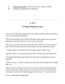- 77. Wants and Desires: Does God not care what we want?
- 78. Children of Derision: In conclusion

## $+ + +$

#### **1) Shape Without Color**

So here I sit, riding on a purple bus. My visions claim no other lust than to ride on this eternal purple bus.

Who'll wait another stop for this, and throw their chains over your loud babbling mouth and convince you to derail with me?

But I can't. I haven't. I'm worse than the same. There is no cast to play its part. I lift their arms and throw their hearts into the shameless winds...

...which I detest, but under their cool breeze, that's where I rest.

I lie there alone. No one can touch me there. No one can even come near.

You laugh and talk and get along. You sit inside an empty bong, alone together.

Oh boy, oh boy – if only I could get so far away from myself and be happy like you.

There's only one thing worse than not knowing what's going to happen, what the outcome will be when you've made your move; and that's: not knowing if you have the balls enough to even make it – the move that is.

I saw a multicolored jungle gym.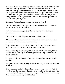Your mind drools like a mad dog for truth, doesn't it? If it doesn't, you may want it to someday. Your hands shake when she walks up to you. You smile like a goofy baboon and watch as she patronizes you one more time. Oh, but you're too smart. You've figured it out and got hard. Wear shades and lift weights till you look deformed. That's it. That's how to get 'em eating out of the palm of your hand. Now yell at her. For no good reason, just yell. Now you've got her.

If you're so freuqing happy, why do you seem so phony?

What is it with you? Why do you all taste like ice? I think I'd rather taste like two week-old fish than like ice.

And why am I mad that you taste like ice? It's not my problem or it shouldn't be.

Well maybe it should. Why not, you're in my freuqing world?

What do you think the world owes you: at least a blow job now and then – or if you're of the other sex, a good plowing?

Do you think you deserve to be worshipped, do you think you deserve to be killed; or do you go back and forth between the two?

Would you really let that arrogant bum-crevasse taste your tits right after he slaps the crap out of you? Why not, you can't get any better anyway? You're worthless.

No you're not. I'm just kidding. You're worth more than you can possibly imagine.

Freuq that; that sounds too corny. You're a snot in a piss bowl that needs to be flushed.

Okay, you're not again; but I don't know what you are – do you? Well, if you don't, maybe you should figure it out so we all won't have to deal with your ungrateful freuqing attitude and be crying all the time about what you deserve from this stinking world like I do.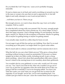Do you think like I do? I hope not, `cause you're probably freuqing miserable.

It's just so damn easy to sit back and watch everything rot around you; but to the man or woman who sees that rot and is oppressed by it, but still fights it and really attempts to cure it and not just label it...

...well there you have it. There you go.

But enough answers, we want to hear about the crap. God, we'd rather complain. Well so could I.

So what the hell is wrong with your parents? Oh, I'm sorry, enough people have complained about how lousy parents are. It's a tired subject. In fact I don't feel angry anymore. I feel a strange feeling. It's not boredom, but then again, maybe it is. Maybe it's the acceptance of boredom. Maybe I'm getting old or maybe I'm getting boring or maybe I'm getting mature.

I can actually enjoy myself at a coffee shop for hours on end.

I'm not eager to get off this bus and go out clubbing. Now that I've re-read everything up to this point, I no longer think I'm a good writer either.

But it's much safer to criticize yourself than wait for someone else to do it.

What the hell do you care what I think anyway? Who gives a freuq about anything (without trying to sound too pessimistic)? Everyone's so damn tangled up in their own little worlds, including myself, to give a freuq about anything – about God, about their grandmothers (like mine whom I haven't visited in the nursing home in two months), about their girlfriends.

You wouldn't die for your girlfriend, or your wife, would you? Of course you say, "Yes," but if you'd die for her, then why wouldn't you go out of your way to pick her up cigarettes when she needs them (even if they are going to kill her eventually)? You're too freuqing selfish. You don't care what she wants; you want what you can get from her in return for the cigarettes. If you bought `em for her, you'd want something back. You couldn't just give them to her just `cause she wanted them and not expect a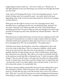single thing in return could you – not even a smile, or a "Thank you," or that little glimmer in her eyes that keeps you around even though she treats you like crap?

Yeah, and you'd freuqing die for her. You're too freuqing insecure. You're afraid of being used. Let yourself be used – not really used in the most degrading sense of the word, but more like leaned on. Don't be so freuqing worried about it.

What gives me the right to swear at you? I'm a freuqing moron. But I shouldn't have to apologize for the way I'm thinking today, should I? It's my mind. I hate the way I think and talk and write. I don't think there's anything special here. I'm just writing so some psychologist can read it and see that I'm freuqed up and come and label my mental disorders – then I'll be happy.

What the freuq are these black bum-crevasses always walking around with one hand in one pocket for, as if they're ready to pull a knife any minute with their death stares painted on their ugly faces? Give it a rest, will you? It's so freuqing tired. (PS, I'm not prejudiced – I'll explain later.)

And these poor bums, the homeless, some have nothing left to give and we're too weak to help them. They're overgrown children, whose needs were never met and now they have few to no attractive or redeeming qualities that the average human can see. They're bothersome, annoying; they themselves are uncaring. They talk to you only to eventually lead up to the ominous words that they're doomed to say, "Could you spare a little change?" Sure it's only 80 cents, or 25 cents, but once they say those fateful words, no matter how much they need the change, they've sealed their fate – because the world is too damn tight to give and give freely. It can't do it (it's not just the money, it's emotionally too).

The bum is giving nothing emotionally because he has nothing left to give. He's feeding on a black void for his power. He's selfish and empty and stuck in a world that not only won't die for him, but it won't even smile at him. "Why not," you ask? It's because you receive nothing from this person from being in contact with him. He's a mosquito that's flying around your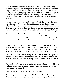head, or other exposed flesh areas, for one reason and one reason only: to get something from you, to con you into giving him something – either by his pitiful appearance or a smooth tongue or by being so annoying that you'd give him anything to get him out of your face. So you throw a quarter at him and speak coldly, `cause if you warm up he might want more – which he probably will. He'll recognize a sorry-hearted sucker when he sees one.

Is it fate or fault, and what exactly is fault? What is the way to be? Are the alcoholics right? They've found something enjoyable and use it to the fullest. Who's wiser: the man who marries and stays with his woman all her days and never strays, or the man who loves and leaves and has no chains on him? He hurts, but it may only make those he hurts stronger. He's more fun. He's free to screw any chick he wants to (if she agrees of course). But the married man, he must be patient. He must stay with the woman he marries. But what if he chose the wrong woman? What if the woman he marries... he later realizes that he married her because he was lonely and he was afraid that he'd always be alone for the rest of his life if he didn't marry her?

I'd swear you have to be stupid in order to fit in. You have to talk about the most earthly, boring things. If I want to talk about the Spirit of God, I'm a freuqing madman; but if I want to talk about the rising tax on a 12 pack, well there's a basis for a conversation. Now we're blood brothers for life.

But I don't want to talk about the Spirit of God either, `cause six-eighths of the time I'm far away from him and would much prefer to talk about the glory of a woman's butt than anything. `Cause at the time, that's where I'm at.

There really are few things as beautiful as a woman's butt, or I should say, a well-fit woman's butt. It's perfect. It's gorgeous. It bounces so prettily, so sumptuously across the floor.

Lust – we'll wait on lust. It's too big to tackle right now.

But marriage, marriage is big – at least it should be. You're becoming one flesh. Why would you become one flesh with the wrong girl? I think it's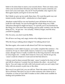better to be alone than to marry your second choice. There are many cases when your second choice becomes your first; but to marry someone you know isn't your soul mate, why do it? You'll probably only regret it, but then again maybe you'll grow to love her first.

But I think we give up too easily these days. We want the quick way out: instant results, instant relief – satisfaction at a hand signal.

Abraham waited till he was one hundred years old before he had a son [with his wife Sarah]. I'm sure he thought the whole thing was a little ridiculous (though he might not have). To wait till you're one hundred for the thing you want more than anything, and he really wanted a son; but the thing of it is... he got one – two actually, I think (I forget, read the story yourself in Genesis).

Oh, I'm sorry, you don't read the Bible.

We all have our long, sad, angry stories why religion turns us off.

Who the freuq is talking about religion? I'm talking about God.

But then again, who wants to talk about God? He's too imposing.

Sometimes I wish I didn't (I pause, can I really complete this sentence – I'm scared to; if I say it, I don't really mean it, I mean in a way it might be easier, though I know it really wouldn't be in the long run) know him (I did it, God, forgive me – I really don't mean it; I love you, but let me go on), `cause I could do whatever I want and not feel bad about it.

I always used to dance around this topic `cause I wanted to be close to God and still do whatever I wanted, but one hinders the other – sin and God that is. You can't enjoy sin fully with God around, and you can't enjoy God fully with sin around, so pick one or the other.

But even if you pick God, you can still sin. That's the nature of the beast. We're all beasts. But don't we love it when someone who claims to be a Christian, or close to God, falls? It makes us feel a little more credible for leading such pointless lives.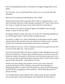We're all freuging hypocrites; we all believe in higher things than we can attain.

No, I'm sorry, we're not all hypocrites; more of us are cowards and selfabsorbed.

But if we're cowards and self-absorbed, why is that?

Thank God I haven't felt accepted by this world or I might be like it – not that I feel better than the world, though sometimes I do. That's when I'm at my worst, or maybe I'm at my worst when I feel I'm worse than it.

But my beer is low and I'm trying to figure out whether I have enough money to spare to buy my third.

It's tiring to think so much. The "Sox" are on the TV. Watching baseball can be a bit boring at times. I don't feel like writing anymore.

I'm lonely, as often I am. I had a brief high of writing these last few pages – which is good. Man should work and work hard in order to stay sane and not have too much time on his hands to feel sorry for himself.

But I'm about to anyway. I feel it coming on; but it can be good for you too, if you do it the right way – like in prayer.

I use God and prayer like I use beer or naked women, though prayers are a bit more productive, to help to deal with the pressure. I lie down and sulk before my maker. He seems to be the only one who doesn't get sick of me. I curl up in my bed in the fetal position and pout and cry and scream in pure agony of this dismal life – and I believe it works.

Oh the wise man changes his position on his vinyl comfy chair and positions his hand as if he's holding a drumstick. He formulates an intriguing jumble of sound waves, choosing very good words but putting them all in the wrong places of the sentence – all to refute the power of prayer, but hey.

I'm a cheap bastard, I just realized. The waitress took my beer and there was an ant's piss worth on the bottom, but I asked for the beer back to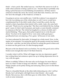finish – what a prick. She smiled anyway. And that's the answer to it all: to smile when someone is being a prick to you – because they're probably only being a prick because of overwhelming circumstances. All they need is someone to brake the circle, the vicious circle that rules America, and very few have the strength, or the whatever, to brake it.

I'm going to eat my corn muffin now. I told the waitress I was amazed at how she was taking care of the whole place so well. I never would have complimented her if she didn't smile when I acted like a prick, but she started a chain of goodness that started with a smile. Later, she came back and said, "Thank you for saying that." She then went behind the bar, feeling good `cause of what I said (I assume), and made a warm friendly comment to someone at the bar. The whole bar laughed in a chorus of relief; and I started thinking, "These guys, that earlier inspired me to write the part about, 'You have to be stupid to fit in,' were some really great guys – goodhearted men out enjoying a 'Sox' game," all because of one smile.

I've been redeemed by that smile. It changed my whole mood. Now, in the matter of ten minutes, I'm seeing the good in the people around me instead of the bad – and they can feel from me that I'm seeing the good in them and in return see the good in me. It's that freuqing simple.

But just as the last dismal circle was broken, I'm sure this good circle will be broken soon enough (but only if I let them break it).

I wonder what it will be. What will trigger me into my depression again? Just writing these last sentences opens me up to letting depression have its way with me again.

Where is stability? Where is the man who can be happy for more than an hour at a time? I'd like to hang out with him – though maybe I wouldn't. Happy people can be pretty boring and annoying when you're in the throes of self-pity.

There is a beautiful blonde at the other table distracting me a bit. I call her blonde, but I call all girls with light brown hair blonde – she's sandy blonde. But anyway, she's with three guys in white shirts. They all must work at some restaurant.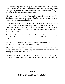She's very sexually attractive, very feminine; but I'm (well I don't know if I should write this) ... in love – have been for three and a half years (with the same girl I might add). It's kind of pathetic `cause we're not even dating, but she feels like the one (more on her later).

Why later? `Cause I'm sick of talking and thinking about her so much. It's time I do something about it instead of burdening you with another long boring story about unquenched love.

I'm listening to the battle of the bad one-liners at the bar. It seems to play all you have to do is yell something stupid and unfunny. Then the person spoken to must let out a phony (or at least it looks phony – it would have to be, it was such a stupid joke) laugh, and say something louder and less interesting in return.

But I shouldn't be so bitter towards them. What do I think ... I'm freuqing above them? (But I still wish they'd shut up – God bless their souls, and God bless mine.)

Freuq you, you bum-crevasse. Well, it's time to leave this Howard Johnson's bar. I don't think I'll be missed if I go.

Why don't I just become like the man at the bar who's been acting out his phony manly mannerisms for so long that they actually seem natural now? It's easy to act like him, and I often do.

The mindless macho bum-crevasse approach, it feels pretty good when you're so drunk that you don't realize what a bum-crevasse you look like.

### $+ + +$

#### **2) Blow Cool, O Merciless Winds**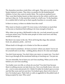The shameless merciless winds blow cold again. They give no mercy to the beaten battered women. They show no pardon for the tenderhearted children. In fact, they seem to prefer them. The weak are pushed lower. They wear their broken hearts on their sleeves for the whole world to see, and see it they do. To the merciless winds it's a bull's eye. To the heartless it's a stuffed doll to hold up for their equally heartless or cowardly mate.

Is there no mercy; is there no shelter from this wind?

Why must we break so easily? Or even worse, to be broken so much that we become so hardened that nothing is let close enough to break us.

Why when you go into a McDonald's in the city, you look around you and everyone seems crazy? Put the same people in some rural town and they would be locked up.

But there's too many in the city. We're all living like dogs, like animals: food, sex, pleasure, pride... survival.

Whose fault is it though; or is it better to live like an animal?

I don't mind it sometimes. At least you know where you stand. You're out for yourself and so are they – nothing phony about it. It's clear and simple.

You don't trust anyone. You don't show any mercy or expect any. You don't have to go through all the emotional bullcrap of reaching out. You just are.

You are miserable, but at least you can't lose anything. When you're at the bottom you can't lose anything.

You loathe your own life, so whom do you fear? You don't fear because there is nothing anyone can take from you. Now you finally know who you are – you're scum and proud of it. I think I'd rather be looked upon as scum and feel like scum and not care how I'm looked upon, than to be in fear of how I'm looked upon. That's hell, to walk on eggshells for the pitiful task of being accepted by man. Who cares?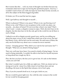But it seems like this: ... well, my train of thought was broken because my roommate asked me to sign our leaving the apartment papers. Anyway, I wouldn't want to bore you with one topic for more than twenty seconds, so off to the subject of the three-legged dog ballet.

Or better yet, I'll re-read the last few pages.

Well, I got halfway and thought to myself: ...

Where is pleasure? Where is my peace? Where is my cup flowing over? Where is my wife? Where is my acceptance in the world, my place, my security... my place of honor? Or not even that, where's my mate? That's what I want – a mate, a shapely woman to enjoy. Well, she don't have to be shapely, but she does have to be the only girl in the world for me (if there is such a thing).

I talked to an old ex-hippie security guard once, and he was telling me about his many wives of old. I asked him which one of his wives, (he had had three), if any, did he feel was his soul mate. He said none of them; the only one he felt that way about was a woman he never married.

Genius – freuqing genius! "Why didn't you wait for her and marry her?" I thought. "What are you afraid of being happy?"

That very well may have been. I'm scared to death of being happy. I'm too used to being miserable. I wouldn't be able to feel bad for myself anymore or brag about how tough my life is.

Plus, the less you have, the less you've got to lose. It's safe on the bottom `cause you can't fall.

But what I wouldn't give for a little sex right now. Well, my desire isn't as strong as it can be `cause I'm a little closer to God these days and am dwelling a bit more in the Spirit that releases a lot of lust's grip.

Plus, if you let yourself dwell on it, it can get a hold on you.

But sex would be great right now. Sex with the only woman in the world for me would be freuqing grand.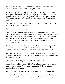But God knows if that will ever happen. Why not – why the freuq not? I was about to go on and pout but I caught myself.

Marriage – is it okay to screw a girl if you're not married? What a laugh it is to, even, ask the question; of course it is. What are you honestly going to wait till you're twenty-seven, when you finally get married, to screw a chick (or more romantically stated, to make love to her)? Come on; get realistic.

Well why not marry younger, that way you can release your juices freely within the confines of monogamy?

It seems to make a lot more sense.

When you sleep with someone (or so you don't misunderstand, I should say screw someone), in a very real sense you're becoming one flesh. You're becoming one. Why become one with the girl that doesn't even attract you until you've had two 6 packs, and then she looks kind-a cute after all? You know you could give a freuq about her. (Well maybe that's the only thing you could give her.)

You become one with her anyway `cause it'll feel good, but the pain that takes place after joining together with the one you don't want, the separation that takes place, the shallowness, may make it not worth it.

If you don't feel bad after, you're probably shallow from doing it with anything with two tits and a hole – numb from past experience or denying that it doesn't feel right.

Or maybe it does feel right to you. Maybe it is all right.

Maybe there's nothing wrong with it. You're both mutually getting your kicks – no harm done. You're fulfilling a natural desire. In fact, it's unnatural not to have sex.

But this is all kind of trivial when you're holding a gun to your head.

I was going to go on about how the family suffers because of the sexual freedom we exercise, and how we don't try to find or wait for our soul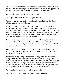mate, the one we'd rather be with than anyone, because it's too much effort. Just have shallow meaningless relationships with people of the opposite sex you don't really care that much about. It's much easier that way.

But hey, what do I know? I'm sitting here alone.

I must spend more time alone than anyone I know.

There are some a lot more alone than I am, I must admit, but that doesn't help me much when I'm still alone.

Sometimes I prefer it. A lot of the time I prefer it. Probably `cause I'm selfish, and most people expect a certain amount in return for what they give, and I generally don't equal anyone's efforts. I want them to act exactly the way I want them to; but that's how we choose our friends. I choose the ones that can deal with me being a bum-crevasse. Usually they're bumcrevasses themselves, that's why we get along.

But this section is getting screwy about friends. I love my friends. I have some of the best in the world. In this respect I'm lucky; but I've been so boring and miserable and poor lately that I'm straining my ties, and then I feel lousy. So it's best, for now, to be alone.

`Cause the only one I really want to be with right now is the only girl in the world for me. But she's not here and I don't want to see her either, I want to marry her but not see her.

It's so tiring calling her up, talking about nothing for two minutes and seeing her for two hours once a week or so `cause she's so busy. I don't want to have casual conversation with her; I want to be with her all through the day, every day, until I get sick of her. I want to get sick of her because I know I love her so much I'd never leave her. But to be in the position where I actually could get sick of her for a while, that would be great.

But instead of being with her I think I'll go beat off.

Well, I did it, and afterwards I went into a deep depression.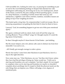I felt incredibly low, looking for some way, no praying for something to put an end to the overwhelming feelings of despair that attacked me: Like nothingness suffocating me, drowning me in my own inadequacies, afraid of the future, scarred by the past, reeling in blood spurting agony, or more of a deep blackness, a numbing of all the senses that sense joy and satisfaction, a lightless void where colorless, tasteless, soundless masses are piling on top of me weighing me down.

This lasted quite a long time. Its companionship I could not escape, like an annoying acquaintance not getting the hint that it's time for them to leave.

I prayed, "God, let something happen to get me out of this pure emotional agony."

My agony continued until my alarm clock went off and the song was rocking (Boston's "Peace of Mind" song). So I thought maybe if I crank the big stereo I'd feel better.

So then I thought maybe if I shoot heroin I'd feel better – just kidding.

But the music helped, and a few phone calls came to distract me from how miserable I was and so on...

...till I finally got enough courage to order a pizza.

Slowly but surely I came from utter blackness to just blackness, but it's a step in the right direction.

Now some may say, "Utter blackness, my eye," but they don't know unless they have had the privilege of being me. Some would say, "Until you're starving and homeless you can't complain," but that's stupid. It's not stupid to complain when you're starving and homeless (or maybe we shouldn't complain about anything), but it's stupid to think the physical needs are the only things that can depress you. Others will judge, even, degrees of emotional pain.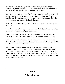You say you feel like killing yourself `cause your girlfriend left you. Someone might answer you, "Look, my wife of ten years left me and my dog hates me too, so you don't know pain you pussy."

But maybe your pain is greater than his pain. Maybe he really didn't mind seeing his wife go and his dog was a pain in the butt anyway. Maybe you loved that girl like you've never loved anything in the world; and maybe you're not strong enough to deal with the pain.

Never belittle anyone's pain, even if they're "daddy's little girl" living in a mansion.

Though some people do overdo it unnecessarily, but who's to know who's faking and who's on the edge, so be careful.

Why do you think Jesus says, "Do not judge, or you too will be judged." Probably `cause we're not equipped to judge, we don't see everything.

Once I had lain out in the sun for fifty minutes and got a bad burn. For three days after, I was in intense itching pain. I considered killing myself to end the pain – not really though.

My roommate saw me jumping around, running from room to room looking for anything to put on my skin (mainly my chest was in pain) to relieve me. He said, "God forbid you should get a real burn." He has olive skin. I have very light skin. Also, I hadn't lain out in about four years. He has no idea what I'm feeling `cause he can only judge by what fifty minutes of sun would do to him.

#### $+ + +$

#### **3) Prelude to Life**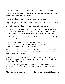So here I sit – not happy not sad, not depressed but nor elated either.

Tomorrow's the day my life changes, the day when three and a half years of emotional hell comes to a conclusion.

I plan to ask the only girl in the world for me to marry me.

Why do people still fall in love after all these years? You'd think we'd learn.

Love is for the weak, the sappy... the emotionally incomplete.

Or maybe it's for the strong. To be able to pursue what you see to be true love, to deal with the rejection and get up and come back for more until you're so strong that even if they spit in your face you'd still love them.

Are these the actions of a pathetic masochist or the sign of true Godlike (but not quite) love?

Don't misunderstand me. I don't mean invite them to spit on your face, or after they do, stick around and immediately apologize for your face accidentally getting in the way of their saliva.

But now it's later. I've finished my work for the day: The work of mending lost loves, the work of following an ex-girlfriend for a friend, to help reunite them – for money of course.

I'm alone in my room, wondering what tomorrow will bring. This may be the last night I can ever get to swim in self-pity because of my not being joined to my other half.

Tomorrow may bring the first day of a new life. Don't I deserve to be happy? Don't I deserve the girl that I would give anything to see her happy?

Whether she says yes or no, I'll still be relieved `cause at least I'll have asked her.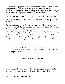That's my philosophy with women. Be as good as you can to them without being bothersome. Let her know how you feel (honestly but not desperately). Then you'll never feel guilty for having treated them wrongly; you'll know you did your best until it was time to go on.

Then when you've left, they'll miss you and come back to you – hopefully.

You may have to repeat the process quite a few times, but it may work in the long run.

But most importantly, ask God for what you want. Why not enlist the power of the hands that can shake the earth and startle the moon? Why not depend on the hands that created you: the hands that have woven your brain together strand by strand and then let you think on your own, the hands that created your desire to love and have sex and to become one with another person? These are the hands that can touch you. This is the God that knows you better than you know yourself, the God that wants you to be satisfied more than you, yourself, desire to be so; so why not ask God for help?

Trust in the LORD with all your heart and lean not on your own understanding; in all your ways acknowledge him, and he will make your paths straight.

(Proverbs 3:5-6, NIV version)

In fact, maybe a lot of the grief you're going through, now, may only be happening so as to force you, or at least convince you, to fall on your face before your maker.

Dear Lord, make my dreams come true.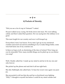# $+ + +$ **4) Pockets of Eternity**

"Did you see a lot of crap in Vietnam?" I asked.

He just walked away crying. He broke down into tears. We were talking calmly and then I asked that question. He was saying how the military is no good.

This man fought for our country and now is all freuqed up.

Everywhere I turn I see horror. Every time I get up on my emotional crutches and reach out and do something to try to make things better, some wise butt kicks one of my crutches out.

Is there no hope at all, no shortening of the days of torture? How long can you be miserable? How many terrible things can be piled up on you before you snap?

Well, I finally called her. I made up my mind to ask her to be my one and only forever.

She picked up the phone and said she'd call me right back.

She did, Hallelujah; she called back. To hear her sweet voice again was pure joy.

She proceeded to tell me that she and her ex-boyfriend were fighting. "Why?" I thought to myself; but before I could let my mind wander and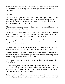dream up reasons like she told him that she only wants to be with me and will do anything to attain my hand in marriage, she told me, "I'm seeing someone."

Freuqing great...

...she doesn't see anyone (as far as I know) for about eight months, and the same freuqing day I call her up to see if I can ask her to marry me, she decides to tell me she's seeing someone. And to rub alcohol in an open wound she adds, "It's got potential."

What gorgeous freuqing timing – I should have guessed; nothing she ever does fits into my plan of events.

The only way to predict what she's going to do is to expect the opposite of what you think she's going to do, but even this doesn't work. Once you expect the opposite, she does what you originally expected.

It hit me hard, but didn't knock me down. I continued the conversation very politely, knowing in the back of my mind that next time I see her I would have to make my move.

I've waited too long. We've sat staring at each other for what seemed like pockets of eternity, but was really more like a good thirty seconds.

Our eyes transcend any words we speak or actions we make. They meet on the deepest level any two human eyes can meet, and she is the only one in the world my eyes have met in such a way.

I don't want to lose her. I honestly believe that she is the only woman that I'll ever love.

I've tried dating other girls, some of them gorgeous too. It can be a bit fun and a little of an ego-boost, but there's nothing there. I feel like I'm lying to these girls as I stare into their eyes. They can't dig as deeply as Beyonda's eyes can. Her eyes touch my very soul.

It's her eyes that have kept me on my unswerving mission for the last three and a half years. It's her eyes that call me home. I see a home in her eyes. I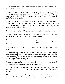honestly don't believe there is another girl in the world that will ever feel like home other than her.

I'm not desperate. At least I don't feel it now. There have been times when I've felt desperate in my attempts to win her affections, but now I feel somewhat confident. Probably `cause since the day I met her I've prayed my little heart out for her.

Sometimes I have so much faith in God that I look at life's setbacks and laugh, knowing God's only toying with me for my own benefit. Other times I don't see the long-term plan and feel like a dog wounded on the pavement beneath the summer's hot sun.

But I've never loved anything on this earth more than I love Beyonda.

I've spent hours weeping in prayer. I don't mean cumulative hours, then it would be more like days, but I mean hours at a time.

Weeping, not only because she wasn't mine, but more for her soul's happiness, more `cause I want to see her happy more than see anything in the world.

Even if she hates my guts, I still want to see her happy – and her child as well.

The trouble is my actions haven't always shown this attitude. You can get pretty freuqed up ideas on how to act towards the one you love. You see other men being selfish and jealous and demanding toward their women, and you figure that's the way to go.

Or you see someone being pussy-whipped, a wimp who will put up with any crap she throws at you just to keep her around.

I've gone through my share of both, but just when I've finally gotten to the point where I think I've found how to get along with her, it all blows up in my face.

If I'm close to God, we get along great. She may not realize that's the reason, but when I'm close to God I can be loving, understanding, patient,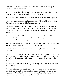confident and helpful; but when I'm not close to God I'm selfish, jealous, childish, insecure and worse.

Before I thought childishness was what she wanted. Maybe I thought she enjoyed a good fight, but now I know that was wrong.

Am I too late? Have I ruined any chance of us ever being happy together?

I know we could be extremely happy together. All I need is to know that she really loves me and it will all come so easily.

That's why I decided I wanted to marry her. If we were married and she said, "I'm tired, I want to go to bed," I'd know I'd see her in the morning and wouldn't get upset `cause I know she loves me and she's probably really tired.

As it stands now, I don't know for sure how she feels. So I could take the same situation to mean that obviously I'm not that important to her, so she can go freuq off – which is not good.

If we both expressed that we loved each other, it would be easy to deal with bad moods, hot tempers, even what seems to be flirting.

I almost feel like I can deal with her moods now, but only `cause I've been close to God.

I finally don't feel nervous with her either, maybe a little sometimes, but I'm not threatened by her bitchiness anymore. I can deal with it – even laugh at it. I've learned by dealing with my mother who can be bossy and bitchy herself.

Not that I want Beyonda to be bossy and bitchy, but I'll love her no matter how she acts.

I've put her through the true test of love. I've pictured her old, fat, bald, crippled, gray-haired, diseased and having no confidence or self-esteem – ugly and weak; and believe it or not, I still loved her. There is no other woman I've ever met that has passed this true love test of mine.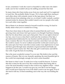In fact, sometimes I wish she wasn't so beautiful so other men who didn't really care for her wouldn't always be sniffing around her fine butt.

So many times she's been inches away from my reach and yet I've neglected to touch her. She probably thinks I'm gay. We've been right there staring at each other alone with romantic music on the tape player, but there we stayed (frozen from attaining what we, or at least I, really wanted), a perfect moment stolen by demons that couldn't stand to see two people who really love each other come together.

But to blame it on demons instead of myself would be wrong. It's hard to finally attain what you've wanted for so long.

There have been times in the past when it seemed that she and I were growing closer and closer, but I got scared, even though I had been chasing after her for about three years up to that point. Once it was right in front of my face, once it was so close that I could taste the sweetness of her lips, I got sidetracked (sidetracked by my freedom and the pleasures of dating many women). But now I'm sure that I want her, more than I am sure that the world is round. I've never walked around the world and wound up in the same spot, but I have seen this woman under every light known to man and have gone through many situations of good and bad and finally am sure that I want to marry her. She's the only girl I could marry and still be free with. I'd get the best of everything.

She is the most wonderful woman I've ever met. She holds in her soul the essence of beauty. She is to me, honestly speaking, the most beautiful girl in the world; but surprisingly enough, her soul is more beautiful.

Her heart is what I want. To make love to her would be heaven. To know that she is mine for the rest of my life would be better than being able to screw the most beautiful women in the world at my slightest whim – which happens to be the case. I would even give my own life to see her happy; and I would never harm her even if she didn't want to see me again. Even if she tried to kill me, I'd find something cute in the way she was holding the gun.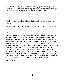Well, I've done it again. I've made a huge long speech that may get me nowhere. Tons of words jumbled together for what – where will they get me? Well, just for the hell of it... let me try one more time.

...

Words, words, they all suck. I can't find a single word to express what I want to.

Is there a lawyer of love that could take her to court and convince her to love me?

I give up.

My love falls to the floor before her and lets out a horrendous scream. A scream that says in the deepest way that these words can be said, and if they were really heard the way they were meant and understood to the fullest of their meaning, the world would stop on its axis, the trains would come to a halt, the babies would stop crying, the children would stop playing in the school yards and put down their kick balls and Frisbees, the actors on the soap operas would put down their scripts full of petty little arguments, the cats would stop licking themselves and look up, the dogs would pull their heads in from the windows of speeding cars so they could hear, the cockroaches would crawl out from under last night's dirty dishes, even at the risk of their own lives, and I would put down my pen and stop writing such stupid things, all to hear the words I say to her...

"I LOVE YOU."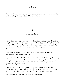#### **5) Nnne**

I'm exhausted. It took every last ounce of emotional energy I have to write all these things down and then think about them.

 $+ + +$ 

#### **6) Loves Result**

I don't think anything takes more out of you than putting yourself forth to people – reaching out. Especially when you're not used to doing it, you feel naked. I think it would be easier to storm the beaches of Iraq in battle than to bear your soul to the one you love, especially if you're not sure how they'll respond.

Over the last couple of days I reached out to people all around me more than I have in the last two months.

I gave so much that when I was finished I felt like I had nothing left to give, like my emotional gumball machine had ran out. But just when I had given out all I could, I started receiving. God gave me the strength and love to give so I could get in return.

I was scared, scared that what I wrote to Beyonda wasn't good enough. Like I could have written it better or I should have given her more of what I wrote, or that I should have taken a different approach altogether.

But I rested in the fact that I put it all in God's hands.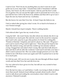I said to God, "Don't let me do anything that you don't want me to and guide me in every step I take." I trusted him with it. Sometimes I still felt uneasy, but I know my life is in his hands. I did my part the best I could. I'm no genius who can use just the right words to persuade her to love me. I just told her how I felt to the best of my abilities and then left it up to God. I hope she sees my heart and not my vocabulary.

But she knows for sure that I love her. At least I hope she believes me.

I feel so naked after giving her what I wrote. It's so hard to be honest; or was I honest enough.

Maybe I should have kept it simpler. There's nothing harder.

I felt relieved after I gave her my words of love.

I rang her bell – she wasn't home, but after about one minute she drove up. She looked in so much pain. She said she wasn't in the mood for company and I said I only came by to give this portion of a book I'm writing [the "Pockets of Eternity" Chapter], and said it's about us. She said, "Oh good, I can't wait to read it; I'll go read it right now." Then she put her hand to her head. She started crying, and said she couldn't go ten minutes without crying. I hugged her and asked what's wrong. She said she'd talk about it later and she'd call me after the weekend. I said read it and take your time. I didn't want to pressure her. She was under enough pressure as it was. She looked at me with those sweet eyes again and I left. It pained me to see her in so much pain.

So I did my part. All I can do now is pray she sees through all those stupid words and sees that I love her and she loves me.

I'm very relieved to have given it to her, but still am very excited to hear what she'll say.

Over the last two days, as I said before, I really was trying to think of others more than myself. Instead of just talking to people about exactly what I want to talk about and ending the conversation when I didn't want to talk anymore, I listened to people.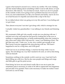I guess what turned it around was a visit to my mother. We were chatting and she started talking about something I didn't want to talk about, so I just shut down. She told me, "You do that too much. And if you do it to people in the outside world you're going to have problems because not everyone loves you and understands you like your friends and family; and to do it to us is bad because it's impolite and almost like a slap in the face."

So we talked about what was going on in my life and how I was feeling and we got closer.

Then almost everyone I ran into I got along with, which is strange for me.

I actually visited my grandmother. I was talking to my friends and listening too.

My roommate's little girl who usually avoids me was playing with me. I reached out to her and made her feel good by looking her in the eyes or smiling or complimenting her, or being understanding when she wanted to play more and I didn't (but I did anyway `cause I was thinking of her). The girl that once said, "I hate you," to me, now couldn't get enough of me. She'd pout if anyone suggested she stop playing with me. This hasn't happened to me for a long time, and it felt good.

I felt God was in on all these things. I cried for his help while I was in agony. He sent things my way that I needed to be sent, as well as him being with me himself.

Sometimes nothing in the outside world is sent my way, I just feel God's Spirit filling me with love. But he also uses people and things and songs and little girls to get his point across.

Point being: he loves me and doesn't really like to see me in pain; but sometimes pain is necessary in order to be able to appreciate true happiness and not take it for granted. Pain is also necessary to make me realize I need God and cry out for help.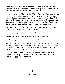Oh the poor soul who never gets anything taken away from him, `cause he may never learn to depend on God, and even may put God way out of his life and never learn how to properly deal with blessing.

So I say there is hope. There is a God. There is happiness. I don't even know if Beyonda will return my love, but I feel good now anyway. I feel strong, like I might even be able to be stable for a while: to be able to follow God more closely, to obey his way, to love others and to love God and put him first, to put my life in his hands, to share in the joy that Christ bought for me on the cross, to accept forgiveness, to accept love and give love.

My pain was not suffered in vain. I see it was necessary for me. If I hadn't gone so low, I never could be able to get so high.

I see my blessings as blessings, not as if I deserve them.

I see the people who love me as precious, not as annoyances.

I see the angry and understand for I was once there, and may be again.

But maybe it's time for God to bless me. I don't know. I feel like he already has, and I'm truly grateful. I thank him, and I'm not getting high on myself, as I would have in the past if things were going well, thinking of no one else but me or my happiness or my pain.

To follow Christ does work. It is not a false thing. It's the true way to happiness; and deep down, maybe very, very deep down, I believe we all want to be happy – and God agrees.

## $+ + +$

#### **7) Letter**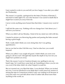I just wanted to write to you and tell you how happy I was after you called me Wednesday.

The reason I, so quickly, apologized for the letter ["Pockets of Eternity"], and tried to make light of it, was only because I was scared to death that it might have scared you away from me.

I never wrote anything more honest than that letter. I meant every word of it.

I still feel the same way. Nothing will ever change how I feel about you. I will love you forever.

When you didn't call me Monday, I kind of let my mind run wild with lies.

I started to picture you throwing big parties and passing the letter around having a great laugh.

Well, I really didn't think you were doing that, but I was getting apprehensive.

Just as you had no idea I felt this way, I had no idea how you would respond.

When you called, I was caught off guard. I didn't think you were even going to call me at all. I thought that maybe the depth of my love for you might have pushed you away.

That's the reason I went to Coneticut (forgive my spelling) to mix my band's tape. So I could have some back up. Something to show you (to win you over) if the letter didn't do what I hoped it would do.

But as it turned out, you liked the letter. I was shocked. When you invited me over, I was too shocked to even think that I could cancel my session of mixing the tape in Connecticut (which I only was rushing to do because of you) and come over and talk about what I'd rather talk about more than anything in the world, us.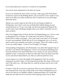If you had asked me to cancel it, I would of in a heartbeat.

You are far more important to me than my music.

If you ever needed me and I said I was busy with a gig at the Worchester Centrum to open for the Rolling Stones, all you'd have to do is make it very clear to me that you really needed me and I would run to you and forget about the show.

Maybe you weren't upset at all with me for not being available on Wednesday, but I don't want you to think (that I think) things are just casual between us. To me, you really are the most important thing in the world. I just wasn't thinking straight when you called. I honestly was in a state of shock.

One of my biggest fears in life is the fear of disappointing you. I never want to disappoint you or Emma. If I could read your mind, I'd bend over backwards to make you happy – but I can't read your mind, so I'm bound to screw up sometime. Please tell me if I ever disappoint you, so I can try and to correct my mistakes and make you happy. That's all I really want is to see you really happy. `Cause if you're happy, I'm happy.

And speaking of happiness, last Wednesday was about the happiest day of my life. I was drunk with happiness. I drove to Connecticut thanking God from the bottom of my heart that there was a chance of you and me being together at last. I cried tears of sheer joy that after I bore my heart and soul to you and stood naked before you, that you did not push me away.

I can't express, in words, the depth of the happiness I felt. It's not the chasing of you that I enjoy, it's the hope that someday the chase will be over and I will catch you... the hope that we could be at peace and in love with each other.

If I knew I had all of your love and knew that you were dedicated to me and reassured me every day of this truth, even when I disappoint you or not act my best or act childish, selfish or depressed (that you would still make me sure that you love me and weren't going to leave me or shut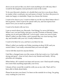down on me and act like you don't want anything to do with me), then I would be the happiest, most productive man in the world.

To be sure (beyond a shadow of a doubt) that your love was always there, no matter what, would give me such peace of mind. You have the power to make me happy or miserable; I hope you choose the former.

I want to be close to you. I want to relate to you the way these letters show I feel in person. I don't want to be casual with you, and not express how much I love you as much as possible.

I want to be drunk with our love.

I care so much about you, Beyonda. I feel things I've never felt before. When I saw you last Friday and gave you the ["Pockets of Eternity"] letter, seeing you in such pain killed me. I was in pain `cause you were in pain. When I called you this Friday, and it seemed like you were having a bad day and trouble with your car, it really bothered me.

I want to be there for you, and have you there for me.

When I called you (earlier on) Friday morning at about 10:30, and you weren't there, I was really concerned that you were all right.

I never felt this much for anyone before.

I feel like a changed man over the course of the last week or so. I feel really strong and good – close to God, close to my friends and family. All my priorities are changing.

When before, all I wanted was fame and success, now I find myself wanting love more than anything (especially your love).

I dream of how sweet life would be with you as my wife. That's all I've been able to think about lately.

Please let me into your heart, I've been on the outside for so long. I'm going crazy waiting for your love.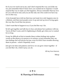So if you ever reach out to me, and I don't respond the way you'd like me too, just remember that if I knew how you wanted me to respond, I would respond the way to make you the happiest. Always remember that my love for you will never end, and you are the only one who could ever have my love in this way.

A lot of people have told me that true soul mate love only happens once in a lifetime, and that most people screw it up and end up never loving again the way they loved that one person.

I don't want that to happen to us, if you feel the way I do.

So let's get together and talk face to face; and please have patience with me. You're all that I want, and it's frightening to finally get what you've wanted for so long.

It may be difficult at first to transfer these written feelings into spoken words on the phone or in person or in actions, so just remember they are true feelings and will always be true, even if at first I have trouble showing them in person – which I hopefully won't.

Just give me time and patience and love; we can grow closer together – if you feel like I do, which I pray you do.

All my love forever,

Misop

#### $\leftarrow$   $\uparrow$   $\rightarrow$

#### **8) Thawing of Deliverance**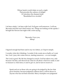Whose hands would shake on such a night That precedes the cadence of delight Or introduce the sharpest knife "Brandished love recoiled"

I sit here calmly. I sit here with God. If all goes well tomorrow, I will see Beyonda and find out if she'll marry me. Things are looking on the upside. I brought her flowers last night with a note saying...

> "Beyonda, I love you, Misop"

I figured enough had been said in my two letters, so I kept it simple.

I wonder what she's thinking. I wonder if she wants me as badly as I want her. God, I pray she's mine forever, starting tomorrow – or even tonight.

The Lord is good. My life has changed so much. God has taken over, only because I let him, and showed me what it's all about: what love really is and to treasure it, what mercy is and to give it, and in turn to receive it.

Speak and act as those who are going to be judged by the law that gives freedom, because judgment without mercy will be shown to anyone who has not been merciful. Mercy triumphs over judgment!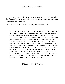#### (James 2:12-13, NIV Version)

Once you start to try to obey God and his commands, you begin to realize that they are the perfect outline for joy in life. Yes, for suffering too, but the joy outweighs the suffering.

This world really seems to fit the description of the end times...

But mark this: There will be terrible times in the last days. People will be lovers of themselves, lovers of money, boastful, proud, abusive, disobedient to their parents, ungrateful, unholy, without love, unforgiving, slanderous, without self-control, brutal, not lovers of the good, treacherous, rash, conceited, lovers of pleasure rather than lovers of God–having a form of godliness but denying its power. Have nothing to do with them. They are the kind who worm their way into homes and gain control over weak-willed women, who are loaded down with sins and are swayed by all kinds of evil desires, always learning but never able to acknowledge the truth. Just as Jannes and Jambres opposed Moses, so also these men oppose the truth–men of depraved minds, who, as far as the faith is concerned, are rejected. But they will not get very far because, as in the case of those men, their folly will be clear to everyone.

(2 Timothy 3:1-9, NIV Version)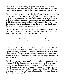...or at least in America – though maybe all over, I haven't been around the world as of yet. I guess neither did Jesus travel around the world, but his words have the power to reach any man in the world who will hear him.

There are so many people who feel they have found the true meaning of life but have not. And there are so many who have found no meaning at all: No all encompassing purpose, no loving Father guiding even when things look terrible, no feeling that these are purposeful occurrences leading to the terrific, beautiful ending authored by God. The dogs of life – even worse than dogs, for dogs usually have love and shelter and food. This is more than a lot of us have at times (especially love).

When we feel unworthy of love, few efforts of kindness are taken as such. We transform a gesture of mercy into a patronizing pat on the head. Our pride snarls to scare such belittling behavior away.

To convince someone who feels loveless that they are loved is a mammoth task of patience and hardship. (Or it could be simple, but it takes the Spirit of God to be in me working before I can be of much use to others.)

To beat down the hardened doors that usually shelter the softest of hearts is a feat like no other feat accomplishable. You must put forth without expecting anything in return. You must see their wounds and cover them. No matter how angry you may get, you must never un-bandage them for the sake of revenge or frustration due to the fact that you get little in return for your efforts.

Though you can express to them why you and others are turned off by a particular fault that they may have which may not be as obvious to them. You can address the depth of the wounds and try to help to heal the wounds, even in a hard manner at times if necessary. But to expose their wounds maliciously is only adding to the problem – though it could help in an abstract way. But you don't want to be remembered as the evil catalyst that eventually led to good.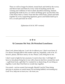Then we will no longer be infants, tossed back and forth by the waves, and blown here and there by every wind of teaching and by the cunning and craftiness of men in their deceitful scheming. Instead, speaking the truth in love, we will in all things grow up into him who is the Head, that is, Christ. From him the whole body, joined and held together by every supporting ligament, grows and builds itself up in love, as each part does its work.

(Ephesians 4:14-16, NIV version)

# $\leftarrow \uparrow \rightarrow$

## **9) Consume Me Not, Oh Wretched Loneliness**

Dear Lord, please help me. I can't do it without you. I don't even know if I've shown enough faith in this matter with my, hopefully, wife to be. If I haven't, please, still have mercy on me. Please, Lord, bring her to me.

I don't want to fight for her anymore; I want to have her. I will fight if I have to, but please bring her to me with a heaven tied bow around her neck – a gift from God, a gift that I've wanted for so damn long. If you bring us together, Lord, than I feel that we would stay together.

I'm scared – not too scared, but enough. Should I not be? Does being nervous or anxious or scared mean I'm not being faithful, not trusting my God? If so, help me to trust you. I do trust you.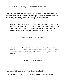She said she'd call at midnight – really an hour from eleven.

God, what can I say? Intercede for me. Make me the way you want me to be; and if it be your will, Lord, for I know you can see better into the future than I can, please bring her to me – totally and unrestrictedly.

"Which of you, if his son asks for bread, will give him a stone? Or if he asks for a fish, will give him a snake? If you, then, though you are evil, know how to give good gifts to your children, how much more will your Father in heaven give good gifts to those who ask him!

(Matthew 7:9-11, NIV version)

May he give you the desire of your heart and make all your plans succeed. We will shout for joy when you are victorious and will lift up our banners in the name of our God. May the LORD grant all your requests.

(Psalms 20:4-5, NIV version)

Hear my cry. Hear my plea – I beg of you, dear Lord.

Give me strength, give me faith, and if it's your will, give me Beyonda.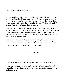#### (WEDNESDAY CONTINUED)

She hasn't called, and it's 12:35 now. She probably fell asleep. I don't blame her; she works so hard. I'm wondering why I've had to wait so long and work so hard for her. It's torture, the waiting for the final word. It's been over two and a half weeks since I gave her the first ["Pockets of Eternity"] letter, and my life has been on hold ever since.

I still feel good. I know God is in control. No matter what happens, it will happen under the guiding hand that wants my happiness more than I want it. He knows exactly what I need and need to go through in order to achieve the greatest of joy. It may be necessary for Beyonda to refuse me until she herself grows close to God.

There have been times in the past when I honestly thought it was over between us. It was tough, but I got through it because God is my shelter.

Here's a poem I wrote once when I thought it was over.

[I can't find the poem.]

I feel God's strength and love in me, and want more and more of it.

No matter which way it turns out, I know God is looking out for me. It seems like the right time to receive her, but my timetables are not always God's timetables.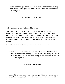He has made everything beautiful in its time. He has also set eternity in the hearts of men; yet they cannot fathom what God has done from beginning to end.

(Ecclesiastes 3:11, NIV version)

I still pray that it is time for her and I to be one.

With God's help or total command (I don't know which) I've been able to see my life turn around before my very eyes. Sin is an old scab that has been picked away until it's barely visible anymore. Love is flowing though me like water through the heavenly rivers of Jerusalem. The Lord has refined my mind into pure thoughts – not always, but much better than in the past.

I've made a huge effort to change my ways and seek the Lord...

Seek the LORD while he may be found; call on him while he is near. Let the wicked forsake his way and the evil man his thoughts. Let him turn to the LORD, and he will have mercy on him, and to our God, for he will freely pardon.

(Isaiah 55:6-7, NIV version)

...to love and trust him, to read his word and spend time in prayer. And he has blessed my efforts. The love I've given has come back to me tenfold. I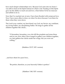have much deeper relationships now. Because God came into my heart, I was able to feed on his Spirit instead of a black void. Feeding on this Spirit gave me the ability to reach out and love, when before I'd be too insecure and selfish to do so.

Now that I've reached out, in turn, I have been flooded with reciprocal love. Now I have more allies to draw on when I'm down because I was there for them when they were down.

The Lord is my comfort, my best friend, my God, my Savior, my confidant, my loving Father, my disciplining Father. He longs to gather all his children together like chicks...

"O Jerusalem, Jerusalem, you who kill the prophets and stone those sent to you, how often I have longed to gather your children together, as a hen gathers her chicks under her wings, but you were not willing."

(Matthew 23:37, NIV version)

...and have them live pure lives...

"Be perfect, therefore, as your heavenly Father is perfect."

(Matthew 5:48, NIV version)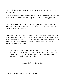...to live the lives that he instructs us to live because that's where the true happiness is.

Lord, break our wills and our egos and bring us to your feast of love where we dance like children – together in peace, under your loving guidance.

Lord, please bring her to me. It's the waiting that's driving me crazy. I've been patient. Please bring her to you and to me, for only if she's yours will she ever be completely mine.

Why would I be given such a longing for her in my heart if she were going to be denied me? Like when "for Adam no suitable helper was found" after he named all the animals, until God showed him woman and he said, "This is it!" (This is one paraphrased translation I have heard of – the NIV translation says the following.)

The man said, "This is now bone of my bones and flesh of my flesh; she shall be called `woman,' for she was taken out of man." For this reason a man will leave his father and mother and be united to his wife, and they will become one flesh.

(Genesis 2:23-24, NIV version)

God said it is not good for the man to be alone.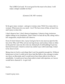The LORD God said, "It is not good for the man to be alone. I will make a helper suitable for him."

(Genesis 2:18, NIV version)

So he gave man, woman – and gave woman, man. Well, I'm a man; she's a woman. What more do you need – love? We have tons of that, at least I do, and I pray so does she.

I don't deserve her. I don't deserve happiness. I deserve long, torturous nights rolling in my loneliness. That's what I've had all my life, along with a few magazines, maybe that's all I deserve.

Even if I don't deserve her, I pray God give her to me anyway (just for the fun of it). Why not? Why not see me leap for joy and ecstasy when so often in the past he's seen me dive into my dismal pit of self-loathing? I put my best foot forward. I tried to correct my sinful ways with Gods help. I tried to be close to God.

Being close to God is a privilege that I can't be grateful enough for. Without being near to God, I could never have had the balls or the courage to make my move on Beyonda; and I would never have been able to love her so unselfishly. I would never have been able to deal with rejection, so I never would have chanced it – to get it all.

God is.

I need to pray now.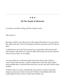## ←↑→

## **10) The Depth of Moments**

I wanted to end this writing with the simple words, ...

"She said yes."

But that would be a lie. She said no. She said get that idea out of your head. She called and said, "Don't be sending me flowers anymore, and I'll call you later."

I called back to see if she had received my second letter. She said she did and started to talk about us. I said I'd rather talk in person, but she said she "may not have time;" so we talked.

You may think my world had ended when she said no, but it didn't. I wasn't silent with remorse. I calmly restated how I felt. She said it didn't seem possible that I could feel this much love for her; she said it didn't seem realistic.

I told her that it was true, and that the only reason I could love her this deeply was because I knew God; and if I didn't, I'd probably still (what seemed like) love her, but in a much more selfish way.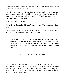I kind of guessed that she was either swept off of her feet or scared to death at this point, and scared she was.

I asked her if she was scared, and she said yes. She said, "I don't know how sane you are." I laughed, `cause I know I can come off like I'm crazy, and sometimes am crazy, but lately (as stated earlier) I feel saner and more stable than most of the world.

So her comments amused me.

She felt I was obsessed and it wasn't healthy. I said, "I'm not obsessed, I'm in love."

There's a fine line between true love and obsession. They both want deeply, but love stops at the line where obsession crosses.

Love is patient, love is kind. It does not envy, it does not boast, it is not proud. It is not rude, it is not self-seeking, it is not easily angered, it keeps no record of wrongs. Love does not delight in evil but rejoices with the truth. It always protects, always trusts, always hopes, always perseveres.

(1 Corinthians 13:4-7, NIV version)

Love would put down its own life for the other's happiness, while obsession would kill the person that doesn't return its feelings. Love would say I want you to be happy even if I'm not involved (while still stating its wishes to be so). Obsession would never let the object of their obsession be happy if it wasn't with them.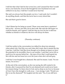I told her that what I feel for her is true love, and I assured her that I would never, ever harm her. Even if she brought her new boyfriend over and rubbed it in my face, I told her I would never hurt her.

She said you always hurt the people you love. I said yeah, but I wouldn't do anything drastic, and that she never has to worry about that.

She said that's good to know.

I don't blame her for being so scared. Those were some heavy emotions I laid on her – all true, but still a lot to deal with. She said she still hopes we could be friends, and I agreed. I told her that my love for her is still true whether as friends or whatever; the love will always be there.

(Thursday continues)

I told her earlier in the conversation (we talked for about ten minutes), when asked why I feel this way and when did it start, that it started the day I met her. I told her I feel like (even though we're distant at times) we have the potential to be incredibly close to one another. I said that I never felt so much love for anyone before her – the type of love that I could spend my life with her and not loose love over the years when she's old and gray.

I told her I even bought her a diamond. She said I'm insane. I said, "I'm not insane, I'm in love."

At the end of the conversation, as she was saying she still wanted to be friends, after I reassured her that I'm not obsessed and would never harm her (reason being: I've been close to God, and as deep as my love is, because of God, I have the strength to walk away – I am strong), I said, "Would you like to see the diamond?" We laughed and she said, "Yes, if you still have it."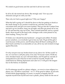We ended on good terms and she said she'd call me next week.

So all in all, she turned me down. She strongly said, "Give up your obsession and get on with your life."

Then why do I feel so good right now? Why am I happy?

What the hell is going on? I should be down at the bar getting as drunk as the small change in my pockets would let me, and then rob some convenient store and get even more trashed. Then go into the Combat Zone and pick up two hookers, bang 'em all night, and then get pissed off at one of `em and beat the crap out of her. Then commit homicide; and as a grand finale, shoot myself in the head with a shotgun with a note pinned to my chest reading, "Freuq You All!"

Or better yet, I should become hardened – arrogant and selfish. I'll attain power somehow, so everybody's got to kiss my butt. I'll get all the girls I want because of this power, and I'll abuse them till there's nothing left of their hearts and they're as miserable as I am, all for my sick twisted revenge against Beyonda.

Or why not just wear my broken heart on my sleeve for "all the world" to see, so I can have a self-pity party every day? Everyone I meet, I'll lift my sorry-drunken head, my eyes will meet theirs, and I'll spill my sad tale of unrequited love (oh what fun to feel so bad for myself). People will understand my lifelong depression and cater to it. I will grow the longest face in the history of mankind.

Or I'll submerge myself in a phony religion – or even in a true religion in a phony way. I'll follow it precisely – to a T. I'll be good to others, do all sorts of kind deeds (begrudgingly of course, or maybe so happily that I'll separate myself from myself and wear a plastic, phony smile for the rest of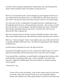my life). I'll be so good to people that I make them sick, and I'll praise the name of the God that I don't even believe in the power of.

But No, I've found the truth. I stood straight up and laughed in the face of my rejection from the person I love, as stated before, more than anyone in the world – the person I feel is the only woman I will ever love this deeply.

I'm cast away by her, condemned to be apart from her, condemned to go through life apart from my self-proclaimed soul mate – the woman I would give my life for, to see her happy. The gift I'd rather have than worldwide fame along with huge fortunes and power, I'd prefer her; but I am not allowed her. She is denied me.

My face is pressed close to the lips of many beautiful women on the train. They only merely interest me. She still has my heart. She does not want me.

But I say, "God is enough." I have every right to give up on life, but all I feel is strong and filled with God's love. I feel almost superhuman, like nothing could faze me.

God has shown himself to be true. He did not fail me.

I prayed for strength; he gave it to me. I prayed for faith; he gave it to me. I prayed for Beyonda; and he did not give her to me, but God is enough.

I run around like a madman, a crazed lunatic waking up the drunks on the park benches screaming in their ears, "God is enough!" I sit next to the insecure, saddened, middle-aged, divorced mothers of nineteen saying, "Life is good!"

"Trust God," I say.

"Come, all you who are thirsty, come to the waters; and you who have no money, come, buy and eat! Come, buy wine and milk without money and without cost. Why spend money on what is not bread, and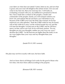your labor on what does not satisfy? Listen, listen to me, and eat what is good, and your soul will delight in the richest of fare. Give ear and come to me; hear me, that your soul may live. I will make an everlasting covenant with you, my faithful love promised to David. See, I have made him a witness to the peoples, a leader and commander of the peoples. Surely you will summon nations you know not, and nations that do not know you will hasten to you, because of the LORD your God, the Holy One of Israel, for he has endowed you with splendor." Seek the LORD while he may be found; call on him while he is near. Let the wicked forsake his way and the evil man his thoughts. Let him turn to the LORD, and he will have mercy on him, and to our God, for he will freely pardon. "For my thoughts are not your thoughts, neither are your ways my ways," declares the LORD. "As the heavens are higher than the earth, so are my ways higher than your ways and my thoughts than your thoughts."

(Isaiah 55:1-9, NIV version)

His plan may not fit in exactly with ours, but have faith.

And we know that in all things God works for the good of those who love him, who have been called according to his purpose.

(Romans 8:28, NIV version)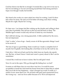God has shown me that he is enough. It sounds like a cop out to even say it, but I'm not faking it. I'm not convincing myself that I feel strong and have hope even though I really feel terrible.

My friend who works at a store asked me what I'm writing. I said I'd show him when I'm done. He said you'd be better off doing crack than writing. Maybe he's right. Maybe he's wrong.

It's later now. I no longer feel like waking up the drunks and yelling in their ears; they'd probably only tell me to shut up and fall back to sleep. The Middle-aged women would only tell me to mind my own business.

But I still feel strong, very strong (peaceful). A little saddened by the news, but not depressed.

I feel "a calm," a loss of ego – barely aware of all the egocentric things I used to be aware of.

The loss of ego is a good thing. Some would say I made a complete fool of myself, but I'd gladly risk looking like a fool than to let my life rush by me.

I feel alive. I did not sit back and let her slide from my hands; she openly ran. But hey, at least I know I tried and wasn't a pussy about it, like I can be sometimes.

I seized life; it told me to leave it alone. But I'm still glad I tried.

Now it's out in the open. Why go through life hiding how we feel?

It seems so odd these days to even show true love. It would be more acceptable to insult her and trash her house from time to time than to admit that you'd die for her happiness – what a freuqed up world. It really is; I realize it now more than ever. We all deal with pain (and unreturned love) the wrong way – and our lives suffer because of it. We're all depraved.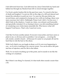I feel delivered from fear. God delivered me. Jesus Christ held my hand and babied me through my blackest fears till we stood strongly together.

I've lived a pretty fearless life for the past four years. I've stood in the face of death and laughed. I've put my life on the edge of a cliff and danced and teased the onlookers to push me over. I've seen my life pass before me several times, and compared to facing my love with my feelings, these were mere exercises; but I did it. Hallelujah, Praise God; I did it. I'm free now. I didn't hide in the shadows. I made my claim, was refused, and honorably and gracefully retreated. It's so freeing to know you did something instead of wondering your whole damn miserable life. Who knows what will happen? God knows. That's why I need not worry.

I feel like I'm from another planet. Everyone's insecurities and fears seem so plain to me, so obvious and so pointless. I see arrogance ... covering the soft, tender, sensitive hearts – all because it's easier to cut people off and be hard than to risk the hurt or the abuse.

With God's Spirit you can laugh at abuse, as if it's not even happening to you – as if you're watching it on a movie screen. You can be above the pain and fear of rejection, and live life to the fullest.

Well, I've re-read everything up to this point, and it sounds to me like the writings of a madman.

But if there's one thing I've learned, it's that truth often sounds crazier than a lie.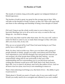## **11) Burden of Truth**

The insults of wisdom clang awkwardly against our indignant helmets of blissful ignorance.

The burden of truth is great, too great for the average man to bear. Who will take on the burdens of truth, as heavy as they are? Who will come forth and share in the sufferings and hardship of being a true disciple of Christ?

Oh Lord, I long to see the whole world come to you to share in your heavenly blessings; but we're all so set in our ways, so used to the way things are – too tired to change.

Dear Lord, may their road be softer than mine. If it "be your will," make it easier for them to come to you; or make them stronger so they will come after you at any risk, at any cost.

Why are we so turned off by God? Does God seem boring to you? Does purity have a dull ring to it?

Well, if it does, look at it this way: Have you ever been with a group of people (friends or family, people you really cared about and loved that were important to you) and felt strangely free and good (not insecure yet not arrogant, all of the people there feeling like they belong – no one unnecessarily ruling and no one awkwardly in the way) with understanding and love surrounding you so you felt secure and safe, wishing the moment would never end? Well, that's God, that's heaven, that's life. Love is what it's all about, and God is the author of love. And we all know true love (true, true love) is not something to sneeze at.

That's what endorsing God brings you, that kind of love – the ability to give it and receive it.

Think about it. Would you need a 12 pack a day if you were really loved? Would you really need to be so arrogant and callused if you were cradled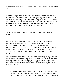in the arms of true love? God offers his love to you – and the love of others also.

Behind her rough exterior, her harsh talk, her cold abrupt answers, her impatient walk, her angry looks, her subtle yet poignant insults, lies the sweetest little girl, longing to play on the swings with her Daddy – a little girl whose smile would cause a statue to break down and cry after seeing the pure sweetness and sincerity of this little girl's love. Her love could warm the frozen Tundra. What sweetness in her eyes.

The hardest exteriors of men and women can often hide the softest of hearts.

But in this world, more often then not, Daddy is a bum-crevasse and doesn't have a clue as to how to love his daughter – because he was depraved himself. So that sweet, innocent girl begins to close down, because Daddy or whoever shut her down when she reached out and just wanted to play. Maybe they even went so for as to abuse her or rape her. How freuqing awful! Why must things like these happen? But it does happen.

But God steps in that father's place and lends a perfectly loving hand that may not be trusted at first. Why should she trust God? He calls himself the heavenly Father, and her father played a big part in screwing her up. But this Father is different. This Father longs to see her dance again like she danced as a child...

"I will ruin her vines and her fig trees, which she said were her pay from her lovers; I will make them a thicket, and wild animals will devour them. I will punish her for the days she burned incense to the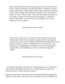Baals; she decked herself with rings and jewelry, and went after her lovers, but me she forgot," declares the LORD. "Therefore I am now going to allure her; I will lead her into the desert and speak tenderly to her. There I will give her back her vineyards, and will make the Valley of Achor a door of hope. There she will sing as in the days of her youth, as in the day she came up out of Egypt. "In that day," declares the LORD, "you will call me `my husband'; you will no longer call me `my master.""

#### (Hosea 2:12-16, NIV version)

"In that day I will make a covenant for them with the beasts of the field and the birds of the air and the creatures that move along the ground. Bow and sword and battle I will abolish from the land, so that all may lie down in safety. I will betroth you to me forever; I will betroth you in righteousness and justice, in love and compassion. I will betroth you in faithfulness, and you will acknowledge the LORD."

(Hosea 2:18-20, NIV version)

...in the pure, boundless, unrestricted, unembarrassed, corny joy that she once danced with before she knew how to spell rejection or knew the horrors of abuse – before she knew sorrow.

Instead of coming to God she may take her deep resentment against her father (or some other male figure) out on the men in her life. Whether she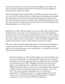knows it consciously or not, it seems this often happens; and unless that man in her life is feeding on the power of God, he is in grave danger of having the life sucked out of him.

That sweet innocent girl is turned into a man-killer, and may mow quite a few down. She'll steal their balls and make them feel inadequate no matter how hard they try. And once she has his balls she'll get sick of him and leave him (because he now has no balls, and is rendered unattractive). The man may give up his manhood to keep her around, and she'll demand it by demanding her way or else so he'll...

But both are victims. Still God offers a way out of this tragic, painful ritual; he offers his Son. The only way to break the curse of sin is through Jesus Christ the Son of God. He poured out his blood on the cross, not for the fun of it, but so that we may lose the evil chains that hang from our every limb since the moment we leave our mother's womb, so that the weights of these chains are lost forever, and we break forth free and truly at peace.

Why do we have to go through Christ to get to God? Why did Christ have to go to the cross to get to us? I'm not entirely sure why; though I could think of a lot of good reasons. But as I said before, I've found that the truth often seems crazier than a lie.

"Do not be afraid; you will not suffer shame. Do not fear disgrace; you will not be humiliated. You will forget the shame of your youth and remember no more the reproach of your widowhood. For your Maker is your husband–the LORD Almighty is his name–the Holy One of Israel is your Redeemer; he is called the God of all the earth. The LORD will call you back as if you were a wife deserted and distressed in spirit–a wife who married young, only to be rejected," says your God. "For a brief moment I abandoned you, but with deep compassion I will bring you back. In a surge of anger I hid my face from you for a moment, but with everlasting kindness I will have compassion on you," says the LORD your Redeemer.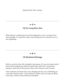(Isaiah 54:4-8, NIV version)

## $+ + +$

## **12) For Long Have Jets**

When before, I couldn't get away from depression, now, I can't get away from strength. I've spent too many years feeling sorry for myself; now is a new beginning.

## $+ + +$

#### **13) Hardened Hostage**

Well, so much for that. My strength is leaving me. It's my own damn fault. I haven't been making any effort to spend time with God; I've just been hoping I could ride on the past few days, but it doesn't work for long.

I feel weakness and insecurity coyly stepping into my way of thinking (so coyly that I barely notice – but I realize my fault). I have to make an effort, every day, to know God and feed on his Spirit.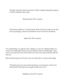"Be still, and know that I am God; I will be exalted among the nations, I will be exalted in the earth."

(Psalms 46:10, NIV version)

Then Jesus declared, "I am the bread of life. He who comes to me will never go hungry, and he who believes in me will never be thirsty."

(John 6:35, NIV version)

It's a daily thing. To come to God, I think, is a once in a lifetime thing. To come to God through Christ sets up (I think) a forever relationship – that even if you feel far away from where you once were, that God has still not left you.

But to feel the power of God in your everyday life is a day-to-day thing.

"Therefore do not worry about tomorrow, for tomorrow will worry about itself. Each day has enough trouble of its own."

(Matthew 6:34, NIV version)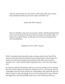Then he said to them all: "If anyone would come after me, he must deny himself and take up his cross daily and follow me."

(Luke 9:23, NIV version)

See to it, brothers, that none of you has a sinful, unbelieving heart that turns away from the living God. But encourage one another daily, as long as it is called Today, so that none of you may be hardened by sin's deceitfulness.

(Hebrews 3:12-13, NIV version)

Well, if weakness and insecurity make a strong claim on me, then I'll be forced to become hard and callused and uncaring again. I know there is a perfect mix between strength and sensitivity that exists, but to find it requires God – and it seems maybe experience too. I can't do it any other way.

It's hard to walk the line between the two. If you're caring, you're running the risk of that caring to be taken for weakness. If it is, you may be seen as vulnerable; and once some people see vulnerability, this opens the door for them to abuse or take advantage of you. So it's easier just to come off hard and aggressive and untouchable, that way no one will freuq with you.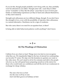If you do this, though people probably won't freuq with you, they probably won't be attracted to you either. Though some will, `cause they're either savior "wannabes" or they like the abuse `cause they're use to it from past family or relationship experiences (or they're hard and callused themselves, so they don't mind it).

Strength and callousness are two different things, though. If you don't have the strength to love, even with the possibility of rejection, then callousness is a natural alternative. Harshness can be a sign of weakness.

But who cares; there is no need for an equation here, is there?

Is being able to label behavioral patterns worth anything? I don't know.

## $+ + +$

## **14) The Pleadings of Obstruction**

Caffeine lives are what we lead. Things move too fast to even recognize what they are. We impatiently fidget in the face of eternal love anticipating our favorite TV series. We step over the homeless to quicken our route to the video store. We can't stand to sit for five minutes and talk to the people who love us, but will spend hours preparing ourselves in the mirror for those who would trade our confidences and tell the devil our weaknesses in exchange for cheap whiskey.

The ones who love us best Are the ones we'll lay to rest And visit their graves on holidays at best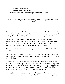The ones who love us least Are the ones we'll die to please If it's any consolation, I don't begin to understand them

("Bastards Of Young" by Paul Westerberg, from The Replacements album "Tim")

Pleasure comes too easily. Distraction is all around us. The TV has no soul and sucks us into its way of life. We watch the plastic lives of the successful, portrayed with the stability of a caffeine-high, and long to imitate them.

We watch the TV shows with no meaning other than the purpose of distraction. We use them to distract us from pain instead of dealing with pain correctly; so in turn, the pain still manifests itself and turns up in all sorts of subtle (or unsubtle), freuqed up, backwards places.

[Entertainment in the right amount is great, but why would you leave God out of it?]

We do not face our pain; we displace it. We drown it in alcohol. We answer it with sexual pleasure. We forget it with movies. We hide it beneath a busy work schedule.

"America, the Land of the Phony." Those who have achieved what seems like success are probably the most unfortunate. They've learned to separate themselves from themselves, from who they really are. They've suppressed that and have given into a phony world of false confidence where they have truly become king, but at the cost of their own souls.

They are the saddest creatures ever to walk the earth. They know honor. They know praise. They know glory, and thrive on it. They will rape you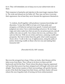for it. They will intimidate you to keep you in your subservient role to them.

Their response to heartache and rejection is the most tragic response there is. The weak and abused are far better off. They may not have overcome their oppressors, but at least they never became the oppressors themselves.

"I, wisdom, dwell together with prudence; I possess knowledge and discretion. To fear the LORD is to hate evil; I hate pride and arrogance, evil behavior and perverse speech. Counsel and sound judgment are mine; I have understanding and power. By me kings reign and rulers make laws that are just; by me princes govern, and all nobles who rule on earth. I love those who love me, and those who seek me find me. With me are riches and honor, enduring wealth and prosperity. My fruit is better than fine gold; what I yield surpasses choice silver. I walk in the way of righteousness, along the paths of justice, bestowing wealth on those who love me and making their treasuries full."

(Proverbs 8:12-21, NIV version)

But even the arrogant have hope. If they are lucky, their thrones will be taken away from them. They will go to sit down on them and fall backwards and hit the floor. Those whom this phony king has oppressed will see that their power has been stripped and will laugh with scorn and delight. These former masters of their surroundings will quickly become aware of the flesh that hangs from their bones, and their cheeks will soon relearn the once forgotten task of turning red from embarrassment.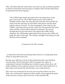They will realize that the control they once had was only an illusion painted by Satan to keep them from bowing in worship to the God that made them, to keep them from knowing that...

"The LORD brings death and makes alive; he brings down to the grave and raises up. The LORD sends poverty and wealth; he humbles and he exalts. He raises the poor from the dust and lifts the needy from the ash heap; he seats them with princes and has them inherit a throne of honor. "For the foundations of the earth are the LORD's; upon them he has set the world. He will guard the feet of his saints, but the wicked will be silenced in darkness. "It is not by strength that one prevails; those who oppose the LORD will be shattered. He will thunder against them from heaven; the LORD will judge the ends of the earth. "He will give strength to his king and exalt the horn of his anointed."

(1 Samuel 2:6-10, NIV version)

...to keep them from heaven and keep them from love, to keep them from Christ, to keep them from God.

But they may still turn to God. In their destruction they may find their concrete hope. They'll trade their shell of arrogance for a glow of contentment. Instead of instilling fear in others to gain control, they will instill confidence and acceptance and love; but only if they finally bow to their maker and assume the role that they were constructed for.

They were not constructed to be God, not even gods of their own lives. They were constructed to depend on their maker, and go against the grain of the universe as long as they don't bow to this eternal truth.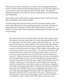The process in which God allows us to know him is through the belief in his Son, and the belief that his Son interceded for us and bore the penalty of our own sins on the cross and rose again from the dead – the personal affirmation that this is as truth for us, and accepting his way of forgiveness and redemption.

Jesus Christ came to this earth to redeem man to God, to restore the union that was broken in the Garden of Eden.

And the things that separated Adam and Eve from their maker are the same things that keep us from accepting the plan of salvation, the plan of forgiveness that God offers us today. We will not listen to God for we believe we know better. We do not obey God because God is silly and asks for silly things.

The man and his wife were both naked, and they felt no shame. Now the serpent was more crafty than any of the wild animals the LORD God had made. He said to the woman, "Did God really say, `You must not eat from any tree in the garden'?" The woman said to the serpent, "We may eat fruit from the trees in the garden, but God did say, `You must not eat fruit from the tree that is in the middle of the garden, and you must not touch it, or you will die.'" "You will not surely die," the serpent said to the woman. "For God knows that when you eat of it your eyes will be opened, and you will be like God, knowing good and evil." When the woman saw that the fruit of the tree was good for food and pleasing to the eye, and also desirable for gaining wisdom, she took some and ate it. She also gave some to her husband, who was with her, and he ate it. Then the eyes of both of them were opened, and they realized they were naked; so they sewed fig leaves together and made coverings for themselves. Then the man and his wife heard the sound of the LORD God as he was walking in the garden in the cool of the day, and they hid from the LORD God among the trees of the garden. But the LORD God called to the man, "Where are you?" He answered, "I heard you in the garden, and I was afraid because I was naked; so I hid." And he said, "Who told you that you were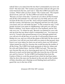naked? Have you eaten from the tree that I commanded you not to eat from?" The man said, "The woman you put here with me–she gave me some fruit from the tree, and I ate it." Then the LORD God said to the woman, "What is this you have done?" The woman said, "The serpent deceived me, and I ate." So the LORD God said to the serpent, "Because you have done this, "Cursed are you above all the livestock and all the wild animals! You will crawl on your belly and you will eat dust all the days of your life. And I will put enmity between you and the woman, and between your offspring and hers; he will crush your head, and you will strike his heel." To the woman he said, "I will greatly increase your pains in childbearing; with pain you will give birth to children. Your desire will be for your husband, and he will rule over you." To Adam he said, "Because you listened to your wife and ate from the tree about which I commanded you, `You must not eat of it,' Cursed is the ground because of you; through painful toil you will eat of it all the days of your life. It will produce thorns and thistles for you, and you will eat the plants of the field. By the sweat of your brow you will eat your food until you return to the ground, since from it you were taken; for dust you are and to dust you will return." Adam named his wife Eve, because she would become the mother of all the living. The LORD God made garments of skin for Adam and his wife and clothed them. And the LORD God said, "The man has now become like one of us, knowing good and evil. He must not be allowed to reach out his hand and take also from the tree of life and eat, and live forever." So the LORD God banished him from the Garden of Eden to work the ground from which he had been taken. After he drove the man out, he placed on the east side of the Garden of Eden cherubim and a flaming sword flashing back and forth to guard the way to the tree of life.

(Genesis 2:25-3:24, NIV version)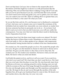Don't eat that fruit, God says; but we listen to the serpent (the devil – Revelation 12:9) that might try to deceive us with persuasions like the following: Why not eat that fruit; there's nothing wrong with it? God only tells you not to eat it because if you do, you'll become like God yourself. You don't need God to lead and guide you; you've gotten your own mind. You can control your own life. There is nothing above or greater than you. And even if there is, who cares? Do what you want.

So we eat the fruit, and sin. It's a sin because you've disobeyed a command of God. And once you've sinned, once you've tasted the sweetness of the forbidden fruit (no matter how innocently you were enticed, no matter how devious someone has been to persuade you to do so – if you knew God didn't want you to do it, but you did it anyway), you will now suffer the consequences. You may now find out what the direct result of disobeying God is: Separation from God.

Separation from God, the three most tragic words ever uttered. We don't realize the horror of these three words. Sometimes we don't even realize who God really is. He's so often spoken of as a distant, cold, impersonal, white bearded, boring burden that he is robbed of his true characteristics.

He created you. He created the people you love. He created the people who love you. He gave you the freedom to choose to seek God or choose not to seek him. He gave you the choice to obey him or not to obey him. He created your cat. He created your emotions. He knows what you feel and think. He knows what you need and desire.

God holds the patent on love, and love is all you want. If you want love, why don't you want God? He's hurt that you don't want his love. He's hurt that you won't give him his place in your life. He cries heavenly tears from his throne as he sees you running around in circles chasing your own tail while he screams at the top of his lungs through his prophets and apostles. He cries out through nature and through your life experience and people in your life. He leaps in the air and waves through the sacrifice of his only begotten Son, all to get your hardened heart to come to him. He bends over and reaches down, day after day, for your very soul.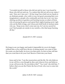"I revealed myself to those who did not ask for me; I was found by those who did not seek me. To a nation that did not call on my name, I said, `Here am I, here am I.' All day long I have held out my hands to an obstinate people, who walk in ways not good, pursuing their own imaginations–a people who continually provoke me to my very face, offering sacrifices in gardens and burning incense on altars of brick; who sit among the graves and spend their nights keeping secret vigil; who eat the flesh of pigs, and whose pots hold broth of unclean meat; who say, `Keep away; don't come near me, for I am too sacred for you!' Such people are smoke in my nostrils, a fire that keeps burning all day."

(Isaiah 65:1-5, NIV version)

He longs to see you happy and made it impossible for you to be happy without him, so he could have the joy of seeing measly you come to him. He wants you that badly; he loves you that much. So turn to him; tell him that you want him to be your God. Receive Christ into your heart.

Jesus said to her, "I am the resurrection and the life. He who believes in me will live, even though he dies; and whoever lives and believes in me will never die. Do you believe this?" "Yes, Lord," she told him, "I believe that you are the Christ, the Son of God, who was to come into the world."

(John 11:25-27, NIV version)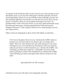Accept the work Christ has done on the cross for you as the erasing of your sins before God: so you may have that great void that separates you from God immediately closed, so you may finally connect (though you may not feel anything right then, but maybe you will; but even if you don't, if your prayer was sincere, then you are accepted and forgiven by God – he promises this), so the veil is torn down, so you may spend all eternity away from the pain and agony of being separated from God and from his kingdom of heaven – truly at peace, where love is, where people you love are, where God is.

These words are inadequate to show God to the fullest; so seek him...

"For I know the plans I have for you," declares the LORD, "plans to prosper you and not to harm you, plans to give you hope and a future. Then you will call upon me and come and pray to me, and I will listen to you. You will seek me and find me when you seek me with all your heart. I will be found by you," declares the LORD, "and will bring you back from captivity. I will gather you from all the nations and places where I have banished you," declares the LORD, "and will bring you back to the place from which I carried you into exile."

(Jeremiah 29:11-14, NIV version)

And find out for your self what I can't adequately describe.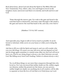Read about Jesus, about God and about the Spirit in The Bible (Old and New Testaments). Pray, follow, obey, love and begin to travel on the toughest, truest, narrowest road there is to eternity and truth and love and God.

"Enter through the narrow gate. For wide is the gate and broad is the road that leads to destruction, and many enter through it. But small is the gate and narrow the road that leads to life, and only a few find it."

(Matthew 7:13-14, NIV version)

And especially pray; begin to talk to God as much as possible. It can be formal or informal, while you're on your knees or while you're doing the dishes.

Ask him to fill you with his Spirit and mean it, and you will wonder why you ever did drugs. Of course you may fall away and not depend on God and do drugs again sometime or commit some other sin, but God will never leave you. [Not to say doing drugs is always a sin, that's between you and God. But falling away from God's leading, I believe is almost always a sin.]

No, in all these things we are more than conquerors through him who loved us. For I am convinced that neither death nor life, neither angels nor demons, neither the present nor the future, nor any powers, neither height nor depth, nor anything else in all creation, will be able to separate us from the love of God that is in Christ Jesus our Lord.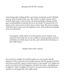I feel strange after writing all this. I am in fear of what the world will think and say of me if I believe this way. The world is so light. I almost wish I could be light with it, and not know the deep meanings of things and the grave responsibilities of eternity the lie on our heads. To choose God or to choose not to choose God, it's all so heavy and so deep. But only in dealing with these heavy issues can true happiness come, and can the real meaning of joy be understood.

You prepare a table before me in the presence of my enemies. You anoint my head with oil; my cup overflows. Surely goodness and love will follow me all the days of my life, and I will dwell in the house of the LORD forever.

(Psalms 23:5-6, NIV version)

It's so much to consider. It would be easier, in a way, to give into the pleasures of the world and never burden anyone with the questions of God and heaven and hell. I guess it must be done or else people I love might end up far away from God and happiness and their true selves. And things can be light too. There is laughter, but more so in heaven then in this life (and eternity is a lot longer than sixty-eight years).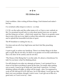## $+ + +$

## **15) Lifeless Jest**

I feel worthless. After writing all those things, I feel drained and naked – but hey.

I've switched coffee shops to write in – so what.

C.C.R.'s on the radio and the coffee tastes evil, so I have a new outlook on life. I've promised myself only to write about sports from now on: sports and the rising tax on beer – which truly upsets me. There is no greater cause than to join with me in my fight to reduce this unlawful, outrageous tax and to uphold the honorable activities of sport.

The #3 breakfast is waiting for me, so...

I'm done and am off of my high horse and don't feel like preaching anymore.

I want to golf, to reduce my handicap. There is no better thing to do than golf, so golf. But do not slice, for there is no greater evil on this earth than to slice a tee shot. So be careful, and do not slice.

"The House of the Rising Sun" is on the radio. It's about a whorehouse I'm told. So you know what I'm thinking about.

I'm still drained even after my attempts at humor. I can't pretend I'm so close to God that everything is great all the time. I'm empty after putting out so much. I need to go to sleep and "start fresh" tomorrow. I've been drinking caffeine all night, so sleep will be tough – plus, I'm supposed to work at 9:30 AM and it's 6:25 AM now. So if I fall asleep, I won't get up. But that's not your problem, though I wish it were. I can't get out of this on a good note, so I won't even try – later.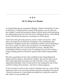# $+ + +$ **16) To Help is to Hinder**

As I thumb through my roommate's **Playboy**, I begin to feel guilty as I start to think how I would feel if the woman in the pictures was my wife and how robbed I would feel having her shared with the entire world (picturing her striking these poses for men who know nothing about her, care nothing for her, but still get the pleasure of seeing her in all her glory).

I don't know this girl in the pictures, so how could I care for her – other than in an abstract way? But she's somebody's wife or girlfriend, she's somebody's daughter; maybe she's somebody's mother, and I'm thinking of her only as a piece of meat to give me pleasure. I'm contributing to the businesses that allow her to reveal herself for money. Whether she's comfortable with this concept or not, I'm making it easy for her to make a living at selling pictures of herself to quench man's almost unquenchable lust.

She does a good job at it, but I only contribute to her doing things that might make her shallow. Not that she's shallow. She may be close to God and a deep individual, but chances are the "Porn Biz" is not a Christian organization [though I wish it were], and I'm only helping her stay in that world by looking at her pictures – but she's so damn gorgeous.

To lie to ourselves and lie to the world as Christians and say, or give off the impression, that we are now beyond holy and pure and perfect is not good – that sin is beyond us. It only feeds the unbeliever's cynical fire when we fall, which we very possibly will.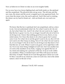Now as believers in Christ we take on an even tougher battle.

For we now have two forces fighting back and forth inside us: the spiritual and the unspiritual. The physical does not go away. The old man and the new man, the sinner and the saved, wrapped up in one agonized body. For every time the sinner wins, the soul is grieved. And if the soul is winning, the sinner can try hard to break out – and can break out, over and over again.

We know that the law is spiritual; but I am unspiritual, sold as a slave to sin. I do not understand what I do. For what I want to do I do not do, but what I hate I do. And if I do what I do not want to do, I agree that the law is good. As it is, it is no longer I myself who do it, but it is sin living in me. I know that nothing good lives in me, that is, in my sinful nature. For I have the desire to do what is good, but I cannot carry it out. For what I do is not the good I want to do; no, the evil I do not want to do–this I keep on doing. Now if I do what I do not want to do, it is no longer I who do it, but it is sin living in me that does it. So I find this law at work: When I want to do good, evil is right there with me. For in my inner being I delight in God's law; but I see another law at work in the members of my body, waging war against the law of my mind and making me a prisoner of the law of sin at work within my members. What a wretched man I am! Who will rescue me from this body of death? Thanks be to God–through Jesus Christ our Lord! So then, I myself in my mind am a slave to God's law, but in the sinful nature a slave to the law of sin.

(Romans 7:14-25, NIV version)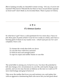[But is looking sexually at a beautiful woman wrong – let's say, if you're not married? Who knows? Should the fact that we have sexual desires separate us from God? I don't think so; he invented them. There is peace in Christ.]

### $+ + +$

#### **17) Abstract Justice**

So what have I got? I have a cold apartment for two more days, I have no job, three pairs of pants (which I wear for two weeks at a time), and I have a burning glob of cheese in my toaster oven – which I just put out. So I can't complain; I have a lot.

To chasten the winds that drift you down To cure the force with force unsound To hold its neck and strangle justice To rape its corpse and neither shame or cuss this

The serial killer is among you. In fact it is you. You have the potential to kill. Just change a few circumstances in your life, and maybe change your parents, and you too may become as hideous as the men we watch on TV news trial footage and gasp in horror of.

Take away the mother that loves you and nurtures you, and replace her with an aggressive domineering bitch who never lets you feel good about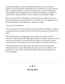yourself and makes you feel inadequate and unloved, a woman that controls you and therefore emasculates you and leaves you a man with no balls – unable to relate to women in a natural way. All your attempts at relationships with the opposite sex are quickly thwarted, so you grow to resent these women and they come to represent your terrible mother.

But you could not be controlled by your mother if you didn't love her so much and long to be accepted by her. So you take out your aggressions on her representatives, her substitutes – innocent women.

Now you're a serial killer.

Once you open the door to sin (be it murder, alcoholic indulgence, adultery, sexual perversion or whatever) you only invite its power to control you to grow.

Once the thought of the aggression takes place, do not give into it. If everyone were convicted for thinking of violent acts, there would be no one left to secure the jails, for we all would be in prison. (Or maybe women would, because I don't think most women think as violently as men do.)

If life's misfortunes have piled up so heavily on you that murder has actually become a way to deal with your pain, stop. You're about to ruin yourself. Cry out to the Lord God Jehovah to take control and stop you from doing this.

#### $+$  1  $+$

#### **18) The Bell**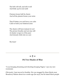The bell will toll, and toll it will And belly up its soul until

Oneness looses half its charm And all the planets bruise your arms

They'll batter you and leave you calm Calm to hold your battered arms

The sheets will burn instead of cool The picture breathe and not stay still As banter wraps in of the pure And densely folds into no cure

My knee!

# $+ + +$

#### **19) Two Shades of Blue**

"I was freuqing dreaming and shooting freuqing Nigers," says my new roommate.

Obviously, I just moved to Southie. He was mugged by three blacks near Broadway Station about two weeks ago (he says), but he hated black people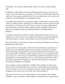long before. He wants to keep Southie white. He wants to keep Southie safe.

In Roxbury, where there are almost all black people living, if you have an enemy or you look like an easy target, your life is at stake. People will freuq with you for no reason, and kill you if you cross them (and cut or shoot you without a second thought). It can happen any day.

In Southie, this happens to a much less degree. People aren't as apt to freuq with you without reason. [Though, I've realized later, this in not always the case.] They even look out for you. There's a sense of respect. Fights break out all the time, and some of the toughest people around live here, but a fight is more likely to end with both parties alive in Southie than in Roxbury.

In Southie, where the people are mostly of Irish descent, there are a lot of murders. It's in the city; so sure, people will drink too much, get frustrated with their family or enemy, and murders occur [not that this is good].

But why is there so much more violence in Roxbury (the black area) than in Southie (the white area)?

A guy I used to work security with (who lived in Roxbury) explained it to me this way. He said black people don't (just listen and smile no matter what silly thing is being said to you, just act interested but not phony, and most importantly, look them calmly straight in the eye, and people should open up to you – but anyway, he said black people don't) naturally have as much pride as white people do. He says white people are just born with it and black people have to fight for it, and how they attain it is usually by becoming as dangerous as possible.

Their trophies are the people they've killed. Their medals are their scars. Their reward is the fear others have for them, and another way of looking at fear is respect – and if you're respected you have pride. [But pride, in the arrogant sense of the word, can be the root of the problem.]

The same is true for a lot of white people, but not as much I don't think. Probably `cause, sometimes, white people are generally more respected by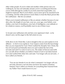other white people. If you're white and another white person sees you walking by, he may not naturally assume you're a scumbag just because you're white [though he could]. If you look somewhat respectable, you might be respected. But if you're black, you're more apt to be assumed to be a scumbag, and the white person is more likely to treat the black person like he's subhuman – like he's an animal.

When you're treated subhuman or like an animal, whether because of your skin color, the length of your hair, your sex, your age, your beliefs, your clothes, your lack of cleanliness, your lack of intelligence, your attitude or for whatever reason, you'll probably react in one of three ways:

1) Accept your subhuman role and kiss your oppressor's butt – so he doesn't carry out his anger to the full extent on you.

2) Be above it; be Christ like. Look it straight in the eye and explain to it its silliness – or don't even explain it. Your respect comes from the knowledge that you are respected by God. Christ washed his disciples' feet. Christ, the Son of God (and God himself), bent over and washed the feet of his servants and said I've come to serve you. The maker of heaven and earth (we can talk about whether you believe Christ is God or not later) leaned over and washed their dirty feet, and said, "I no longer call you servants... I have called you friends..."

"You are my friends if you do what I command. I no longer call you servants, because a servant does not know his master's business. Instead, I have called you friends, for everything that I learned from my Father I have made known to you."

(John 15:14-15, NIV version)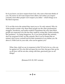So if you know you have respect from God, who cares what man thinks of you. Of course we all want respect from others, but unless you respect yourself, most other people won't respect you either – which brings us to the third response.

3) To act like twice the animal they treat you as. It's only natural. Why do white people wonder why these black people are the cities predominant muggers, murderers, and malice makers? Sometimes the only time black people are respected is by the fear they instill by acting like violent animals, like predators – by being dangerous. So, if you treat people like animals, don't be surprised if they act like animals. But if you're treated like an animal, don't lower yourself and let their treatment of you define you. Be above it. With God on your side, who can be against you?

What, then, shall we say in response to this? If God is for us, who can be against us? He who did not spare his own Son, but gave him up for us all–how will he not also, along with him, graciously give us all things?

(Romans 8:31-32, NIV version)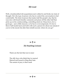### **20) Loud**

Well, a loudmouthed old acquaintance just walked in and broke my train of thought. He's the type of person who has to control the conversation to feel comfortable. The kind of person that makes half the people's day that he runs into with brash friendly comments and pisses off the other half that picks up on his condescending, controlling mind set. Deep down, he's a good guy – just a little insecure, so he has to overcompensate. It's fun to throw half insults back and forth with such a person for about one minute if you're in the mood; but after that sixtieth second, where do you go?

### $+ \uparrow \rightarrow$

### **21) Snarling Leisure**

Theirs are the feet that run to sneer

The silly boys who think they're marred Marred and loosed to fling their hate The easiest of prey is their mark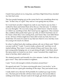### **22) No one Knows**

I hadn't been picked on in a long time, and these High School boys decided my time had come.

The four people hanging out on the corner had to say something about my hair. "Is that a boy or a girl?" they said as I was going into my house.

So I went back out after I clipped my nails in case I had to use my fists. I walked by them and looked them all in the eye. One kid said, "A whisker for your thoughts." He was real young; and I didn't know what he meant, so I didn't say anything to him. But I sized up my aggressors. They seemed like a million other punks that I grew up with, of which I had been one of. So I knew where they were coming from, and I knew they were little threat to me. All four of them might have been able to kick my butt, but I even doubt that. Of course it's easier to say that now that it's over, but they were too young to be much of a threat.

So when I walked back after making a phone call, one of them said, "Didn't you just walk by?" I said, "I went to make a phone call," and then we all started talking. They knew I wasn't afraid of them and I knew they were just young punks hanging out, so we got along all right. I told them about the spray paint we found on our door, `cause I assumed they might have done it, but they didn't admit to it.

We chatted serenely and formally for a few minutes. I asked, "How old you guys were?" They said seventeen to eighteen.

I said, "You're old enough to drink at fourteen around here."

He agreed and said, "I've been screwing girls since I was twelve," as he turned to the two quiet girls standing on the steps. They just turned away.

I really didn't envy this kid. He'll probably be washed up at age twentytwo. The best part of his life will have been used up. He invests little to nothing in his future. He just wants to be tough, get drunk and get laid,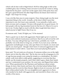which will do him well in High School. He'll be riding high on life in his youthful glory days of being a bum-crevasse to anyone he wants to, being respected by his peers `cause he's in the upper class of the party boys and he's got a good left hook; but after High School, his future don't look too bright – but I hope I'm wrong.

I was a lot like him once in some respects. Once, being tough was the most important thing in the world. Actually, at the time it didn't seem that important to me, but it just came naturally. I was naturally a bully and a bum-crevasse and a scrapper. I'd mess with people for no good reason. I'd kick people with my big mountain boots for the fun of it. Most of it was in fun to me. I'd play fight so much with the other tough kids that when I asked anyone to fight I knew they'd say no.

If someone said, "Yeah, I'll fight you," I'd be stunned.

That's a good way to deal with aggression: Stand right up to it. Look it in the eye and confront it (and pray); and know that if you call on God he will be there. You may still get beat up; I don't know, probably not. You'll probably win in the short or long run, or both. If you turn away with the aggression unchallenged, it may only spur them on to hassle you more and not do you much good – though I don't know if outward aggression is the right manner to deal with it, `cause then you're just playing their game.

Jesus said, "Do not resist an evil person. If someone strikes you on the right cheek, turn to him the other also." But he also tore up the synagogue in a fit of rage because people were using the temple as a marketplace. He didn't calmly walk from table to table gently suggesting to everyone that they kindly use the temple properly, and if they didn't agree, shake their hands and say I understand your position. He went nuts, and flipped their tables over. When questioned by the Pharisees and Sadducees about certain things, he knew their hearts and knew the evils that lurked behind their questions and he went for their throats. Right in front of everyone, he'd call them whitewashed tombs. He was straightforward: aggressive to those who needed to be dealt with aggressively, and merciful to those who were worthy of his mercy.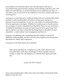Jesus talked a lot about the Spirit, and I feel the Spirit is the key to successful living, good decision making, and in dealing with life's pain. The Spirit of God is the key; it can take the place of any addiction you have. It can relieve you of your fear. It can empower you to love, which is the key to receiving love.

God gives us more than just a rulebook along with our wretched flesh that's inclined to seek anything that will relieve us from pain and give us pleasure, however temporary it may be, or to battle our natural inclination to be arrogant power mongers. Whether it's world power or family power, our arrogance is easily unmasked from the White House to our own house. To battle the inclination towards sin and living our lives apart from God that we all have, he does not just list the things that we shouldn't do and should do – a cold written word of judgment and that's it.

He gives us something else, something that the unbeliever may have difficulty understanding, and the wise man may explain away the powers that believers "think" they experience.

God gives us the Holy Spirit, the Comforter.

John answered them all, "I baptize you with water. But one more powerful than I will come, the thongs of whose sandals I am not worthy to untie. He will baptize you with the Holy Spirit and with fire."

(Luke 3:16, NIV version)

Jesus said something like: After I leave here, the Father will send the Holy Spirit to look after you.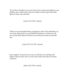"If you then, though you are evil, know how to give good gifts to your children, how much more will your Father in heaven give the Holy Spirit to those who ask him!"

(Luke 11:13, NIV version)

"When you are brought before synagogues, rulers and authorities, do not worry about how you will defend yourselves or what you will say, for the Holy Spirit will teach you at that time what you should say."

(Luke 12:11-12, NIV version)

Jesus replied, "If anyone loves me, he will obey my teaching. My Father will love him, and we will come to him and make our home with him."

(John 14:23, NIV version)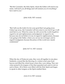"But the Counselor, the Holy Spirit, whom the Father will send in my name, will teach you all things and will remind you of everything I have said to you."

(John 14:26, NIV version)

"But I tell you the truth: It is for your good that I am going away. Unless I go away, the Counselor will not come to you; but if I go, I will send him to you. When he comes, he will convict the world of guilt in regard to sin and righteousness and judgment: in regard to sin, because men do not believe in me; in regard to righteousness, because I am going to the Father, where you can see me no longer; and in regard to judgment, because the prince of this world now stands condemned."

(John 16:7-11, NIV version)

When the day of Pentecost came, they were all together in one place. Suddenly a sound like the blowing of a violent wind came from heaven and filled the whole house where they were sitting. They saw what seemed to be tongues of fire that separated and came to rest on each of them. All of them were filled with the Holy Spirit and began to speak in other tongues as the Spirit enabled them.

(Acts 2:1-4, NIV version)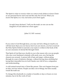The Spirit is what we receive when we come to truly believe in Jesus Christ as our personal Savior and Lord and the only Son of God. When you receive the Spirit, in a very real sense you're born again.

In reply Jesus declared, "I tell you the truth, no one can see the kingdom of God unless he is born again."

(John 3:3, NIV version)

If you come to God through Jesus, you may not feel a thing (or maybe you will feel more than you ever have), but if you are sincere, you have received the Holy Spirit (I believe) and also your name is written in the book of life as your assurance of eternal life through Christ.

That Spirit of God that now dwells in you is the reason why you see people who once were hardened criminals with seedy eyes, now having the clearest eyes around. A person full of hate and anger, without going through six years of intensive therapy, without having done anything but laying their miserable lives in God's hands, now full of love, compassion and understanding.

A wild animal turned into a Christ like person. This can't happen from just an idea, not true reform. People can fake a lot of things, but time usually weeds the truth out.

To change this drastically in a matter of months or days or hours or even minutes, has to be the work of God.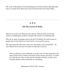The work of the Spirit of God breaking down all the barriers that kept that man or woman from their true selves and from their heavenly Father.

## $+ + +$

## **23) The Union of Strife**

What do you tell your thirteen-year-old son when he tells you he has visions of stabbing his mother to death? My friend's son told him this.

Why do so many marriages end in divorce? Probably the main reason is people don't truly believe in God and his word and his power.

The man hears that the man is the man, the leader of the household – all very biblical (I'm sure lots of women would hate to know).

Wives, submit to your husbands as to the Lord. For the husband is the head of the wife as Christ is the head of the church, his body, of which he is the Savior. Now as the church submits to Christ, so also wives should submit to their husbands in everything.

(Ephesians 5:22-24, NIV version)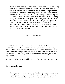Wives, in the same way be submissive to your husbands so that, if any of them do not believe the word, they may be won over without words by the behavior of their wives, when they see the purity and reverence of your lives. Your beauty should not come from outward adornment, such as braided hair and the wearing of gold jewelry and fine clothes. Instead, it should be that of your inner self, the unfading beauty of a gentle and quiet spirit, which is of great worth in God's sight. For this is the way the holy women of the past who put their hope in God used to make themselves beautiful. They were submissive to their own husbands, like Sarah, who obeyed Abraham and called him her master. You are her daughters if you do what is right and do not give way to fear.

(1 Peter 3:1-6, NIV version)

So man hears this, and of course he distorts it. Instead of the leader, he becomes the raving domineering, controlling, unreasonable, insulting dictator. The woman may at first be attracted to his air of arrogance or his, what seems like, strength; but later she finds out that what once attracted her to him is the same thing (once seen in its full-blown state) that now repulses her.

Man gets the idea that he should be in control and carries that to extremes.

But Scripture also says...

Husbands, love your wives, just as Christ loved the church and gave himself up for her to make her holy, cleansing her by the washing with water through the word, and to present her to himself as a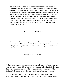radiant church, without stain or wrinkle or any other blemish, but holy and blameless. In this same way, husbands ought to love their wives as their own bodies. He who loves his wife loves himself. After all, no one ever hated his own body, but he feeds and cares for it, just as Christ does the church–for we are members of his body. "For this reason a man will leave his father and mother and be united to his wife, and the two will become one flesh." This is a profound mystery– but I am talking about Christ and the church. However, each one of you also must love his wife as he loves himself, and the wife must respect her husband.

(Ephesians 5:25-33, NIV version)

Husbands, in the same way be considerate as you live with your wives, and treat them with respect as the weaker partner and as heirs with you of the gracious gift of life, so that nothing will hinder your prayers.

(1 Peter 3:7, NIV version)

So the man abuses his leadership role (as many leaders will) and treats his wife, and maybe his children too, like dirt. Instead of leading, he'll demand their every attention and throw fits of rage when he doesn't get it. The slightest fault is seen in his wife and quickly described and insulted.

He goes out and drinks all night to come home and make everyone miserable. If his wife wants something and asks him for it, before he even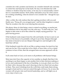considers his wife's position and desires, he considers himself only and tries to control her and keep her on his leash. He may even threaten her with violence or death to keep her in line, or he may try to unreasonably control her in a reasonable manner. He'll calmly rationalize away his wife's reason for wanting something, when he doesn't even consider her – though he says he does.

After a while, the wife realizes that she's getting nowhere with you and finally says, "Freuq off, you arrogant putz," and his false kingdom is ruined. Then he wonders why she is not obeying him anymore.

His phony ideas of what being a man is ruined everything, or maybe just his selfishness did it; but either way the wife says, "To hell with you," and begins to take some or all of the control by simply saying good-bye – by pure leaving power.

If the husband wants respect from his wife and family, he has to earn it, not force it. If he forces it, he probably will get it out of fear. Respect through fear alone is bound to run out. Respect through love and strength is the kind that will last.

If the husband wants his wife to act like a caring woman, he must love her and care for her. If he wants her to be a bitch, or leave him, or live a timid existence in fear of him, then the arrogant bum-crevasse approach will do it.

It all comes back to God, as do most or all problems with human beings.

Most men don't have the capacity to love another so deeply that they'd do anything to see them happy or put another first in their decision making or to love and understand in the face of hardship, to even give their own lives for their wife's, because they aren't drawing on the love that God can place in them. They aren't drinking from the wells that could make them strong enough to lead and love, but not control through evil forces. So, in turn, the woman will not give into such horrid leadership, and so will fight you at every step or leave you.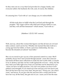So they miss out on a way that God provides for a happy family; and everyone suffers: the husband, the wife, and, of course, the children.

It's amazing how "God with us" can change you; it's indescribable.

All this took place to fulfill what the Lord had said through the prophet: "The virgin will be with child and will give birth to a son, and they will call him Immanuel"–which means, "God with us."

(Matthew 1:22-23, NIV version)

Well, anyway, about this woman that figures out that all men are evil and takes control, watch out for her. Whether she learned this false truth at a young age from her father, or from a previous relationship, she may become the dreaded yet adored "man-killer."

She is in no mood to give up any of her personal control to a man. She'll probably always have men around though (maybe `cause she's insecure and needs all these men's affections to make her feel worth while, or maybe to try to destroy and take out her wrath against the evil race – men), but she may steal your balls right away from you and then not be attracted to you `cause you have no balls anymore. You can't win (unless you have God's patience and strength). If you stand up to her and put your foot down and don't let her have her way every time, she just says, "Freuq you, I do what I want," and leaves. If you give into her and turn into a wimp (and let her have her way all the time), she gets sick of you `cause you're less the man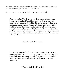you were when she met you and so she leaves also. You must have God's patience and strength and love to deal with her.

She doesn't need to be such a bitch though; she needs God.

If anyone teaches false doctrines and does not agree to the sound instruction of our Lord Jesus Christ and to godly teaching, he is conceited and understands nothing. He has an unhealthy interest in controversies and quarrels about words that result in envy, strife, malicious talk, evil suspicions and constant friction between men of corrupt mind, who have been robbed of the truth and who think that godliness is a means to financial gain. But godliness with contentment is great gain. For we brought nothing into the world, and we can take nothing out of it.

(1 Timothy 6:3-7, NIV version)

But you, man of God, flee from all this, and pursue righteousness, godliness, faith, love, endurance and gentleness. Fight the good fight of the faith. Take hold of the eternal life to which you were called when you made your good confession in the presence of many witnesses.

(1 Timothy 6:11-12, NIV version)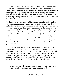She needs God to help her to stop resenting these stupid men and choose one that would love her and treat him like her hero, not her slave. If she wants a man, she should treat him like a man and not threaten him with her leaving power, or by making him feel jealous or inadequate – and vice versa. Should the man make his wife, or his woman, feel insecure in the relationship for no good reason? If he wants a woman, he should treat her like a woman.

She should nurture him and love him, instead of ruining both your lives with petty arguments and demand her way all the time so he ends up feeling like less then a man. Pick a man who loves you deeply and will put you before his own life. If you make such a man feel like a man, or even a hero (and in control), than you've made yourself a man and a hero who will truly love you and will try to see to it that you are happy. For he needs your love and support to become his best, and in turn (if all goes according to the text) will treat you like gold and not try to unreasonably control you, but rather look out for your benefit as you look out for his. It's better than being each other's worst enemies and spending your whole lives getting nothing done other than the work of tangling up relationships. Surely there are greater goals to obtain.

Few things go by the text and it's all not so simple, but God has all the answers and can weed out all of your personal details and provide the best answer for you. He describes for us how to live in his word, but we think it's unrealistic. We're so used to the world's way (in love, in marriage or in anything). We copy those who are not in touch with God; and even if we hear the way of God, it seems impossible to live up to. Which it is, it is impossible to follow God – like Jesus says about the rich man...

"Again I tell you, it is easier for a camel to go through the eye of a needle than for a rich man to enter the kingdom of God."

(Matthew 19:24, NIV version)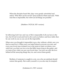When the disciples heard this, they were greatly astonished and asked, "Who then can be saved?" Jesus looked at them and said, "With man this is impossible, but with God all things are possible."

(Matthew 19:25-26, NIV version)

So following God's law and way of life is impossible if all you have is the law, but if God is real and God is alive and you believe and have faith, then he can work in you so you can do the impossible.

When once you thought it impossible to go a day without a drink, now you find no need for it. When once you hated almost everyone you met, and even your loved ones irritated you to the point of sheer revulsion, now, with God, you find you love even the filthy bums lying in the gutter, and cry tears of joy when you see your loved ones. You now see only the love behind all the annoying things they do, and correct them gently.

Brothers, if someone is caught in a sin, you who are spiritual should restore him gently. But watch yourself, or you also may be tempted.

(Galatians 6:1, NIV version)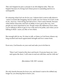This can't happen by just a concept or an old religious idea. This can happen because of a living God whose power is unending and love is unstoppable.

It's amazing what God can do for you. I almost don't want to talk about it `cause it sounds like bragging, but it's really not, for I know it's God's work in me. Anyway, I feel strong and full of love. I have more friends, because when before insecurity and lack of ability to love got in the way, now people are more important to me. People notice the difference from when you're talking to them to get it over with and to be polite, and when you're talking to them `cause you like or love them.

But enough talk for me. It's time to talk, or listen, to God from whence my long awaited and much appreciated strength and love comes from.

Even now, God knocks on your soul and asks you to let him in.

"Here I am! I stand at the door and knock. If anyone hears my voice and opens the door, I will come in and eat with him, and he with me."

(Revelation 3:20, NIV version)

He only knocks because he loves you, and doesn't want to be robbed any longer by you denying him to know you.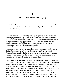# $+ + +$

## **24) Hands Clasped Too Tightly**

I don't think there is a time before this time, ever, when circumstances have been worse. I'm technically homeless – not really, I do have a roof over my head, but it's not my place.

I can't seem to hold a job recently. They go as quickly as they come. I was working a good security job for a couple of weeks, about a month and a half ago, but unfortunately I was injured on the job and couldn't walk well enough to continue my appointed rounds. I screwed up my knee by walking into a low strung cable while eating nachos and fell over, slamming my knee into the hard brick ground.

No one saw it happen, so I'm sure all my fellow employees think I staged the incident as to receive Workers Compensation. I have not received Workers Compensation. I offered to go back to work with less strenuous rounds, but my employers did not seem willing to cooperate, not even returning my phone calls; so that's the end of that.

Then about two weeks ago I landed a mover's job. I worked for a week with a bad knee. It was such good money that I ignored the pain of my knee and the damage I was doing to it. I worked hard twelve-hour days, moving up to sixteen thousand pounds of home furniture and knickknacks. One day we worked fourteen hours, and I didn't even get to eat because I was broke. It was great though. I think so much that I need to use my body and do something physical to balance my self out. All I did was pick up heavy boxes and bring them to the truck. I thought I finally was gonna get my piece of "American Pie" and make some money and get out of debt and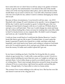have some left over so I don't have to sell my amp or my guitar or borrow money to get by; but unfortunately I was hired at the end of the month when a lot of the moving business takes place, and so after the first of the month there was no more work for me. I was left with a bad knee (which cuts out a lot of jobs for me, unless I want to continue damaging my knee) and no job.

Because of these circumstances, I was forced to sell my amp – my 4X12 Marshall with vintage 25 watt Celestians to be specific. I never plugged it in till the day I sold it, and it sounded so good, I wished the guy who was looking at it had tried to bargain with me so I could say I'll think about it and give you a call back later. That way I could change my mind and keep the cab without feeling like a bum-crevasse for making him come fifty miles to find I've backed down on my original offer. He didn't want to bargain and took my cab. I needed the money.

I wish my knee would heal so I could join the Marine Reserves. I need a break like that to get my life in gear. [I realized later, it wasn't quite the break I expected.] I need to be a grunt for a while, and then come back, hopefully, and work hard at my music and writing or whatever God leads me to do. It would be great to do it, and get out of debt at the same time from the money I'd make and couldn't spend till I got out.

So my knee is holding me back. I feel like I'm living the life of a senior citizen at age twenty-two. I walk with a cane and have no job. I lived in a senior citizen building for more than ten years, so I might as well give up and join them. I sit at coffee shops as much as an elderly person. I do a lot of writing there. There's just enough distraction around to keep me going; whereas if I'm in a room alone, I get bored too quickly and put the pen down – though lately, I've been able to write in a house alone.

The woman I love wants nothing to do with my love. She has her own life and doesn't want me to be a big part of it.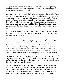I've spent years working on music, and now my band is barely playing together. The prospects of making a living at it are dim. So I don't get to spend as much time on it as I'd like.

If my knee heals and I do go to the Marines, there's a good possibility that a war will break out; and who knows, I could be killed at age twenty-two or twenty-three: never to see any significant payback for my work in life, or for my suffering, never to have made love to the woman I love from the depth of my soul, never having to have children, never having success, climbing up the steep, treacherous hill of life in hope of being able to run gleefully down the other side, only to be ambushed once I hit the top of the hill.

For some strange reason, while my friends are dying around me, and the world gets more sick and merciless and dangerous and colder every day, I feel "a calmness," "a peace."

At another time, under such circumstances, I would have given up. I would have given in to this world's way of playing the game. This world or life would have beaten me into submission, beaten me into acting as detrimentally and negatively as the forces that dragged me to this point. I would take out my childhood (or adulthood) anger on all who cross my path. I would return my unreturned love with bitterness and possibly violence. I would submit to the rules of oppression that oppressed me, and carry out my outrage of these rules by obeying them in even greater detail.

I wouldn't care whom I hurt, as long as I'm amused. I'd lead people on as if I care about them, knowing full well I really don't. I'd use them selfishly for my benefit. And once I've drained them till they're of no use to me, I'll drop them like a knife at a murder scene.

Though, I'd probably be so screwed up that I couldn't even get someone interested in me enough so I could use that person. So I'd probably have even shallower relations with women, like one night long, and get heavy into excessive sexual pleasure and pornography. Also, I'd surely start to drink heavy, and maybe pick up a new habit like cocaine or heroine.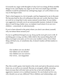I'd nourish my anger with thoughts of why God was doing all these terrible things to me, and display my anger to all. Not even small dogs and little children would be pardoned my unforgiving anger, as I yell at them on my way to the liquor store.

That's what happens to a lot of people, and has happened to me in the past. We become beat by the evil ordinances that rule our world, that have been at work for so long that it only seems natural to join them. If your father was aggressive towards you in an unreasonable manner, instead of rising above it and living a better way, we imitate it and return it on our own children – consciously or subconsciously.

If you've been abused to the point where you don't care about yourself, why not abuse those around you?

If your ex-girlfriend freuqed you up, freuq up the next girl you're with. If anything goes wrong, run like a little child to the nearest thing that will help you forget your pain, as if it were your mother's arms. Even if that thing will hurt you, or somebody else, it doesn't matter; all that matters is your relief.

Our mothers are our alcohol Our fathers are our dreams Our children are our sorrows Our wives... our magazines

Play this world's game. Join hands in the circle and spit at the person across from you, as well as on yourself. Become an arrogant, selfish, uncaring bum-crevasse that will only look out for his or her self (whether in an aggressive manner or in a subdued manner). No one looked out for you, why should you act any different? Have children and relationships, and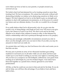screw them up twice as bad as your parents, or people around you, screwed you up.

We forfeit what God had planned for us by trusting ourselves more than trusting God. We have no patience. We cannot face adversity without selfdestructing (whether we realize we're destroying ourselves or think we're happy). We don't depend on God or on his Spirit to give us strength and patience to deal with unpleasant circumstances, or on his power to control our future and our ultimate destiny. If we did, we wouldn't be so freuqed up.

If we really believe that God is all-powerful, why do we give into the world's way of doing things, and laugh at God's way? We never even give God a fair chance to work in our lives. We don't even ask for his help. (Maybe we're afraid of the coldness it seems to offer, in the falseness by which a relationship with God is portrayed through movies or by people.)

God may put seemingly unbeatable circumstances around you only to show you his strength, and to see you turn to him. If you did, you may be amazed at what God can really do.

An ancient idea can't help you, but God knows he's alive and wants you to find this out also.

He may put or permit an army of two thousand machine-gun totting madmen to surround you on all sides while you are alone and have just woken up so your head is reeling as you lose your sight in a morning daze. All you have as a weapon is an old toothpick, softened by your gums from sucking on it, held limply by your five broken fingers. Your shoes have been tied together as a prank from a friend, ignorant to your future predicament.

All this, so that he could see you turn to him and ask for his help. If you do ask for help, you will have the advantage. If you believe God, and have faith in him...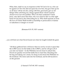What, then, shall we say in response to this? If God is for us, who can be against us? He who did not spare his own Son, but gave him up for us all–how will he not also, along with him, graciously give us all things? Who will bring any charge against those whom God has chosen? It is God who justifies. Who is he that condemns? Christ Jesus, who died–more than that, who was raised to life–is at the right hand of God and is also interceding for us. Who shall separate us from the love of Christ? Shall trouble or hardship or persecution or famine or nakedness or danger or sword?

(Romans 8:31-35, NIV version)

...you will find out what David found out when he fought Goliath the giant.

"All those gathered here will know that it is not by sword or spear that the LORD saves; for the battle is the LORD's, and he will give all of you into our hands." As the Philistine moved closer to attack him, David ran quickly toward the battle line to meet him. Reaching into his bag and taking out a stone, he slung it and struck the Philistine on the forehead. The stone sank into his forehead, and he fell facedown on the ground.

(1 Samuel 17:47-49, NIV version)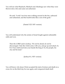You will see what Shadrach, Meshach and Abednego saw when they were thrown into a fire and came out unburned.

He said, "Look! I see four men walking around in the fire, unbound and unharmed, and the fourth looks like a son of the gods."

(Daniel 3:25, NIV version)

You will understand why the armies of Israel fought against unbeatable odds and won.

Then the LORD said to Joshua, "Do not be afraid; do not be discouraged. Take the whole army with you, and go up and attack Ai. For I have delivered into your hands the king of Ai, his people, his city and his land."

(Joshua 8:1, NIV version)

You will know why Jesus Christ accepted the task of torture and death on a cross; for on the third day he rose again, and conquered death itself.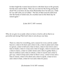In their fright the women bowed down with their faces to the ground, but the men said to them, "Why do you look for the living among the dead? He is not here; he has risen! Remember how he told you, while he was still with you in Galilee: `The Son of Man must be delivered into the hands of sinful men, be crucified and on the third day be raised again.'"

(Luke 24:5-7, NIV version)

Why do we give in so easily when we have a God to call on that is so powerful and strong? But God's time is not always our time.

There is a time for everything, and a season for every activity under heaven: a time to be born and a time to die, a time to plant and a time to uproot, a time to kill and a time to heal, a time to tear down and a time to build, a time to weep and a time to laugh, a time to mourn and a time to dance, a time to scatter stones and a time to gather them, a time to embrace and a time to refrain, a time to search and a time to give up, a time to keep and a time to throw away, a time to tear and a time to mend, a time to be silent and a time to speak, a time to love and a time to hate, a time for war and a time for peace.

(Ecclesiastes 3:1-8, NIV version)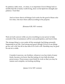So patience, faith, trust... et cetera, is so important. Even if things look so terrible that life is barely worth living, draw on his Spirit for strength and patience. Trust that:

And we know that in all things God works for the good of those who love him, who have been called according to his purpose.

(Romans 8:28, NIV version)

Wait on God's answer while you do everything in your power to help yourself, if the circumstances call for your participation, and trust in him.

The strange thing is, even under all the seemingly bad things presently happening in my life, I feel strong and good, though I'd love to see things go my way a bit, but all in due time if it's God's will. Hardship may be good for me for a while.

Consider it pure joy, my brothers, whenever you face trials of many kinds, because you know that the testing of your faith develops perseverance. Perseverance must finish its work so that you may be mature and complete, not lacking anything.

(James 1:2-4, NIV version)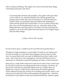Pain is character building. The angels even want to look into these things concerning God's grace and mercy.

Concerning this salvation, the prophets, who spoke of the grace that was to come to you, searched intently and with the greatest care, trying to find out the time and circumstances to which the Spirit of Christ in them was pointing when he predicted the sufferings of Christ and the glories that would follow. It was revealed to them that they were not serving themselves but you, when they spoke of the things that have now been told you by those who have preached the gospel to you by the Holy Spirit sent from heaven. Even angels long to look into these things.

(1 Peter 1:10-12, NIV version)

If I never knew pain, I couldn't say for sure that God is greater than it.

Though it is tough sometimes, I must admit. It's hard for my human eyes (even as fervently as I write about these things) to always trust in God's way. I'm scared that God's way may be different from what I really, truly want – that I may have a fear of penguins, and God will lead me to be a missionary in Antarctica to paint the penguins all white, so they look pure.

Deep down, I really believe that God wants for me what I truly would want for myself if I could see everything into the ends of eternity, and knew all the secrets of life that are presently hidden from me. I believe they are hidden for a reason, so that I trust in the person of God through Jesus Christ without knowing the reasons for everything and exactly where I will end up (even in the face of the world seeming to be against me – and him). So he knows I truly believe in him and where he'll lead me, without a game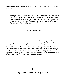plan or a blue print. So he knows (and I know) I have true faith, and that I love him.

In this you greatly rejoice, though now for a little while you may have had to suffer grief in all kinds of trials. These have come so that your faith–of greater worth than gold, which perishes even though refined by fire–may be proved genuine and may result in praise, glory and honor when Jesus Christ is revealed.

(1 Peter 1:6-7, NIV version)

Just like a soldier who trusts his commanding officer and gets killed – no, just kidding. Your commanding officer may or may not be trustworthy. That's for you to decide whether to follow or not; but I believe God is trustworthy. So I will follow, or try to, even if everything doesn't always make perfect sense to my little mind. This is because I've met God through Scripture, through people who know God, and through personal experience. I have grown to see that he is true and trustworthy and will not let me down, even if it seems that way circumstantially.

#### $+ + +$

#### **25) Gore to Meet with Angels' Feet**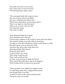The earth was born in seven days How many days to trace its maze? The burning hearts reply in gore:

"The ransomed bride will weep no more Her eyes will see and not go blind Her eyes will plead and surely find Where here meets there and up meets down There is no speck to stain her gown There is no word to cause her fall Nor break her stride Her name is called"

Their battered bodies lie in ruins Their shameless lives left still For the angry children of the world to mock and scorn them The martyrs' deaths were left without mourning No king to write their handsome names on the shore of walls But their names were in the book of life And thus they knew that when their foes Had placed their bitter knives Deep into their hearts To pierce their very souls Their souls would not die There souls could not die For they were not born of flesh and blood They soared like gulls above the seven plagues That lavished down on these holy grounds

"These grounds were defiled by stubborn darts To reach their goals, they whipped their hearts And taught them to be still To gain as much as the world could provide 'The glory years of suicide!'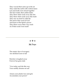They waved their arms up in the air They ruled the earth with violent stares Lies and truth were mixed together The liar's teeth, their ankles fetter They threw their souls away like lint They threw their souls away like trash They saw no need to cultivate The seed of the word of God And learn of the Spirit's power They threw away their very souls As if their souls were trash"

### $+ \uparrow \rightarrow$

#### **26) Toys**

The empty days of savagery Are destined soon to fail

Eternity is laughed away Forever has gone stale

"Live today and die this way Your earthly dreams set sail

Amass your plastic toys and grin Accumulate your power"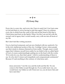# $+ \uparrow \rightarrow$ **27) Every Day**

Every day is a new day, and every day I have to seek God. Can I just come to God and that's it, never having to seek him again? I have to continue every day to drink from the water of life and eat the bread of life that is Christ Jesus (and feed on the Spirit). When I do this I am not left with the normal void of agony that I would usually carry with me into all facets of my life.

But I don't feel like writing anymore.

I'm at a fast-food restaurant, and am now finished with my sandwich. I'm in the rich, intellectual section of the city, Coolidge Corner, where people use their minds to distance themselves from reality. Though, many would argue that I distance myself from reality by my belief in the so-called Spirit of God, of course understandingly patting me on the head with the words, "If it works for you, then that's great," which is understanding of them to say. So why don't I return such empathetic and compassionate sentiments? Because if I said anything to the contrary of what Jesus said...

Jesus answered, "I am the way and the truth and the life. No one comes to the Father except through me. If you really knew me, you would know my Father as well. From now on, you do know him and have seen him."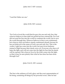#### (John 14:6-7, NIV version)

"I and the Father are one."

#### (John 10:30, NIV version)

"For God so loved the world that he gave his one and only Son, that whoever believes in him shall not perish but have eternal life. For God did not send his Son into the world to condemn the world, but to save the world through him. Whoever believes in him is not condemned, but whoever does not believe stands condemned already because he has not believed in the name of God's one and only Son. This is the verdict: Light has come into the world, but men loved darkness instead of light because their deeds were evil. Everyone who does evil hates the light, and will not come into the light for fear that his deeds will be exposed. But whoever lives by the truth comes into the light, so that it may be seen plainly that what he has done has been done through God."

(John 3:16-21, NIV version)

The Son is the radiance of God's glory and the exact representation of his being, sustaining all things by his powerful word. After he had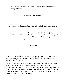provided purification for sins, he sat down at the right hand of the Majesty in heaven.

(Hebrews 1:3, NIV version)

...I feel I would only be misleading people. If the Scriptures did not say...

Just as man is destined to die once, and after that to face judgment, so Christ was sacrificed once to take away the sins of many people; and he will appear a second time, not to bear sin, but to bring salvation to those who are waiting for him.

(Hebrews 9:27-28, NIV version)

...then my beliefs and their beliefs would not be a pressing matter, only a matter of amusing conversation of cultural differences and of varying philosophies of living life.

I sit here alone at the restaurant, thinking that I have found the secrets of life and have been blessed with the greatest gift known to man: The knowledge of the living God and a relationship, even a friendship, with this God. I feel that I have found the cure-all to all problems and for all people, as silly as it sounds. Dear Lord, forgive me if I do not shout from the hills about this wonderful peace I've found.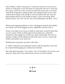Peace? Before, I didn't want peace. I would have thrown it away for two tickets to a ball game, or for free beers at a strip joint, but now I want and have peace, and I see so few around me who have peace also. I see many with docile resignation, sitting quietly and waiting for their lives to end, without the courage or the energy to even live before they die. Fear has their epitaph etched in cold marble for them, "I just went along, didn't bother anyone, saw a few movies, ate a few hamburgers and died – sorry."

What are the biggest problems we have, the biggest obstacles that inhibit us? I think a few of the biggest are fear, selfishness and lack of love.

If fears were taken away from us, think of what doors would be open that are now closed. Think of all the girls (or boys) that have walked by unspoken to that might have ended up a good relationship. Fear, fear of rejection: Think of all the things unsaid to the ones you love, as they slip further and further away from you.

Stubbornness and pride court fear in the dark.

A "noble" statesman, persuading the masses with his speeches, may truly be a fearful child tapping in on others fear and hate.

But what about just plain, "I'm a pussy," fear. It's horrible to live in fear, and many do. Many don't leave their houses for fear of what's outside.



**28) Lust**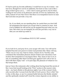If I had to pick my favorite addiction, I would have to say it's women – not true love, though love can be an addiction, but more so lust. Lust is like a drug in that it gives you a... – well, I don't wanna get into it, but it's there, waiting for me to bow to its pleasures and rely of it for my satisfaction, my relief, instead of God. But I know that there is no temptation known to man that God does not provide a way out.

So, if you think you are standing firm, be careful that you don't fall! No temptation has seized you except what is common to man. And God is faithful; he will not let you be tempted beyond what you can bear. But when you are tempted, he will also provide a way out so that you can stand up under it.

(1 Corinthians 10:12-13, NIV version)

If you look for it, and pray for it, your escape will come. You will not be tempted beyond your power to resist; God promises this. Many will say, "There was no way out, I had no choice, I had to do it," but they only considered the immediate pleasure ahead of them and welcomed, if not invited, their temptation to encompass them. They chose to bow to it, to rely on something other than God that goes against God's will or law to deal with their empty void – or to just enjoy the pleasure of whatever it is that temps them.

Just as I leave the restaurant, after writing about having found the secrets of life, I soon find myself looking at the "Porn" section in the nearest video store – my heart aflutter at the glorious sights I see of the woman's body, only seconds after I scream from the hills of God's power. How is this? Am I a liar, is this okay, or am I in constant battle between the fleshly minded and the spiritually minded self? (And the winner depends on my ability to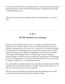let God win or let the flesh win.) [But should we really beat ourselves up for having God given sexual desires? Sexual pleasure, experienced in his will, is God's blessing on us.]

This train I'm on speeds incredibly loudly as if to destruction – but it did stop.

 $+ + +$ 

### **29) The Weakness of Guessing**

We only seem to inhibit ourselves. We, or at least I, sometimes have the tendency to act towards others in the way we think that they perceive us, instead of acting the way we want to act – or the way we would want them to act towards us. If I thought that you really didn't want to see me, and I happen to run into you, I might act antagonistic and wise as if to combat your supposed ill feelings of me. I'd do this to get a sense of being in control, though, in reality you may actually like me and have no ill feelings of me. I second-guessed you and was so insecure that I had to cover myself by acting a certain way – a certain defensive way.

So I only inhibit our relationship by my insecurity and defensiveness. What I should do is act towards you the way I really want to act towards you, or the way I would want you to act towards me.

This is no new psychological concept, but only the restating of the words we may all have heard spoken by the Lord Jesus Christ.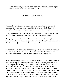"So in everything, do to others what you would have them do to you, for this sums up the Law and the Prophets."

(Matthew 7:12, NIV version)

This applies to both parties: the second-guessing defensive one, and the misunderstood, second-guessed, unfairly treated one. Both should rise above the other's treatment and treat the other as if they were themselves.

Rarely does even one of the two parties take this stand. If only one of them did this, it may well eventually lead the other to act the same way.

But again, you, or at least I, need God in order to have the strength (the release from the fear of rejection) and the love (the ability to even care about the other person) before we can treat anyone in this manner.

This doesn't necessarily mean always being nice either. Sometimes it would be more helpful to someone to be stern then friendly – but only if it was done to ultimately benefit the person. It depends on the situation.

Instead of treating someone we like as a close friend, we might treat him or her as an enemy or a cold acquaintance. Instead of treating the woman we love as a princess, we might treat her like a wart faced bar hag – `cause that's how her last boyfriend treated her... and she still loves him. So you figure I'll treat her like dirt and she'll love it – and she may love you for it, `cause it's what she's used to. We all have a soft spot for what we're used to, even if what we're used to is agony. But why not be different and do things God's way for a change, instead of trusting the soap operas or the movies? If you do love her, why not treat her like you love her – what an insane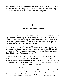freuqing concept – even if she acts like a bitch? If you do, instead of going down to her level, you might bring her up to yours. Not that you're any better, just that you tried this weirdo God-love thing first.

## $+1+$

## **30) Cornered Belligerence**

I can't write. I feel like I've been climbing a never-ending thorn bush ladder. My hands are scarred; my feet are bleeding; yet I still climb – because the alternative is far worse than my temporary hardship. I could compromise a little every day: bend a little and give a little, not be so idealistic, pick the easy things that God asks of me and forget the rest.

"God is great, but this is the real world you're living in, kid." It's been told to me a thousand times, and these are probably the second saddest words ever uttered – the first saddest, "Separation from God," the second saddest, "Sure, I believe, but I'll do things my way."

I watch a television interview, and a famous actor is asked, "How do you deal with your movies, where your actions in the movies go against your personal beliefs?" He was stumped. A tear swelled in his millions of women adored eyes. He mumbled something, but you could tell he was thrown off guard and hurt by the situation caused by the question.

I liked this guy, and still do. From the interview he seemed like a nice guy. I felt bad for him, for he may have gained worldly success at the expense of compromising what he truly believed in. I'm not judging, because I have done and probably will do the same thing again – compromise. Take the ball away from God because he didn't shoot it when I thought it was time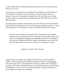to shoot (like Stevie Wonder taking the ball away from Larry Bird) and so find my own way.

Every time you compromise yourself and your beliefs, you get shallower and shallower and more and more phony, until you finally end up a normal American. One person's compromise will make him poor, while another person's compromise will make him rich, but still one is no better than the other.

It's amazing how people will actually run away from you if you talk about these things, like being true to God and not compromising yourself – or just God in general. It's as fearful to some as a bloody knife waved in anger.

For the word of God is living and active. Sharper than any doubleedged sword, it penetrates even to dividing soul and spirit, joints and marrow; it judges the thoughts and attitudes of the heart. Nothing in all creation is hidden from God's sight. Everything is uncovered and laid bare before the eyes of him to whom we must give account.

(Hebrews 4:12-13, NIV version)

I approached two people (one might call them bums, but I'll call them people – street people) out stemming (asking for money) at the Store 24. One of the guys, Jack, I had spoken to a few days earlier. He was facing a possible six months in Walpole Prison and had been thrown out by his wife for hitting her, and so was now plastered (drunk). Though, he did have a secret hideaway where he could sleep.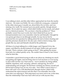I left you in your angry dreams Never to... Never to...

I was talking to Jack, and this other fellow approached me from the nearby stairway – his name was Eddie. He was a relatively young guy, compared to the older street guys I usually see, about thirty-five to forty, and was missing a few teeth. He warmed up to me pretty quickly, though almost angrily. He invaded my space, which didn't bother me too much, and asked me in a rhetorical manner, "Do you know what the problem is?" These probably weren't his exact words, but I don't think he'll sue me for misrepresentation (nor even remember what he said himself). I thought he was gonna get deep on me [though actually, he may have], but he answered his own question by talking about the lack of street cleaning and said the prisoners should do it. He also said, which is kind of deep, that people like me, Jack and himself, should be the politicians.

All three of us kept talking for a while longer, and I figured I'd try the empty void filled by alcohol instead of God spiel. Eddie truly got scared. He said, "Wait a minute; what's going on here?" After getting his money from Jack, he walked quickly away. He couldn't bear to hear it, but I know what he feels like.

I remember a good friend trying to talk to me about my drinking too much and getting into fights, and not being close to God anymore or even trying to deal with God the way I had used to – not to mention my being selfish, childish, impatient, rude, uncaring, callused, unforgiving, devoid of understanding and arrogant. He had been watching me destroy myself and felt he had to bring it up, for my own sake – but I didn't want to hear it. I knew full well I was a self-absorbed jerk (though maybe I didn't fully understand the repercussions) and also that I was miserable, but at the same time was enjoying it. That enjoyment was more real to me, at the time, than the relationship I had once had with God (or with anyone else).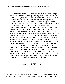I was enjoying my misery and wanted to get the most out of it.

Jesus continued: "There was a man who had two sons. The younger one said to his father, `Father, give me my share of the estate.' So he divided his property between them. Not long after that, the younger son got together all he had, set off for a distant country and there squandered his wealth in wild living. After he had spent everything, there was a severe famine in that whole country, and he began to be in need. So he went and hired himself out to a citizen of that country, who sent him to his fields to feed pigs. He longed to fill his stomach with the pods that the pigs were eating, but no one gave him anything. When he came to his senses, he said, `How many of my father's hired men have food to spare, and here I am starving to death! I will set out and go back to my father and say to him: Father, I have sinned against heaven and against you. I am no longer worthy to be called your son; make me like one of your hired men.' So he got up and went to his father. But while he was still a long way off, his father saw him and was filled with compassion for him; he ran to his son, threw his arms around him and kissed him. The son said to him, `Father, I have sinned against heaven and against you. I am no longer worthy to be called your son.' But the father said to his servants, `Quick! Bring the best robe and put it on him. Put a ring on his finger and sandals on his feet. Bring the fattened calf and kill it. Let's have a feast and celebrate. For this son of mine was dead and is alive again; he was lost and is found.' So they began to celebrate."

(Luke 15:11-24, NIV version)

I felt I had a right to be miserable because of unfair circumstances, and so I felt I had a right to be angry. So I enjoyed my anger. Even though in one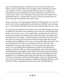way it was destroying me, in another way, I loved every second of it. There's a look you get when you're so angry at the world that you don't care whether you live or die, and that look isn't always an angry one. Sometimes it is, but sometimes it's more of a fearless, freuq it-all, even comical look. When you're teetering on the edge and your emotions are a whirlwind, there is a certain look you get. I've seen it in myself, and I've seen it in many close friends from time to time.

So in a sick way, I was enjoying this situation and had grown use to it. So I didn't want to hear anything that would make me feel like I was screwing up. I was in denial. I felt that I deserved, and could not help, the way I was.

So I shut the conversation down before it was even fully brought up, same as Eddie did. He didn't want anything to get in the way of his enjoying his bottle, so he ran. In a way, it was a good sign. Just like someone who is so far away from their own self that when you look at them, you almost feel that they're not even there. A break through is when they can't look you in the eye for too long anymore because their heart has finally been loosed enough to feel something, and it was so awkward that they just had to turn away. My friend, who once was a salesman, told me, "The ones who immediately turn you down and say 'no!' are usually the easiest sale." I know we're not talking about replacement windows, but this kind of applies. If someone shuts you down immediately, than obviously there's something that you brought up that bothers that person and makes him or her feel uncomfortable. If God makes them feel uncomfortable, than they probably have something inside them that tells them God might be true, but they are presently in denial of that thought, or they are enjoying their own way so much that the thought of change is horrifying. [But how much better is it if they immediately accept your words wholeheartedly.]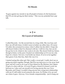### **31) Morals**

"It goes against my morals to rip off people in homes; it's the businesses that I'll con into giving me their money." This was my potential boss' pep talk.

 $+ + +$ 

#### **32) Coyest of Infirmities**

I called Beyonda – for the second time in a long while. She was busy and blew me off both times. It didn't seem to bother me either time. Of course I'd rather she screamed in ecstasy when I called, but she didn't. I hope she still doesn't believe that I'm obsessed with her. I still love her, but can let her go free to do whatever she wants to do also. She doesn't hold my future; though at times, in the past, I treated our relationship as if it was my only hope for a future. Not now, God holds my future. If we're to be together then great, if not, then hey, that's the way it is.

I started seeing this other girl. She's really a sweet girl. I really don't see us going anywhere together, though. She'll be moving away to a far away land soon, and all I want to do is go to Paris Island for the Marines, but I figure I'll give it a shot with her. At worst I'll gain a friend if it doesn't work out between us. I also can't see myself ever loving anyone the way I love Beyonda, and I hope I wouldn't drag anyone into a long term relationship with me if I still really loved someone else more. So I'll play it by ear and see where it goes. Anyway, I love female companionship – just to hang out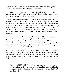with them. I don't want to run from a relationship before I even give it a chance. Who knows what will happen? I sure don't.

Deep down, I know I still want Beyonda. She said she still wants to be friends, and so do I. I care about her so much that to see her happy, with or without me, would be a dream come true.

I feel so damn strong. I don't know what the heck happened to me (well, I do know: God's strength). Before, if she blew me off, I'd get pissed off and it would wreck my whole day. If she mentioned she has company, or I heard a male voice in the background, when before I would have gone into a rage of childish anger or a deep depression, now it doesn't seem to faze me. I can't control her; she can do whatever she wants. I now trust in God, not in our potential relationship or my abilities to change things between us for the better.

I feel released from the hold she once had on me, not that she even tried to gain a hold on me in the past (though maybe she did). It's just that I put so much responsibility for my happiness on her shoulders that I was emotionally swayed by the swing of our relationship. If it was going well, I'd be happy; if it was going bad, I'd be sad. My total mood would depend on us, on how we were relating together.

Being this, the case, I'd try too hard to manipulate and control the situation between us to be a good one. Whenever I tried too hard and trusted my own calculations on how to act as to get her to react a certain way, instead of (yeah, using my mind, but more) just letting things happen and trusting God...

Trust in the LORD with all your heart and lean not on your own understanding; in all your ways acknowledge him, and he will make your paths straight. Do not be wise in your own eyes; fear the LORD and shun evil.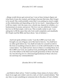...things would always get screwed up. I was so busy trying to figure out what kind of man she wanted, and trying to become that man, that I forgot to be myself. She could probably sense that I was putting too much weight on the relationship and depending on her for too much – depending on her to fill my empty void, the same way a drunk may depend on whiskey, or a businessman on money and power. Her love was my addiction; I wanted her love to fill that empty void in me. This is totally unfair to ask. I was asking her to fill the space that only God could completely and steadfastly fill. People read the Bible and hear about, "sins of idolatry,"...

And God spoke all these words: "I am the LORD your God, who brought you out of Egypt, out of the land of slavery. You shall have no other gods before me. You shall not make for yourself an idol in the form of anything in heaven above or on the earth beneath or in the waters below. You shall not bow down to them or worship them; for I, the LORD your God, am a jealous God, punishing the children for the sin of the fathers to the third and fourth generation of those who hate me, but showing love to a thousand [generations] of those who love me and keep my commandments."

(Exodus 20:1-6, NIV version)

...and think to their selves, "I don't worship a brass statue of a horse with a head of an eagle and a baby's arm for a tail, so I don't commit idolatry." But any time we put something (or someone) else in the place of God, whether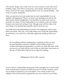it be money, drugs, your work, your car, your woman or your man, food, knitting, anger, your dick or your pussy, your beauty, the beauty of your house, your love for music, anything before God, we commit idolatry – and I was, in a sense, doing this.

How can anyone (even your mate) take on such responsibility for your stability and happiness? There's so much want needing to be met by the other person that it's frightening. You shouldn't lay that much need on someone; it's unfair. It's also impossible to ever entirely meet your needs, because your mate isn't as big as God. Though some will love this, to be your drug, to be needed; but normally, they'll run from you.

You both need to be depending on God for your happiness, and to meet both your needs. This way, every little thing won't swing the relationship up and down, over and over, with little arguments eating up both your lives.

Do everything without complaining or arguing, so that you may become blameless and pure, children of God without fault in a crooked and depraved generation, in which you shine like stars in the universe as you hold out the word of life–in order that I may boast on the day of Christ that I did not run or labor for nothing.

(Philippians 2:14-16, NIV version)

If you come to a relationship strong from God's strength, it's so much easier to be yourself and to express yourself and your love freely, because you're not as afraid of rejection as you were before. Your whole world won't collapse if she (or he) doesn't respond the way you want her to (or if they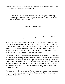won't see you tonight). Your self-worth isn't based on the responses of the opposite sex or n anyone. You're Free!

To the Jews who had believed him, Jesus said, "If you hold to my teaching, you are really my disciples. Then you will know the truth, and the truth will set you free."

(John 8:31-32, NIV version)

Only when you're free can you truly love your mate the way God had intended for you to love them.

Now, I feel free. Knowing the one who controls my destiny is perfect and loves me relieves truckloads of fear. When fear is killed, freedom is born. God is the only thing I have ever found that can truly take away fear. False confidence and acting strong and aggressive can work for a while, but it only goes so far until it collapses into a cloud of destruction and brings forth even greater insecurities and fears than before.

I love Beyonda; I truly love her from the bottom of my heart. She could put my love to the test and put on two hundred pounds, shave off her beautiful blonde hair, lose her personality to a grave depression, develop a hideous skin disease, loose all her teeth and never be able to have sex again due to a medical disorder. The whole world could hate her guts and run from her hideousness, but I would still love her and take her gladly to the church alter to be my wife.

She is not my addiction anymore. She no longer has the power to make me happy or make me miserable (like I said in the letter that I wrote to her), God does. But I still love her, freely I do.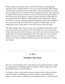If she wanted to be friends, than I could be her friend without getting obsessed. Now is the best time ever for us to truly be friends. Before there was too much unsaid, too much inside that I wasn't expressing, so it came out in strange ways. Now that I'm not so wrapped up in her, I can relax and be myself. If she relaxes and knows I'm not crazed and obsessed with her, and doesn't play head games, it makes it easier and more comfortable for me (and between us). Then we could finally become friends (at a deeper level then we are at). All this unexpressed bullcrap and fear have gotten in the way for too long. Now that I don't need her so desperately, we can finally get to know each other, if we're both honest with each other.

The funny thing is that when you feel you've changed for the better, and you act towards most people in a new and better way, and you run into people that are more used to the way you used to be, and you also are more used to the way that the relationship used to be when you were a bit of a different person, you tend to automatically relate the way you used to relate (or are used to relating) with those persons from the past – but this can change.

### $+ + +$

### **33) Better Than Back**

This may sound strange, but I could describe my spiritual situation, today, by comparing it to drinking a glass of vitamin C filled orange juice while feeling the onset of a cold coming on.

I've been so close to God and have been trying so hard to obey him that I feel God's power combating my natural tendency to get depressed or angry, or to sin when circumstances aren't going my way – and the good is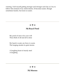winning. I feel myself getting stronger and stronger each day as I try to follow him instead of my sinful desires. It becomes easier, though sometimes harder, but more so easier.

### $+ + +$

## **34) Royal Pond**

My pond of rain is for your will Thou think of all and all is done

My hand is weak, my brow is warm The longing streaks in quiet storms

A laughing heart of sturdy steel A laughing

### ←↑→

### **35) Morons**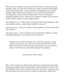Why are some Christians such morons? Why are they so damn annoying that they make your skin crawl? Why do so many seem like brainwashed, misfit cartoon characters – phony, mindless, smiling pinheads or closed minded stuffed shirts? They're either so nice to you that you feel like smacking them and their posed compassion, or they're yelling like deranged madmen at you `cause you're wearing evil make-up and consort in bars with the devil's own lot, regular people.

The unbelievers say, "Who would want to go to heaven and hang out with such pathetic, plastic, socially inept, sideshows anyway?"

The believers say, "We are not of this world, and this is why the world does not accept us."

This may be true, `cause true believers only remind the unbelievers of the possibility that they're running down the wrong road.

"Blessed are you when men hate you, when they exclude you and insult you and reject your name as evil, because of the Son of Man. Rejoice in that day and leap for joy, because great is your reward in heaven. For that is how their fathers treated the prophets."

(Luke 6:22-23, NIV version)

Who wants to hang out with someone with such a burdensome, but really life giving, message: That you must follow Christ and believe in him as the only Begotten Son of God, and follow after him when the way he goes, goes directly against most of our docile, contented, comfortable, selfish ways.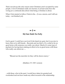That's not always the only reason some Christians aren't accepted by some people. A lot of Christians really are morons; or at least some have the wrong (or a confused) idea about what being a Christian is about.

When I first started to follow Christ in the... (I was a moron, and I still am today – not finished yet).

 $+ + +$ 

#### **36) Fate Hath No Folly**

God is good. I could have survived if she hated my guts, but it was nice to know that we're still friends – Beyonda and me that is. It's a relief to be on good terms with someone you really care about. Maybe it's some type of payback for having been making an effort to be on good terms with those who really care about me -...

"Blessed are the merciful, for they will be shown mercy."

(Matthew 5:7, NIV version)

...with those, who in the past, I would have taken for granted and overlooked and not have made any effort towards in the relationship.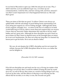It was kind of Beyonda to open up a little bit and put me at ease. Plus, I didn't need her, as in an addiction type way, so it frees up our communications. I told her this, and how strong I felt, and how amazed I was that I wasn't depressed over what happened between us. She said that's good.

There are times of life that are good. To follow Christ is not always an uphill battle with the advantage of good hiking boots representing God. God, being just support in a never-ending struggle. Although that alone (God's support, strength, love... et cetera in the face of conflict) is in itself worth believing in God for, there is more than just support that you receive. I know that my heavenly Father determines the outcome of all my small battles and my great ones. Although he does discipline me and is hard on me at times (so that I learn to depend more on his foresight than on mine), he is not over burdensome. He does not whip me long after I've learned my lesson just to get his kicks. He is not an abusive father.

My son, do not despise the LORD's discipline and do not resent his rebuke, because the LORD disciplines those he loves, as a father the son he delights in.

(Proverbs 3:11-12, NIV version)

If he did not discipline me and teach me his way of living (no matter what suffering is involved), then I would be robbed of being the man he wants me to be, as well of the joy that comes as a result of doing things God's way. God set up the rules, and the effects of obeying or not obeying are the effects that he invokes; so to obey is wise, the rewards are great.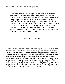But God does have mercy when mercy's needed.

At that time Jesus said, "I praise you, Father, Lord of heaven and earth, because you have hidden these things from the wise and learned, and revealed them to little children. Yes, Father, for this was your good pleasure. All things have been committed to me by my Father. No one knows the Son except the Father, and no one knows the Father except the Son and those to whom the Son chooses to reveal him. Come to me, all you who are weary and burdened, and I will give you rest. Take my yoke upon you and learn from me, for I am gentle and humble in heart, and you will find rest for your souls. For my yoke is easy and my burden is light."

(Matthew 11:25-30, NIV version)

There is rest from the fight. There are tears of joy that come – true joy, and the uninhibited, thunderous laughter of victory. God controls the battle no matter how treacherous the enemy is or how long you've been fighting a seemingly never-ending battle. God knows just the time to trip the enemy up as you rush in to victory. In small or great battles, he knows exactly which ones you are to win, and which ones you are to lose, to bring you to the place that he wants you to be. (But you must play your part by letting yourself be led by the Spirit and by trusting and obeying God.) This is truly the place that you would want to be if you were as all knowing as God; but you're not, so that's why you must trust in the Lord.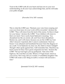Trust in the LORD with all your heart and lean not on your own understanding; in all your ways acknowledge him, and he will make your paths straight.

(Proverbs 3:5-6, NIV version)

This is what the LORD says: "Restrain your voice from weeping and your eyes from tears, for your work will be rewarded," declares the LORD. "They will return from the land of the enemy. So there is hope for your future," declares the LORD. "Your children will return to their own land. I have surely heard Ephraim's moaning: `You disciplined me like an unruly calf, and I have been disciplined. Restore me, and I will return, because you are the LORD my God. After I strayed, I repented; after I came to understand, I beat my breast. I was ashamed and humiliated because I bore the disgrace of my youth.' Is not Ephraim my dear son, the child in whom I delight? Though I often speak against him, I still remember him. Therefore my heart yearns for him; I have great compassion for him," declares the LORD. "Set up road signs; put up guideposts. Take note of the highway, the road that you take. Return, O Virgin Israel, return to your towns. How long will you wander, O unfaithful daughter? The LORD will create a new thing on earth–a woman will surround a man."

(Jeremiah 31:16-22, NIV version)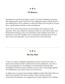## $+$  1  $+$

### **37) Balance**

Sometimes it's good not to think so much. I'm tired of thinking, I just feel like enjoying how good I feel; but if I do nothing but enjoy myself, than I'll get nothing done. So I've gotten to, with God's help, force myself to, at least, have a good balance between work and pleasure.

If all I do is work, I'll get burnt out and collapse and not get to work anymore. If my only endeavor is pleasure, than no work will be done and I'll feel bad for being so lazy. So somewhere in the middle I must land – a hard day's work and a healthy dose of relaxation and enjoyment. It's not that work is not enjoyable, it is (or can be); but it can be tiresome.

### $+ + +$

### **38) One Man**

A man or woman completely dependent on God is what God wants. A person who needs no other outside forces for his satisfaction, one who is not swayed greatly by circumstances or emotionally bankrupt after hardship has hit him (or her). Neither is he one who is annoyingly gleeful in a bothersome way when events veer in his favor.

A stable man or woman, because their stability is their faith, their faith is in their God, and their God does not falter. Their God does not play unnecessary head games, nor engage them in petty disputes over nothing.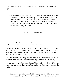Their God is the "A to Z," the "Alpha and the Omega." He is, "I AM," he says.

God said to Moses, "I AM WHO I AM. This is what you are to say to the Israelites: `I AM has sent me to you.'" God also said to Moses, "Say to the Israelites, `The LORD, the God of your fathers–the God of Abraham, the God of Isaac and the God of Jacob–has sent me to you.' This is my name forever, the name by which I am to be remembered from generation to generation."

(Exodus 3:14-15, NIV version)

He is not a God that will betray you to gain favor with someone else; he's God. He has no one to impress by doing such things.

The one who is totally dependent on God and relies not on drink, nor mate, nor money, nor power, more than God (to bring him happiness), this is a powerful man or woman of God. This is one who obeys God and is not separated so distantly by sin.

The same man may fall away, but when this man is in this state of reliance with faith and obedience in action, this is a powerful man (or woman).

He's the most open to letting the Spirit of God work through him. His mere presence changes the whole tone of any gathering. He is truly the salt of the earth.

"You are the salt of the earth. But if the salt loses its saltiness, how can it be made salty again? It is no longer good for anything, except to be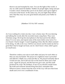thrown out and trampled by men. You are the light of the world. A city on a hill cannot be hidden. Neither do people light a lamp and put it under a bowl. Instead they put it on its stand, and it gives light to everyone in the house. In the same way, let your light shine before men, that they may see your good deeds and praise your Father in heaven."

(Matthew 5:13-16, NIV version)

As I was waiting for a train one day, I saw a funny man. He was dancing and talking the words after the recorded music sung them. They were Christian songs. He'd tap his microphone to the beat and do the silliest dance I've ever seen, and repeat some of the most cliché corny lyrics I've ever heard. I had to laugh. I wasn't laughing at him, like the others seemed to be doing. As silly as he was, I felt he was sincere and he made me feel so good that I had to laugh out loud, out of, I don't know what, relief I guess (or maybe joy).

Therefore confess your sins to each other and pray for each other so that you may be healed. The prayer of a righteous man is powerful and effective. Elijah was a man just like us. He prayed earnestly that it would not rain, and it did not rain on the land for three and a half years. Again he prayed, and the heavens gave rain, and the earth produced its crops. My brothers, if one of you should wander from the truth and someone should bring him back, remember this: Whoever turns a sinner from the error of his way will save him from death and cover over a multitude of sins.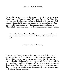This was his sermon in a second theme, after the music climaxed to a corny, choral high note. I thought to myself: He speaks the truth. The things that one person can do if he is truly feeding on the Spirit of God are great. Such a man is relinquished from his ego, maybe not one hundred percent, but maybe so. He is not tied down by the things that tie most of us down. Whether he is respected by man or not is of little or no consequence to him.

"Do not be afraid of those who kill the body but cannot kill the soul. Rather, be afraid of the One who can destroy both soul and body in hell."

(Matthew 10:28, NIV version)

He may, nonetheless, be respected by many because of the honesty and integrity that he manifests in his being, but he is interested in what God thinks of him more so than his peers, young girls, or the rich. He's not corrupted by his selfishness. He knows his heavenly Father will provide for him more than he could possibly dream of having, so he need not scrounge desperately – like a filthy rat, pushing away anything or anyone that gets in the way of his union with his maggot infested meal. Such a man or woman of God doesn't have to scrounge.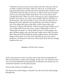"Therefore I tell you, do not worry about your life, what you will eat or drink; or about your body, what you will wear. Is not life more important than food, and the body more important than clothes? Look at the birds of the air; they do not sow or reap or store away in barns, and yet your heavenly Father feeds them. Are you not much more valuable than they? Who of you by worrying can add a single hour to his life? And why do you worry about clothes? See how the lilies of the field grow. They do not labor or spin. Yet I tell you that not even Solomon in all his splendor was dressed like one of these. If that is how God clothes the grass of the field, which is here today and tomorrow is thrown into the fire, will he not much more clothe you, O you of little faith? So do not worry, saying, `What shall we eat?' or `What shall we drink?' or `What shall we wear?' For the pagans run after all these things, and your heavenly Father knows that you need them. But seek first his kingdom and his righteousness, and all these things will be given to you as well. Therefore do not worry about tomorrow, for tomorrow will worry about itself. Each day has enough trouble of its own."

(Matthew 6:25-34, NIV version)

Such a man need not worry; nor does such a man need to manipulate all that is around him in order to have things "go his way." He need not sweat over every last detail that he has planned, or ordered to be carried out, in a worrisome manner to see his plan succeed.

Such are the actions of a faithless man.

Oh, the lives he could change, or should I say, the lives God could change through him.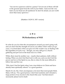"Are not two sparrows sold for a penny? Yet not one of them will fall to the ground apart from the will of your Father. And even the very hairs of your head are all numbered. So don't be afraid; you are worth more than many sparrows."

(Matthew 10:29-31, NIV version)

 $+$  1  $+$ 

#### **39) Redundancy of Will**

So what do you do when the circumstances around you aren't going well, and you don't feel the strength of God in you either? That's when you go crazy, or at least that's when you give in to the world's way of dealing with life regardless of God's way – though, you may still go to a church gathering and pet God on the head once in a while.

While, there must be another way – maybe sheer patience, faith without feeling. When you don't feel that God is with you, and you don't feel the power and love of his Spirit in you, this is when it's the most difficult to follow him and his way.

"Why don't I feel his Spirit when I am a true believer in Christ and have already been spiritually reborn?" is a good question.

Maybe it's sin. Sin, I feel, encompasses a lot more than most people think. Many will say, "I'm a good person, I don't hurt anybody and I donated a large portion of my income to the church this year," but that doesn't necessarily please God in itself.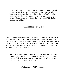But Samuel replied: "Does the LORD delight in burnt offerings and sacrifices as much as in obeying the voice of the LORD? To obey is better than sacrifice, and to heed is better than the fat of rams. For rebellion is like the sin of divination, and arrogance like the evil of idolatry. Because you have rejected the word of the LORD, he has rejected you as king."

#### (1 Samuel 15:22-23, NIV version)

We commit idolatry (putting anything before God) when we drift away and forget to include him in our lives, when we don't pray and talk to him and ask his help and guidance, when we neglect to be thankful for his goodness and mercy. For in these actions of neglect, we're revealing our dependence on things other than God, and also reveal our arrogance by thinking that we can get by without God's help.

Do not be anxious about anything, but in everything, by prayer and petition, with thanksgiving, present your requests to God. And the peace of God, which transcends all understanding, will guard your hearts and your minds in Christ Jesus.

(Philippians 4:6-7, NIV version)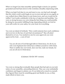When we forget God, that unearthly spiritual high is slowly (or quickly) grounded and tied back down to the wretched, dreadful, depressing earth.

When you kept God dear to you and near to you, you had such strength that the whole world could laugh at you in scorn and spit at you angrily as you walked down Main Street in your home town, and you would not be ruffled. You'd smile confidently in the face of rejection and hardship. You were so strong because you were doing the best thing you could possibly be doing for successful, fulfilling living: depending entirely on God for your self-worth, for your safety, for your food, for everything.

You were an island of fortitude. "How could someone have such confidence and even love in the face of such bad circumstances?" they all asked themselves of you. You needed no one for your approval; you were approved by God; ... a son of God.

You are all sons of God through faith in Christ Jesus, for all of you who were baptized into Christ have clothed yourselves with Christ. There is neither Jew nor Greek, slave nor free, male nor female, for you are all one in Christ Jesus.

(Galatians 3:26-28, NIV version)

You were so strong that eventually these people that had spit on you took notice of your unearthly, astounding behavior. They saw your unshakable confidence and began to admire you. If you believed so much in yourself, they figured there must be something good and likable in you, so they made efforts to know you.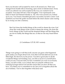Soon you became well accepted by most or all around you. Their eyes changed from hostile slits to honoring, open circles of attentiveness. Every word you uttered was well accepted in the way you wanted it to be accepted. Your jokes fell into a bed of laughter. Your reprimands were taken to heart and listened intently to. All, who were around you, looked up to you. You found a beautiful girl and a successful, lucrative career. God snatched you from the gutter seconds before the street cleaner came roaring by to sweep you into a memory.

But God chose the foolish things of the world to shame the wise; God chose the weak things of the world to shame the strong. He chose the lowly things of this world and the despised things–and the things that are not–to nullify the things that are, so that no one may boast before him.

#### (1 Corinthians 1:27-29, NIV version)

Things were going so well that (well, anyone can guess what happened quite easily) you forgot about God, even after God had allowed you to be lifted high. He showed you his power. You felt so good (due to all the wonderful things surrounding you), you felt so secure in yourself (how could you not, everyone told you how wonderful you were on an hourly basis), you felt so lofty, so in control, that you (maybe without even realizing it) forgot about God and the reason that you have all that you have. You think you've committed no sin, but you've forgotten about the sin of idolatry. You've also forgotten what Jesus said.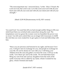"The most important one," answered Jesus, "is this: `Hear, O Israel, the Lord our God, the Lord is one. Love the Lord your God with all your heart and with all your soul and with all your mind and with all your strength.'"

(Mark 12:29-30 [Deuteronomy 6:4-5], NIV version)

You used God. You used him till you had enough earthly things to fill your sinful heart that you switched sides somewhere along the road. The temptations were too great; the women were too beautiful; the power was so sweet. You felt such control that you no longer felt it necessary to fulfill the role that you were created for: to give glory to God and fellowship with him.

"Since you are precious and honored in my sight, and because I love you, I will give men in exchange for you, and people in exchange for your life. Do not be afraid, for I am with you; I will bring your children from the east and gather you from the west. I will say to the north, `Give them up!' and to the south, `Do not hold them back.' Bring my sons from afar and my daughters from the ends of the earth–everyone who is called by my name, whom I created for my glory, whom I formed and made."

(Isaiah 43:4-7, NIV version)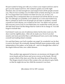He just wanted to hang out with you, to have your respect and love and to give you his respect and love. He wanted to guide you in the right direction, but you had enough love and respect from all the people around you. They'd even worship you if it didn't look so funny bowing to you and all. You forgot that God created even their love for you. In fact, you personally felt so omnipotent that you knocked God off the throne of your life. You (though you probably won't admit it), in a sick and twisted way that is common to most if not all people (at one time or another), wanted yourself on God's throne; you wanted to be God. You didn't run out and tell everyone you're God or even think that you created the world, but you did take back from God the things that he wants to be in charge of. You did forget to include him.

God doesn't want you out of malicious intent, but he does want you. He does want his rightful place. After all, he made you. Even if you feel smarter and more powerful than a self-distanced God, you're only fooling yourself and making Satan's mistake.

It is said that Satan was God's number one angel. So wonderful was he that it went to his head. He eventually deemed himself (more praiseworthy and) independent of his maker, so he broke off – and it is thought that a third of the angels followed him, now called demons.

Then another sign appeared in heaven: an enormous red dragon with seven heads and ten horns and seven crowns on his heads. His tail swept a third of the stars out of the sky and flung them to the earth. The dragon stood in front of the woman who was about to give birth, so that he might devour her child the moment it was born.

(Revelation 12:3-4, NIV version)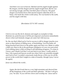And there was war in heaven. Michael and his angels fought against the dragon, and the dragon and his angels fought back. But he was not strong enough, and they lost their place in heaven. The great dragon was hurled down–that ancient serpent called the devil, or Satan, who leads the whole world astray. He was hurled to the earth, and his angels with him.

(Revelation 12:7-9, NIV version)

I fret to even use the devil, demons and angels as examples to help illustrate my point because of all the pre imposed conclusions immediately drawn when such fantastic images are used, but I did anyway.

So, the one that's lifted up by God to success is still in danger (maybe even more so than before) of falling away, of backsliding. You'd be better off being knocked back down to the gutter again and start over. Better to suffer a little now than to die in the grotesque indulgence of your own perverted God-robbing stance while reveling in self-defeating arrogance. I've done it, I know; and I thank God that I was put back in my place. I really prefer it here. Life is good and heaven awaits me when I have my priorities straight and God is God. I wouldn't consciously trade the joy of his way for all the power in the world (but I might in a state of insanity, though I pray I never do again).

Jesus was offered the world...

Again, the devil took him to a very high mountain and showed him all the kingdoms of the world and their splendor. "All this I will give you," he said, "if you will bow down and worship me." Jesus said to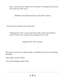him, "Away from me, Satan! For it is written: `Worship the Lord your God, and serve him only.'"

(Matthew 4:8-10 [Deuteronomy 6:13], NIV version)

...but he was no dummy, for he also said:

"What good is it for a man to gain the whole world, yet forfeit his soul? Or what can a man give in exchange for his soul?"

(Mark 8:36-37, NIV version)

But I got away from my original topic: not feeling God's power and facing hardship.

Then again, maybe I didn't.

On second thought, maybe I did.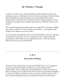# **40) "Stifling," I Thought**

It seems to me that we're all just standing around, picking our roles and playing our parts, not being true to our real selves, playing a dismal, boring game of selfishness while practicing our acting skills that have been practiced for so long that you'd mistake them for natural (to help us fit in), waiting for someone to tear off their mask and say, "What the freuq are we doing!"

We've all been playing the same game for so long that if you chose a higher way, there would be very few to meet you up there – you might become foreign to the others so you don't risk it.

A lot of people may think the same way (feel themselves and a lot of people around them are phony), but few actually have the courage or the selfperception (or the whatever) to go against the norm – to be real, true to their selves, true to God, to be honest.

### $++$

# **41) Levity of Being**

Could it be that I take things too seriously? While I know I do exaggerate (and also generalize) things sometimes to express the point more emphatically. Also, to keep from saying things like, "All (well, maybe not all) are running (not in a literal sense, but in more of an escapism metaphor) to (which is as bad as from) the worst (well, there could be a place worse, but it is pretty bad) house (not as in white picket fence, but more like a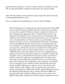quintessential commune)." I'd never be able to finish one sentence if I took into account all possible exceptions to the point I was trying to make.

Only after the matters of the spiritual are truly dealt with, does true levity of being, lightheartedness, occur.

Jesus was depicted and prophesied as a man of many hardships.

Who has believed our message and to whom has the arm of the LORD been revealed? He grew up before him like a tender shoot, and like a root out of dry ground. He had no beauty or majesty to attract us to him, nothing in his appearance that we should desire him. He was despised and rejected by men, a man of sorrows, and familiar with suffering. Like one from whom men hide their faces he was despised, and we esteemed him not. Surely he took up our infirmities and carried our sorrows, yet we considered him stricken by God, smitten by him, and afflicted. But he was pierced for our transgressions, he was crushed for our iniquities; the punishment that brought us peace was upon him, and by his wounds we are healed. We all, like sheep, have gone astray, each of us has turned to his own way; and the LORD has laid on him the iniquity of us all. He was oppressed and afflicted, yet he did not open his mouth; he was led like a lamb to the slaughter, and as a sheep before her shearers is silent, so he did not open his mouth. By oppression and judgment he was taken away. And who can speak of his descendants? For he was cut off from the land of the living; for the transgression of my people he was stricken. He was assigned a grave with the wicked, and with the rich in his death, though he had done no violence, nor was any deceit in his mouth. Yet it was the LORD's will to crush him and cause him to suffer, and though the LORD makes his life a guilt offering, he will see his offspring and prolong his days, and the will of the LORD will prosper in his hand. After the suffering of his soul, he will see the light [of life] and be satisfied; by his knowledge my righteous servant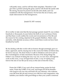will justify many, and he will bear their iniquities. Therefore I will give him a portion among the great, and he will divide the spoils with the strong, because he poured out his life unto death, and was numbered with the transgressors. For he bore the sin of many, and made intercession for the transgressors.

(Isaiah 53, NIV version)

(It is worthy to take note that the last passage quoted, Isaiah 53, was written hundreds or thousands of years before the birth of our Lord Jesus Christ, and that these words outline the events and circumstances of his life and the reason for his coming, depicted in the gospels Matthew, Mark, Luke and John, with absolute accuracy.) (How could these words not have been breathed by God?)

By his dealing with this world with an honest, though seemingly grave at times, approach, and by staying true to the course his Father set before him, he knows true joy. He chose freely to walk in obedience and not to join in the overindulgence of false merriment. Because of his doing things his Father's way instead of taking the easy way out, we now have, through his work on the cross, a way of forgiveness of sins, a way of wiping away forever the sins of our life (as far away as the east is from the west)...

Praise the LORD, O my soul; all my inmost being, praise his holy name. Praise the LORD, O my soul, and forget not all his benefits– who forgives all your sins and heals all your diseases, who redeems your life from the pit and crowns you with love and compassion, who satisfies your desires with good things so that your youth is renewed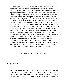like the eagle's. The LORD works righteousness and justice for all the oppressed. He made known his ways to Moses, his deeds to the people of Israel: The LORD is compassionate and gracious, slow to anger, abounding in love. He will not always accuse, nor will he harbor his anger forever; he does not treat us as our sins deserve or repay us according to our iniquities. For as high as the heavens are above the earth, so great is his love for those who fear him; as far as the east is from the west, so far has he removed our transgressions from us. As a father has compassion on his children, so the LORD has compassion on those who fear him; for he knows how we are formed, he remembers that we are dust. As for man, his days are like grass, he flourishes like a flower of the field; the wind blows over it and it is gone, and its place remembers it no more. But from everlasting to everlasting the LORD's love is with those who fear him, and his righteousness with their children's children–with those who keep his covenant and remember to obey his precepts. The LORD has established his throne in heaven, and his kingdom rules over all. Praise the LORD, you his angels, you mighty ones who do his bidding, who obey his word. Praise the LORD, all his heavenly hosts, you his servants who do his will. Praise the LORD, all his works everywhere in his dominion. Praise the LORD, O my soul.

(Psalms 103 [Of David.], NIV version)

...a way to eternal life.

"Do not let your hearts be troubled. Trust in God; trust also in me. In my Father's house are many rooms; if it were not so, I would have told you. I am going there to prepare a place for you. And if I go and prepare a place for you, I will come back and take you to be with me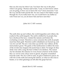that you also may be where I am. You know the way to the place where I am going." Thomas said to him, "Lord, we don't know where you are going, so how can we know the way?" Jesus answered, "I am the way and the truth and the life. No one comes to the Father except through me. If you really knew me, you would know my Father as well. From now on, you do know him and have seen him."

(John 14:1-7, NIV version)

The earth dries up and withers, the world languishes and withers, the exalted of the earth languish. The earth is defiled by its people; they have disobeyed the laws, violated the statutes and broken the everlasting covenant. Therefore a curse consumes the earth; its people must bear their guilt. Therefore earth's inhabitants are burned up, and very few are left. The new wine dries up and the vine withers; all the merrymakers groan. The gaiety of the tambourines is stilled, the noise of the revelers has stopped, the joyful harp is silent. No longer do they drink wine with a song; the beer is bitter to its drinkers. The ruined city lies desolate; the entrance to every house is barred. In the streets they cry out for wine; all joy turns to gloom, all gaiety is banished from the earth. The city is left in ruins, its gate is battered to pieces. So will it be on the earth and among the nations, as when an olive tree is beaten, or as when gleanings are left after the grape harvest.

(Isaiah 24:4-13, NIV version)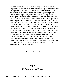You women who are so complacent, rise up and listen to me; you daughters who feel secure, hear what I have to say! In little more than a year you who feel secure will tremble; the grape harvest will fail, and the harvest of fruit will not come. Tremble, you complacent women; shudder, you daughters who feel secure! Strip off your clothes, put sackcloth around your waists. Beat your breasts for the pleasant fields, for the fruitful vines and for the land of my people, a land overgrown with thorns and briers–yes, mourn for all houses of merriment and for this city of revelry. The fortress will be abandoned, the noisy city deserted; citadel and watchtower will become a wasteland forever, the delight of donkeys, a pasture for flocks, till the Spirit is poured upon us from on high, and the desert becomes a fertile field, and the fertile field seems like a forest. Justice will dwell in the desert and righteousness live in the fertile field. The fruit of righteousness will be peace; the effect of righteousness will be quietness and confidence forever. My people will live in peaceful dwelling places, in secure homes, in undisturbed places of rest. Though hail flattens the forest and the city is leveled completely, how blessed you will be, sowing your seed by every stream, and letting your cattle and donkeys range free.

(Isaiah 32:9-20, NIV version)

# $+ \uparrow \rightarrow$

### **42) In Absence of Honor**

If you want to help, help, but don't be so damn annoying about it.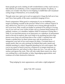Some people get such a feeling of self-wonderfulness as they reach out in a fake fatherly (or motherly), overly compassionate manner. So phony, it makes you wonder why they're even helping: to fulfill their self-visualized caring image of themselves, or to actually help.

Though some may open up to such an approach, it bugs the hell out of me; and I have been guilty of the same counterfeit imaging of love.

Posed compassion: What good is compassion if you are belittling your target of irritating warmth in the process? What is love without respect? It may still be love, but if it is, it's certainly not as strong (though maybe it isn't even love). Why would you bother to pretend to be acting in a loving way if you can't see your victim of false care as a human being instead of a pathetic creature, or a mindless, helpless child? If someone is acting like a child, if you treat that person as an annoyance or a sideshow of amusement (and so devoid of respect), this won't help to do anything but drive that person away from you and keep him or her a child. A spoiled brat will remain a spoiled brat, for their actions may only be practiced as to antagonize your lack of love and respect for them. A twisted dance of unmet needs, that you only prolong; for behind their petty stands and childish taunting is a silent, disguised pleading for love and respect. But you're too smart to bend in anyway whatsoever to temper-tantrums or irrational behavior, and refuse to show them any love. You only see the surface and ignore the roots. This will only make them resent you, show you nothing but a cold shoulder or false, begrudging appreciation, and continue on in their destructive behavior.

"Stop judging by mere appearances, and make a right judgment."

(John 7:24, NIV version)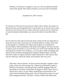Brothers, if someone is caught in a sin, you who are spiritual should restore him gently. But watch yourself, or you also may be tempted.

(Galatians 6:1, NIV version)

If someone is a bit screwed up and can't relate well to others, the answer to that person has most frequently been to treat them as an outcast. If for some reason you are forced to be in contact with such a person (as in a blood tie, or a job orientated relationship), our answer has been to treat them like a pet.

Do not only love the unloved, but also show respect to the un-respected, to those downcast souls whose feet are not firmly placed, to those whom the world regards as worthless and whose only purpose is considered to provide others with something to talk about and laugh at. Are they not just as much a part of creation as you are? Dare you mock God's handiwork and mercilessly scorn their very existence, or even worse, smile in loathing and patronize the confused, keeping them stagnant? Respect them, and they may feel worthy of respect and thus respect themselves. Who knows, they may be raised up, with God's help, and someday lord over you?

Then they came to Jericho. As Jesus and his disciples, together with a large crowd, were leaving the city, a blind man, Bartimaeus (that is, the Son of Timaeus), was sitting by the roadside begging. When he heard that it was Jesus of Nazareth, he began to shout, "Jesus, Son of David, have mercy on me!" Many rebuked him and told him to be quiet, but he shouted all the more, "Son of David, have mercy on me!" Jesus stopped and said, "Call him." So they called to the blind man,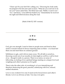"Cheer up! On your feet! He's calling you." Throwing his cloak aside, he jumped to his feet and came to Jesus. "What do you want me to do for you?" Jesus asked him. The blind man said, "Rabbi, I want to see." "Go," said Jesus, "your faith has healed you." Immediately he received his sight and followed Jesus along the road.

(Mark 10:46-52, NIV version)

 $+ + +$ 

# **43) River**

God, give me strength. I need to listen to people more and bend to their needs or moods instead of always imposing mine on them – or at least feel them out and meet them on common ground.

Selfishness is ugly, and it drives many away. We all talk to ourselves, throwing words out of our mouths at what might as well be a wall in front of us – though it really is a person. There is no union, no sense of fellowship, no feeling of two spiritual beings meeting on a deeper level and weighing each other's presence as if in gold.

There's also the other side: of overdoing it, of over intensifying and therefore destroying the good, peaceful, underlying with love, relaxed, unified situations.

Love is very evident if it is real. It need not be forced down each other's throats. Love is as obvious as hate. You may even glow.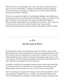When God's love runs through your veins, your aura will almost always give you away immediately – without even thanking someone eighteen times for giving you change for a dollar to prove your loving Christ like demeanor (seventeen is plenty).

When you're open to the Spirit of God through obedience and selflessness and prayer, God's love and power flow through you like a river flows to the gulf. Confident and strong, the river needs no multicolored lights or florescent signs explaining how powerfully the river flows. All you have to do is come across the river's path to feel the calm, yet powerful, undercurrent flowing freely into the mouth of the gulf to realize its might.

# $\leftarrow$  ተ $\rightarrow$

# **44) The Lusts of Pieces**

I'm burdened to write, yet burdened by what I've written. I pray to God that he leads me to stop writing if all I'm doing is turning people off to him. If God likes what I'm writing and he wants me to continue, even if it does offend people because of the true message of the gospel, than I hope I will write anyway. If all I'm doing is painting a bad picture (only bad because of me), and God is not pleased, I pray he stops me.

I honestly would love to see people around me have peace and eternal life (as well as myself). If I could best serve this purpose by shutting up and doing dishes, and God leads me to do so, I pray I shut up and wash.

I feel so inadequate to speak of the things of God. I feel myself the worst of all examples of a faithful believer – people even tell me this (that I don't seem to be dedicated). I sometimes, when trying to express my faith, come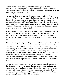off close-minded and uncaring. I also have been guilty of being a bad listener, and of not trying hard enough to understand where others are coming from. I'm a poor witness, and many times my actions have been far from holy (and may well be again).

I would tear these pages up and throw them into the Charles River if it were best. What do I care? I want to be happy and am convinced that God through Christ is the answer. As annoying as my way of writing the message is, I still believe it's true, but will only write it if I feel God wants me to – or at least doesn't stop me, and it helps some people around me (the ones I care about, and even those that I personally don't have the capacity to care for) to know the peace of God.

If God made everything, than he can eventually put all the pieces together so everything fits: so there is no odd man out, no need for jealousy, no downcast soul nor defensive arrogance, so everyone has a place and is perfectly content with that place and not secretly lusting after another's place.

It took me a long time to get to the point where I no longer want everything and everyone to worship me – me above the rest, me in command. I don't want that now; it would only end up in my ruin. I only want my piece, my share. I resign. Christ is the king, not me. I'm through trying to fight my way to widespread approval. My old desires have slowly and oh so painfully fallen away; but now that I stand released of the awful, repulsive (no matter how well disguised) sores of self-heightening, I dance like a child. A drunken child of God, drunk with the Spirit of truth, drunk with inner peace not even explainable if I dedicated three thousand pages to its revealing.

I long to see those I love know the love of God, as corny as it sounds. So that they may be happy too; and in the process only make me happier to see those so dear to me being so happy. Those I love, able, now, to relate and have fellowship with me at the deepest, most gratifying level, as well as the small byproduct of eternal life together, with God and man finally joined in complete fellowship with one another.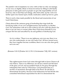The painful void of emptiness we carry with us that we only can manage, on our own, to slightly dilute or lessen its torture by filling it with fleshly pleasures or false gods (such as people we give the responsibility of God hood to), only to find that such things, after brief relief, rip the void even farther apart once leaned upon, finally eradicated, sealed up forever, gone.

There is such a time made possible by the blood and resurrection of our Lord Christ Jesus.

Christ silenced the ominous gong of foreboding that rings forth the horrifying reality of our own unrighteousness and tendency to disobey God. Our infatuation with sin is self evident in all who walk this planet. For there is not one man or woman (other than Christ Jesus himself) to ever conquer life free and unscathed by sin and guiltless of disobeying God.

As it is written: "There is no one righteous, not even one; there is no one who understands, no one who seeks God. All have turned away, they have together become worthless; there is no one who does good, not even one."

(Romans 3:10-12 [Psalms 14:1-3; 53:1-3; Ecclesiastes 7:20], NIV version)

This righteousness from God comes through faith in Jesus Christ to all who believe. There is no difference, for all have sinned and fall short of the glory of God, and are justified freely by his grace through the redemption that came by Christ Jesus. God presented him as a sacrifice of atonement, through faith in his blood. He did this to demonstrate his justice, because in his forbearance he had left the sins committed beforehand unpunished–he did it to demonstrate his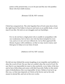justice at the present time, so as to be just and the one who justifies those who have faith in Jesus.

(Romans 3:22-26, NIV version)

Christ has conquered sin. The only begotten Son of God came down from the right hand of his Father in heaven and took on an earthly body, a Godman if you like. He took on our struggles and our hardships.

For we do not have a high priest who is unable to sympathize with our weaknesses, but we have one who has been tempted in every way, just as we are–yet was without sin. Let us then approach the throne of grace with confidence, so that we may receive mercy and find grace to help us in our time of need.

(Hebrews 4:15-16, NIV version)

He did not stay behind the scenes laughing at our stupidity and inability to obey the word of God. He saw that we couldn't obey the word of God. He saw that it was impossible for man to obey perfectly, every letter of the law, and to have fellowship and union with their heavenly Father in this sinful state of disobedience; this was impossible. In fact, I believe God set it up this way, so that man depends on Christ as his Savior and as his only means to eternal life, and not on his own works.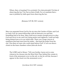Where, then, is boasting? It is excluded. On what principle? On that of observing the law? No, but on that of faith. For we maintain that a man is justified by faith apart from observing the law.

(Romans 3:27-28, NIV version)

Man was separated from God by his sin since the Garden of Eden; and God is a holy God, he cannot fellowship with sin between you and him. Something had to be done. Man could never muster enough power to obey God and never to sin; and God, being perfect and righteous, could not help being distant from us in our sinful state. There was a huge canyon of emptiness that kept man from his maker – that kept the potter from his clay. Was there no man who could stand before God? A veil was drawn closed on the Inner chambers where Jehovah dwelt.

The LORD said to Moses: "Tell your brother Aaron not to come whenever he chooses into the Most Holy Place behind the curtain in front of the atonement cover on the ark, or else he will die, because I appear in the cloud over the atonement cover."

(Leviticus 16:2, NIV version)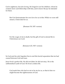God is righteous, but also loving. He longed to see his children, whom he created, know and fellowship with him, and to know the joy he intended for them.

But God demonstrates his own love for us in this: While we were still sinners, Christ died for us.

(Romans 5:8, NIV version)

For the wages of sin is death, but the gift of God is eternal life in Christ Jesus our Lord.

(Romans 6:23, NIV version)

So God sent his only begotten Son to end this horrid separation that sin had caused between God and man.

Jesus lived a perfect life. He did not falter; he did not stray. He is the unblemished Lamb of God. He lived a sinless life.

God made him who had no sin to be sin for us, so that in him we might become the righteousness of God.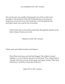#### (2 Corinthians 5:21, NIV version)

He was the only one capable of bearing the sins of the world on his shoulders. The sacrifices of the Old Testament days were done for forgiveness of sins but were only temporary. God, through his Son, provided a final, once and for all, sin sacrifice.

And by that will, we have been made holy through the sacrifice of the body of Jesus Christ once for all.

(Hebrews 10:10, NIV version)

Christ came and suffered torture and disgrace.

Then Pilate took Jesus and had him flogged. The soldiers twisted together a crown of thorns and put it on his head. They clothed him in a purple robe and went up to him again and again, saying, "Hail, king of the Jews!" And they struck him in the face.

(John 19:1-3, NIV version)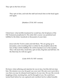They spit on the Son of God.

They spit on him, and took the staff and struck him on the head again and again.

(Matthew 27:30, NIV version)

Christ knew what terrible treatment he would face; the Scriptures of the Old Testament prophesied it. His entire life's course was predicted and fulfilled to the letter, hundreds to thousands of years later.

Jesus took the Twelve aside and told them, "We are going up to Jerusalem, and everything that is written by the prophets about the Son of Man will be fulfilled. He will be handed over to the Gentiles. They will mock him, insult him, spit on him, flog him and kill him. On the third day he will rise again."

(Luke 18:31-33, NIV version)

He knew what suffering and rejection he was to face, but this did not stop him. His mission was you; his goal was your soul. His aim was to provide a way that you may be released and forgiven of your sins. He saw the crowds laughing at him, mocking him, and he thought of you. He could have turned back before he was captured and crucified, but he walked steadily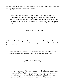towards Jerusalem. Jesus, the very Son of God, in fact God himself, bore the penalty of your sins so you won't have to.

This is good, and pleases God our Savior, who wants all men to be saved and to come to a knowledge of the truth. For there is one God and one mediator between God and men, the man Christ Jesus, who gave himself as a ransom for all men–the testimony given in its proper time.

(1 Timothy 2:3-6, NIV version)

So the veil of sin that separated God from man could be ripped in two, so they may be with one another, to hang out together, to have fellowship. He did this for you.

"For God so loved the world that he gave his one and only Son, that whoever believes in him shall not perish but have eternal life."

(John 3:16, NIV version)

But what does it say? "The word is near you; it is in your mouth and in your heart," that is, the word of faith we are proclaiming: That if you confess with your mouth, "Jesus is Lord," and believe in your heart that God raised him from the dead, you will be saved.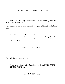(Romans 10:8-9 [Deuteronomy 30:14], NIV version)

I've heard it was customary of these times to be nailed through the palms of the hands to the crucifix.

He wore a mock crown of thorns on his head, placed there to make fun of him.

They stripped him and put a scarlet robe on him, and then twisted together a crown of thorns and set it on his head. They put a staff in his right hand and knelt in front of him and mocked him. "Hail, king of the Jews!" they said.

(Matthew 27:28-29, NIV version)

They called out in black sarcasm.

There was a written notice above him, which read: THIS IS THE KING OF THE JEWS.

(Luke 23:38, NIV version)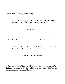He was quoted as saying the following.

Jesus said, "Father, forgive them, for they do not know what they are doing." And they divided up his clothes by casting lots.

(Luke 23:34, NIV version)

He hung there from the cross until darkness overtook the land.

It was now about the sixth hour, and darkness came over the whole land until the ninth hour, for the sun stopped shining.

(Luke 23:44-45, NIV version)

At that instant, the veil in the temple, separating the outer chambers from the innermost chamber (the Holy of Holies, where the Lord God Jehovah himself appeared) was ripped in two.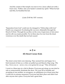And the curtain of the temple was torn in two. Jesus called out with a loud voice, "Father, into your hands I commit my spirit." When he had said this, he breathed his last.

(Luke 23:45-46, NIV version)

"Separation from God" could now be changed to "Fellowship with God." Death was conquered. Everlasting life was now obtainable through the blood of Christ. Through his sacrifice on the cross, forgiveness of sins (once and for all) was made possible. For in three days he rose from the dead, victorious over the death that sin had caused.

 $+ \uparrow \rightarrow$ 

### **45) Street Corner Kids**

The street corner kids were dancing. They seemed free and happy for a brief moment of time as a white car pulled up and blared a Rap song, "Oh, boy, I love you so – never, ever, ever gonna let you go." They all danced.

I went to a blues jam at a club in Boston. Everyone got along; no one tried to rule or unnecessarily dominate the show. We were all so humble and accepting of one another: no arrogance, no selfishness (or at least none that I could see in extreme measures). Everyone had their place and didn't lust after anyone else's place. Everyone had a great time.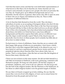I feel that that street corner and that bar were both better representations of what heaven is like than a lot of churches are. Some churches are very exclusive and extremely un-open to new people who don't act precisely the way they do. People grow up in different backgrounds and act very dissimilar, but the church, in general, often seems only able to open its arms to those who act as cliquey and sheltered as they do. There is little acceptance of different behavior.

A lot of churches hide themselves from the world. They develop a subculture of society as un-accepting of foreigners (those who don't fit into their world as they see it) as the Ku Klux Klan or the Neo-Nazi movement. They'll preach till they're blue in the face that God loves us all and will talk freely of the evils of prejudice, but what about behavioral prejudice? What about those who believe in Christ but have come from different backgrounds and therefore express their faith, and act, in different ways than the clique would normally expect? Much of the church may not physically close its doors on these people, but it certainly has little idea at all on how to relate to them.

Exclusiveness is a form of selfishness. Some churches are so content with their happy little group of believers (or pretenders, I don't know which) that they don't want their stagnant little family to be altered in any way. I have heard of, and have experienced, greater horror stories and tales of prejudicial rejection about churches than I have about clubs, bars, or parties. That's a crying shame, when the bars act more like the kingdom of heaven than many churches will.

Christ was not exclusive in the same manner. He did not hide himself in a safe little environment of sheltered, wide-eyed, grimacing, contented with themselves people. He hung out with sinners. He had the company of prostitutes, adulterers, and, worst of all, tax collectors. He did not go and kiss the butt of the religious leaders, like the Pharisees or the Sadducees. In fact these so-called religious leaders were his greatest targets of disdain.

He saw their evil hearts wrapped up in holy clothing. He saw that the reason they were involved with religion, or God, was to extract honor for themselves from the people and not for God.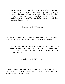"And when you pray, do not be like the hypocrites, for they love to pray standing in the synagogues and on the street corners to be seen by men. I tell you the truth, they have received their reward in full. But when you pray, go into your room, close the door and pray to your Father, who is unseen. Then your Father, who sees what is done in secret, will reward you."

(Matthew 6:5-6, NIV version)

Christ came for those who don't believe themselves holy and pure enough to receive the kingdom of heaven on their own merits of goodness.

"Many will say to me on that day, `Lord, Lord, did we not prophesy in your name, and in your name drive out demons and perform many miracles?' Then I will tell them plainly, `I never knew you. Away from me, you evildoers!'"

(Matthew 7:22-23, NIV version)

God requires of you the humbleness in word and spirit to accept what Christ has done on the cross for you as your only chance of salvation, not on your own measly good works.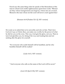David says the same thing when he speaks of the blessedness of the man to whom God credits righteousness apart from works: "Blessed are they whose transgressions are forgiven, whose sins are covered. Blessed is the man whose sin the Lord will never count against him."

(Romans 4:6-8 [Psalms 32:1-2], NIV version)

He wants us to admit that we're unworthy and rely on him. That's how God set it up; so Christ, then, can make you worthy by the power of what he did for you on the cross. This way, God gets the glory, not you. Then in turn God glorifies you, for doing it his way and trusting him and not seeking after the glory for yourself.

"For everyone who exalts himself will be humbled, and he who humbles himself will be exalted."

(Luke 14:11, NIV version)

"'And everyone who calls on the name of the Lord will be saved.'"

(Acts 2:21 [Joel 2:32], NIV version)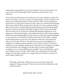God made it impossible for you to go to heaven on your own merits. You need to rely on God through Christ's sacrifice on the cross for your salvation.

God wants more than just correct behavior; he wants a reliance on him. He wants your heart, your love, to know you personally. Is this so much to ask, that you do nothing but believe in him and love him? You're required no good works, no pure past or future record. After you seek him and find him and come to him (with yourself), God will take you in any sinful condition that you may be in, and through the leading and power of the Holy Spirit, guide you, however slowly or quickly it may be, into living your life the way he wants you to. If and how quickly this happens depends on your openness to him and his Spirit, your submission to his will and his guiding hand, and your determination to obey, but to come to him requires nothing on your part but a true belief in Christ as the Son of God. Make a request for the forgiveness of your sins. Pray that he comes into your heart and takes over your life. That's it. You don't have to give up prostitution or arrogance or selfishness first and then come to God; come to God and he will give you the strength and the power and the love to change your habits if he wants them to be changed. For only after you have God's Spirit working in you, is when all things are possible. Your old addictions, you'll soon laugh at as you wonder what made you so dependent on such silly things, or what forces made you so angry that you reacted to everyone in such a bitter, selfish way.

Then they asked him, "What must we do to do the works God requires?" Jesus answered, "The work of God is this: to believe in the one he has sent."

(John 6:28-29, NIV version)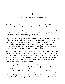# ←↑→

# **46) The Validity of the Unseen**

Well, it seems not all bars or clubs are a good representation of the kingdom of God. After leaving the blues jam and writing the above, and feeling very good, I ventured on over to a strip joint where my roommate works as a bartender. The club was closed when I arrived at quarter past two, but the doorman let me in anyway as I mentioned my roommate's name and my intentions of driving him home.

I sat down next to the stool that the doorman was now occupying; and after a while, we started talking. The conversation somehow turned to Jesus; and my roommate, Jimmy, soon instigated an all-out, free-for-all, Christianity and God hood debate. Jimmy likes to get people going. He'll say a few baited words to lead you on as to amuse him, and then just sit back and enjoy, with enormous laughter, the antics that follow.

As I was talking to Lester the doorman, or, "Lester the molester," as Jimmy calls him, about God and whatnot, Jimmy yelled out to the manager of the club something like, "What's your opinion of this Adam and Eve thing we were discussing?" He gave his opinion, and summed it up as a fable and didn't believe in God anyway. Well, this opened up the gate for the entire staff to offer their two cents on the topic.

The manager reiterated that all life traces back to an African woman ("Some Niger," were his exact words). Then the sweeper (who is black, but claims not to be black – and also claims that the rest of the Caucasians, or Griffins, as he calls them, still left at the club were not actually white) offered his opinions. I knew then that I was no match for the intrinsic wisdom and insight that he possessed and would not attempt to refute any abstract or practical theological concept that he subsequently put forth. Who could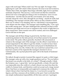argue with such logic? What could I say? He was right. No longer when applying for a job will I check white anymore; I'll cross it out and scratch in, "Darker than white, but lighter than beige with little, light, brown speckles randomly dispersed." But anyway, I soon found out that his comments about God were as thought provoking as his revolutionary views on race classification – but this did not end the conversation. [I'm only being sarcastic about his views, like I thought he was being – maybe he really had something.] The manager and the police officer on duty somehow found their way to where I was standing, and we, with Jimmy's encouragement, went deeper into the subject. The manager said something like, "I am a god that walks among men." He later challenged this callused God that would let disease and death and evil run so rampant in the world, to fight him in a three round bout. Three rounds were all he wanted, and even challenged God to kill him on the spot.

The manager said all these things in great levity, but there was an underlying disdain for the false picture of God that seemed to be painted on his mind. The police officer generally chuckled with amusement at whatever the manager said. If the manager was the officer's meal ticket, or at least important for the officer to get free drinks, I would not have been surprised. If the manager fell to his knees and prayed in thankfulness for the blessing of his very life, I believe the cop would have joined him, or at least have acted as if he respected the manager's decision to do so. Unfortunately, the cop had placed his open will in the hands of hardened disbelief.

We talked, though at points it seemed like argued, for quite a while longer. The manager came up with a few tough questions such as: "Do you believe that Jonah was actually in the belly of a whale?" (Though actually, I think the Scripture says, "a great fish," and not specifically a whale.) He said this was impossible since the width of a whale's throat was much less then the width of a human body, and therefore could not accept such a large morsel. Since I had been so irresponsible and neglected to measure the width of a whale's throat when I last had the chance to, I was forced to accept his figures, and thus, renounce all my beliefs on the spot. I had overlooked this one simple mathematical impossibility all this time; and now I apologize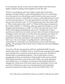for having taken up any of your time on these matters and will end my hapless, hopeless seeking of the kingdom of God. Bye, Bye.

Well, I've reconsidered, and I am a believer again. But if such trick questions, though I believe worth addressing (and I'm sure I could find a lot of the answers to in this lifetime, and the others in the next), were all answered, the answers could still not convince a self hardened heart to turn to God. Such questions as: "Is God so great that he can make a rock so big that even he can't pick it up?" or "If God made man, then who made God?" or "Why is there pain in the world?" or "What did the serpent represent in the Garden of Eden?" or "Did Jesus really rise again from death, or was he drugged and fell asleep for a while?" or "Where do dinosaurs fit in?" may all be worth asking and finding the answers to. Though some of these questions are asked out of sincerity and may show an honest confusion and a longing to know the truth, a lot of the time such questions are asked out of a guilty conscience defending its ways – or not even guilt, but just a disinterest in honestly searching for the truth for they're set and happy in their ways. Like a rat, happy in a garbage barrel, unknowing and uninterested in venturing to see whether there is more to life than just garbage. The garbage is real to them, and is in their eyes the most fulfilling life possible.

A lot who will ask such questions will have studied the bible far more intently than many a Christian. They've read the same passages that I might have read that have caused me to break down in tears over, and they'll dismiss them as sentimental malarkey. They'll refute these words as propaganda used by governments to keep people in line and act orderly. They'll patronize these verses as just well written, very poetic literature, and nothing more. I've handed over portions of the Scripture that have changed my whole focus of life and caused me to fall deeper in love with my Savior, Christ Jesus, only to see someone hand it back appearing unmoved whatsoever by these same words; but I think I know why.

"You will seek me and find me when you seek me with all your heart."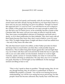#### (Jeremiah 29:13, NIV version)

The key is to seek God openly and honestly with all your heart, not with a closed mind and after already having decided in your heart that Christ is a farce and you are now studying it to prove its silliness. Though I've heard this approach led C.S. Lewis to God. I was told that he set out to disprove the validity of the gospel; but it seems he was open enough to admit if he saw the facts veer in Christ's favor, as he eventually became a leader of the Christian faith. But many will not even make an effort to seek the truth. They hear some oversimplified criticism of Christianity and hold onto it dearly, as if it's their justification for their disbelief. They don't seek with all their hearts because they know they don't want to believe, even if it were true. Why? It might change them; it might ask them to lead less selfish lives – but only if they knew the other side.

The side that doesn't need to be selfish, as their Father provides for them and keeps them in much better care than they could possibly keep for themselves. They'd rather bang their heads against the wall and fight their way out of their cells than seek God and find he holds the keys to open the cell so you can walk calmly out into freedom. Instead we want to fight viciously, openly vicious or viciously hidden, for what we want and for what we think will bring us satisfaction. We only find, once we've reached our goals, that they've not brought us true fulfillment. So the manager seemed unwilling to hear or see.

"This is why I speak to them in parables: "Though seeing, they do not see; though hearing, they do not hear or understand. In them is fulfilled the prophecy of Isaiah: `You will be ever hearing but never understanding; you will be ever seeing but never perceiving. For this people's heart has become calloused; they hardly hear with their ears,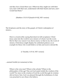and they have closed their eyes. Otherwise they might see with their eyes, hear with their ears, understand with their hearts and turn, and I would heal them.'"

(Matthew 13:13-15 [Isaiah 6:9-10], NIV version)

The Scriptures and the story of the gospel, of Christ's redemption of sinners...

Here is a trustworthy saying that deserves full acceptance: Christ Jesus came into the world to save sinners–of whom I am the worst. But for that very reason I was shown mercy so that in me, the worst of sinners, Christ Jesus might display his unlimited patience as an example for those who would believe on him and receive eternal life.

(1 Timothy 1:15-16, NIV version)

...seemed foolish (or nonsense) to him.

Where is the wise man? Where is the scholar? Where is the philosopher of this age? Has not God made foolish the wisdom of the world? For since in the wisdom of God the world through its wisdom did not know him, God was pleased through the foolishness of what was preached to save those who believe.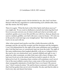#### (1 Corinthians 1:20-21, NIV version)

And, I admit, it might sound a bit far-fetched to me, also, had I not been blessed with the key ingredient to understanding such unbelievable, fairy tale like stories: the Holy Spirit.

There it is again. "What the heck is this Holy Spirit stuff about anyway?" you might ask. "If you want to disillusion yourself into believing that God lives in you and convicts you of what is truth and what is not truth, and somehow guides you in your life and fills you with love, than go ahead you narrow minded, gullible, corn ball with snow cones for brains – I'll visit you in the psycho ward and sign your straight jacket." But I truly believe that God is in me and with me.

After what seemed (and maybe was) like a futile discussion with the manager and the cop and the sweeper and the doorman and the instigator, I was a bit disheartened by the sight of the same selfishness and wanting to play God that had once so venomously kept me from the truth. The sight of the same stubbornness that laughed gleefully with me as I skipped down the road to my own destruction, now, seemed childish and ugly to me. I asked my other roommate, an older Irish man with a heavy brogue who had once lived out on the streets and had no teeth to speak of, why he believed in God. It's Amazing where wisdom will sometimes crawl out of. Out of the most unlikely sources have come some of the most profound, sheer unarguable statements of truth that I have ever heard. His answer was, "I don't wanna be alone." He said he knows someone's with him and that God has gotten him out of a lot of trouble. He also said that he talks to God every day and doesn't feel alone.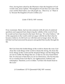Once, having been asked by the Pharisees when the kingdom of God would come, Jesus replied, "The kingdom of God does not come with your careful observation, nor will people say, `Here it is,' or `There it is,' because the kingdom of God is within you."

(Luke 17:20-21, NIV version)

If my roommate, Marty, had run into someone with all sorts of contrived questions and supposed facts disproving the validity of the word of God, he would not have been fazed in the least. He'd say, "It's what I believe." All of the arguments in the world could not argue with the fact that when he became a believer, he felt God was with him and no longer alone. He also felt that God had answered his prayers and guided him loyally through his life.

But God chose the foolish things of the world to shame the wise; God chose the weak things of the world to shame the strong. He chose the lowly things of this world and the despised things–and the things that are not–to nullify the things that are, so that no one may boast before him. It is because of him that you are in Christ Jesus, who has become for us wisdom from God–that is, our righteousness, holiness and redemption. Therefore, as it is written: "Let him who boasts boast in the Lord."

(1 Corinthians 1:27-31 [Jeremiah 9:24], NIV version)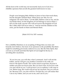All the facts in the world may not necessarily lead you to God; it's a childlike openness that unveils the greatest truth known to man.

People were bringing little children to Jesus to have him touch them, but the disciples rebuked them. When Jesus saw this, he was indignant. He said to them, "Let the little children come to me, and do not hinder them, for the kingdom of God belongs to such as these. I tell you the truth, anyone who will not receive the kingdom of God like a little child will never enter it." And he took the children in his arms, put his hands on them and blessed them.

(Mark 10:13-16, NIV version)

Not a childlike blindness or an accepting of things that you truly and honestly don't believe, but more of an openness to the possibility that there might be something previously unknown to you, like the Holy Spirit, that convicts us of truth (and that this Spirit of God might be the key to unveiling life's mysteries).

"If you love me, you will obey what I command. And I will ask the Father, and he will give you another Counselor to be with you forever–the Spirit of truth. The world cannot accept him, because it neither sees him nor knows him. But you know him, for he lives with you and will be in you. I will not leave you as orphans; I will come to you. Before long, the world will not see me anymore, but you will see me. Because I live, you also will live. On that day you will realize that I am in my Father, and you are in me, and I am in you."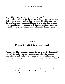My toothless companion continued to say that a lot of people (like in Hollywood or like Elvis or like the manager at the strip joint) want to play God, but these people usually end up very lonely. He said that the reason they so often commit suicide and kill themselves, in spite of experiencing what seems like great worldly success, is that after thinking themselves to be God for so long, they wake up one morning and realize they're not.

# $+ + +$

### **47) Foray My Child, Betray this Thought**

There are few things worse than a person having an emotional stronghold on you. Being under the control or manipulation of another person is a form of hell on earth; and to be the manipulator and to willingly use another for your own gain or amusement of having such power is not good either.

They are the kind who worm their way into homes and gain control over weak-willed women, who are loaded down with sins and are swayed by all kinds of evil desires, always learning but never able to acknowledge the truth.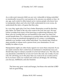#### (2 Timothy 3:6-7, NIV version)

As a wide eyed, innocent child you are very vulnerable to being controlled or emotionally swayed by your parents or by anyone you admire or fear. At any age, such control is often leased out to various people who know how to manipulate others and who don't fully understand (or even worse, do understand) the dark, evil game that they play.

In a way they again play God, but a better illustration would be that they play Satan. For Satan is the one who wants to be God, but can't. He may extract worship from many of his knowing or unknowing followers, but those who do worship him are not benefited in the same way that God would benefit them. It's a distortion to worship Satan and also a distortion for you to keep an emotional stronghold (or in a sense, a worshipping attitude) over another weak-willed individual. You should take whatever steps possible to release such a person from your domination. It's not healthy for either of you.

Manipulation rights are often freely signed over more than extracted. If you are under someone else's control (in an emotional or situational way) you should take steps to release yourself or to let God release you. The only one you should be controlled by is God, for God is the only one worthy of your will. He will bring you to the place that you want to be (or would want to be if you knew what you wanted and could see all things). He will bring you true joy, fulfillment, and also freedom.

The lions may grow weak and hungry, but those who seek the LORD lack no good thing.

(Psalms 34:10, NIV version)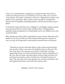God is not a loudmouthed, unrighteous, arrogant monster that seeks to control your life just to use you and throw you away after you've served your purpose. He wants "a closeness" with you, a dependence on him, as he guides you to perfection. Why would you let yourself be controlled by anyone who is incapable of dealing properly with the power that you give them?

To break the chains that they have willingly or unwillingly clasped around your emotional limbs is much easier said than done. Changing these painfully engraved patterns of a relationship can be very difficult, but well worth the effort.

Why should your self-worth be dependent on how anyone other than God thinks of you? If you build your life around another person's opinion of you, you may be living under a structurally unsound house of existence.

"Therefore everyone who hears these words of mine and puts them into practice is like a wise man who built his house on the rock. The rain came down, the streams rose, and the winds blew and beat against that house; yet it did not fall, because it had its foundation on the rock. But everyone who hears these words of mine and does not put them into practice is like a foolish man who built his house on sand. The rain came down, the streams rose, and the winds blew and beat against that house, and it fell with a great crash."

(Matthew 7:24-27, NIV version)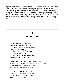If you learn to depend completely on God, these chains can be loosed. For before when you would do anything against your will just to please someone, keep them around, or save you from their wrath, now you can boldly stand up for truth and self dignity. God holds your destiny. If that person who once dominated you is to remain in your life, God can allow for it to be so; and if not, it might only be to your benefit. You have nothing to fear.

 $+ + +$ 

#### **48) Bore to Salt**

You held the hand of innocence And broke not its tender strains You saw the chance to rob its youth And passed it gently by You did not fix the light of truth To shine beyond its eyes You held its love inside your heart And kissed it not good-bye

There, there is the place where my eyes grew dim Where my walk was slowed and soul was trimmed My feet sank low in the sands of trust Along the shore where love meets dust

But who could fill such open eyes That look into the sky and wonder? Who could hold such tender hands And not abrade the skin?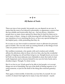# $+ + +$ **49) Barter of Fools**

There are tons of nice people, but people you can depend on are rare. It seems that the more of an attractive personality or appearance a person has the less reliable and trustworthy they are – but not always. Attractive people have so many doors opened for them that it's hard for them not to enter many of them – doing so while knowing full well that they don't have any intentions of ever returning the favor, or have any special feelings for the helpful party, while pretending that they do.

It's so easy to con, but to trade in someone's trust or affection for personal gain is foolish. The con only ends up conning himself, as the things of real value are passed over for an easier ride.

My toothless roommate, who speaks with such wisdom and verbally affirms his affections often to those who love him, also has the wonderful quality of ripping you off and then lying to you. Straight faced, eye-to-eye, he'll tell you the most elaborate story thinkable to deny the truth of what really happened, and so lessons himself in my eyes for forty bucks and a drunken stupor. Though, I've done worse.

But it's so fun to con. It feels good to be able to fool people, or to accept things not out of friendship, but out of the thrill of feeling superior or of using someone, or just for the thrill of the thing (the extracted gratuity) itself.

Then again, it feels terrible. It feels like you lose bits of yourself. It's not worth it. It doesn't feel right; but to many it may feel natural – maybe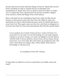because they haven't truly tasted the things of God yet. Maybe they haven't known anything of value to compare the joys of deception and manipulation to. Maybe they have no desire to find out if there is a better way; or maybe they have experienced God, but have somehow slipped away and have chosen the things of the world instead.

Many will trade love for something of much less value; but this may be because, in their present state, they don't have the ability to enjoy and cherish the love that is offered them (let alone return it). Maybe that state is away from God. Then again, many say they love and claim no allegiance to God, but does their love have the characteristics that Paul the apostle listed?

Love is patient, love is kind. It does not envy, it does not boast, it is not proud. It is not rude, it is not self-seeking, it is not easily angered, it keeps no record of wrongs. Love does not delight in evil but rejoices with the truth. It always protects, always trusts, always hopes, always perseveres. Love never fails. But where there are prophecies, they will cease; where there are tongues, they will be stilled; where there is knowledge, it will pass away.

(1 Corinthians 13:4-8, NIV version)

Or does their so-called love revolve around their own selfish wants and needs?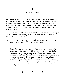## **50) Holy Veneer**

If you're a nice person for the wrong reasons, you're probably worse than a bum-crevasse; at least a bum-crevasse is honest. Some people act holy and nice and good natured and polite just to enjoy the glory they receive for being like that. They do their works of goodness for all to see. They pray aloud with long, tear jerking prayers. They love the praise they receive from all those around them.

His warm smile makes the women melt and the men admire and look up to him. "What a nice guy (or gal)," they all say to themselves as they walk through the doors being held for them.

There's nothing wrong with treating people nicely, but to act a certain way as to bring praise on your self from men is dangerous.

"Be careful not to do your `acts of righteousness' before men, to be seen by them. If you do, you will have no reward from your Father in heaven. So when you give to the needy, do not announce it with trumpets, as the hypocrites do in the synagogues and on the streets, to be honored by men. I tell you the truth, they have received their reward in full. But when you give to the needy, do not let your left hand know what your right hand is doing, so that your giving may be in secret. Then your Father, who sees what is done in secret, will reward you."

(Matthew 6:1-4, NIV version)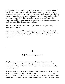I fell victim to this way of acting in the past and may again in the future. I loved being thought of as good and nice and would leap across tables to pick up someone's dropped pencil. Not because I really wanted to help, but because I wanted a certain reaction. I wanted to be honored and thought of in a certain way. I think this is as bad (or worse) as when I would do something foolish or rude or mean for attention or for a certain reaction. It's really the same thing, just more covered up.

If I'm to love, then love I will. But I hope not to love in a phony way as to bring glory to myself.

Many enjoy the church life, not particularly because they love God, but more so because they enjoy the way of life that many churches offer. It best serves their selfish wants and desires, and it gives them a feeling of superiority.

# $+ + +$

### **51) Volley of Ignorance**

People seem to have very little understanding for those they don't understand. We seem all too quick to judge and look down upon others when the only help we have to offer is a cold snarl and the words, "Just pull yourself together."

No one comes from the same background or circumstances. No two people have the exact same ability to deal with misfortune (or fortune, for that matter). We all think we know exactly what someone else's problem is, and could sum up, completely, their ailments and faults for them over breakfast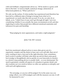with such brilliant, compassionate advice as, "All he needs is a good, swift kick in the butt," or such in-depth, analytical, benign, deductions of behavioral patterns as, "What a jerk he is."

We only see the surface. If what another has experienced (and therefore has been led to a different state of being) is foreign from what we've experienced, we rarely take this into account. If we do, we only do so falsely, as in, "I didn't have it easy and I got through all right," not even considering whether it was actually the same circumstances at all, and also neglecting to realize that people have different emotional anatomies and tolerances for pain and hardship.

"Stop judging by mere appearances, and make a right judgment."

(John 7:24, NIV version)

Such fore mentioned callused advice is more often given out of a superiority complex and the desire to hear one's own self talk, than out of truly wanting to steer a lost soul in the right direction. Sure, sometimes, hard words to another will help wake them up and do them some good, but to judge so thoughtlessly and as quickly as your knee jerks in reaction to a doctor's knee jerking device is usually futile – or even detrimental. We need to genuinely consider all aspects of a situation in greater detail, and also examine our own motives before we offer our opinions so abruptly and with such self-righteousness.

"Do not judge, or you too will be judged. For in the same way you judge others, you will be judged, and with the measure you use, it will be measured to you."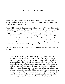#### (Matthew 7:1-2, NIV version)

Fear not, all you outcasts of the organized church and unjustly judged hooligans and rebels; God is not as devoid of compassion or as thoughtless. God is the only perfect judge.

Sam and Jill both took the same test and Sam scored a 95, while Jill scored a 50. The human teacher looked at their papers and deduced that Sam would receive an "A" mark, and Jill would receive an "F" (for fail) mark. What else could the teacher do? He had no tool to measure the brain capability of each of the two students, nor had he the insight to understand each of their pasts and how this has effected the development of their brains and their ability to study. This teacher is not even positive if one or the other has cheated. He only has so much information to go by and judges accordingly; but God has all the information to judge perfectly.

We're not all given the same abilities or circumstances, and God takes this into account.

"Again, it will be like a man going on a journey, who called his servants and entrusted his property to them. To one he gave five talents of money, to another two talents, and to another one talent, each according to his ability. Then he went on his journey. The man who had received the five talents went at once and put his money to work and gained five more. So also, the one with the two talents gained two more. But the man who had received the one talent went off, dug a hole in the ground and hid his master's money. After a long time the master of those servants returned and settled accounts with them. The man who had received the five talents brought the other five. `Master,' he said, `you entrusted me with five talents. See, I have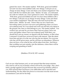gained five more.' His master replied, `Well done, good and faithful servant! You have been faithful with a few things; I will put you in charge of many things. Come and share your master's happiness!' The man with the two talents also came. `Master,' he said, `you entrusted me with two talents; see, I have gained two more.' His master replied, `Well done, good and faithful servant! You have been faithful with a few things; I will put you in charge of many things. Come and share your master's happiness!' Then the man who had received the one talent came. `Master,' he said, `I knew that you are a hard man, harvesting where you have not sown and gathering where you have not scattered seed. So I was afraid and went out and hid your talent in the ground. See, here is what belongs to you.' His master replied, `You wicked, lazy servant! So you knew that I harvest where I have not sown and gather where I have not scattered seed? Well then, you should have put my money on deposit with the bankers, so that when I returned I would have received it back with interest. Take the talent from him and give it to the one who has the ten talents. For everyone who has will be given more, and he will have an abundance. Whoever does not have, even what he has will be taken from him. And throw that worthless servant outside, into the darkness, where there will be weeping and gnashing of teeth.'"

#### (Matthew 25:14-30, NIV version)

God can see what humans can't, so rest assured that that mean minister who used to yell at you in Sunday school will not be your judge. Also, don't hold a grudge against God just because this screwed up minister yelled at you. Rest assured that God knows your difficulties and is merciful and understanding. He also offers his power to overcome even the most severe circumstances. Just ask for his help.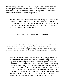It seems things have come full circle. When Jesus came to this earth as a lowly carpenter slash savior, his main adversaries were the religious leaders of the day. Jesus admonished the self-righteous and justified the sinner who realized his need for forgiveness.

When the Pharisees saw this, they asked his disciples, "Why does your teacher eat with tax collectors and `sinners'?" On hearing this, Jesus said, "It is not the healthy who need a doctor, but the sick. But go and learn what this means: `I desire mercy, not sacrifice.' For I have not come to call the righteous, but sinners."

(Matthew 9:11-13 [Hosea 6:6], NIV version)

Those who were self-content and thought they were right with God were way off the mark. Their self-righteousness and pride gave them away. Humility was only a concept unpracticed (or falsely practiced and coyly imitated). Jesus called them "whitewashed tombs" and "brood of vipers,"...

"Woe to you, teachers of the law and Pharisees, you hypocrites! You give a tenth of your spices–mint, dill and cummin. But you have neglected the more important matters of the law–justice, mercy and faithfulness. You should have practiced the latter, without neglecting the former. You blind guides! You strain out a gnat but swallow a camel. "Woe to you, teachers of the law and Pharisees, you hypocrites! You clean the outside of the cup and dish, but inside they are full of greed and self-indulgence. Blind Pharisee! First clean the inside of the cup and dish, and then the outside also will be clean. "Woe to you, teachers of the law and Pharisees, you hypocrites! You are like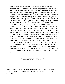whitewashed tombs, which look beautiful on the outside but on the inside are full of dead men's bones and everything unclean. In the same way, on the outside you appear to people as righteous but on the inside you are full of hypocrisy and wickedness. "Woe to you, teachers of the law and Pharisees, you hypocrites! You build tombs for the prophets and decorate the graves of the righteous. And you say, 'If we had lived in the days of our forefathers, we would not have taken part with them in shedding the blood of the prophets.' So you testify against yourselves that you are the descendants of those who murdered the prophets. Fill up, then, the measure of the sin of your forefathers! "You snakes! You brood of vipers! How will you escape being condemned to hell? Therefore I am sending you prophets and wise men and teachers. Some of them you will kill and crucify; others you will flog in your synagogues and pursue from town to town. And so upon you will come all the righteous blood that has been shed on earth, from the blood of righteous Abel to the blood of Zechariah son of Berekiah, whom you murdered between the temple and the altar. I tell you the truth, all this will come upon this generation. "O Jerusalem, Jerusalem, you who kill the prophets and stone those sent to you, how often I have longed to gather your children together, as a hen gathers her chicks under her wings, but you were not willing. Look, your house is left to you desolate. For I tell you, you will not see me again until you say, 'Blessed is he who comes in the name of the Lord.'"

(Matthew 23:23-39, NIV version)

...while accepting with open arms: prostitutes, commoners, tax collectors... etcetera (those who loved Jesus and knew they needed him and his forgiveness).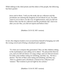While talking to the chief priests and the elders of the people, the following has been quoted.

Jesus said to them, "I tell you the truth, the tax collectors and the prostitutes are entering the kingdom of God ahead of you. For John came to you to show you the way of righteousness, and you did not believe him, but the tax collectors and the prostitutes did. And even after you saw this, you did not repent and believe him."

(Matthew 21:31-32, NIV version)

In fact, the religious leaders even accused Jesus himself of hanging out with the wrong crowd and of being a drunkard and a glutton.

"To what can I compare this generation? They are like children sitting in the marketplaces and calling out to others: `We played the flute for you, and you did not dance; we sang a dirge, and you did not mourn.' For John came neither eating nor drinking, and they say, `He has a demon.' The Son of Man came eating and drinking, and they say, `Here is a glutton and a drunkard, a friend of tax collectors and "sinners."' But wisdom is proved right by her actions."

(Matthew 11:16-19, NIV version)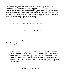Now today, things seem to have come back to the way they used to be. Much of the so-called church, that is supposed to be built around the cornerstone of Christ Jesus, has decided to ignore his teachings and mimic those of the selfish religious leaders of Christ's day instead. How could this be? How could the supposed followers of Christ praise Christ's name with such conviction and yet ignore his teaching?

"If you love me, you will obey what I command."

(John 14:15, NIV version)

In fact, many will preach Christ's teachings, but turn around and ignore them (knowingly or unknowingly). Either way, it reveals a distance in their selves from the Spirit of God.

"Not everyone who says to me, `Lord, Lord,' will enter the kingdom of heaven, but only he who does the will of my Father who is in heaven. Many will say to me on that day, `Lord, Lord, did we not prophesy in your name, and in your name drive out demons and perform many miracles?' Then I will tell them plainly, `I never knew you. Away from me, you evildoers!'"

(Matthew 7:21-23, NIV version)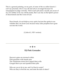This is a general painting, on my part, of some of the so-called church. I can't say precisely who is way off and who is on target because I'm unequipped to judge correctly. That's God's job (and I, myself, am aware of my own ability to be way off the mark). But I can rely on the Spirit's power of discernment and the word of God.

Dear friends, do not believe every spirit, but test the spirits to see whether they are from God, because many false prophets have gone out into the world.

(1 John 4:1, NIV version)

### $+ + +$

### **52) Pink Grenades**

Heaven's gates are stormed within Pink grenades with female pins The wholesome stores have signed their wills Gouged their eyes and spanked their pills

Who are you to lie to me, and I to float in water? Who are they to boil the sea, and taste the tails of otters?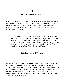# $+ \uparrow \rightarrow$

# **53) Enlightened Darkness?**

So, which is better: to try too hard to be liked by everyone, rub niceness in their faces and risk being looked upon as phony or wishy-washy; or to display all your natural reactions no matter how impolite, impatient, sinful or selfish they may be and so try too hard to be honest? Well, maybe Solomon has the answer.

In this meaningless life of mine I have seen both of these: a righteous man perishing in his righteousness, and a wicked man living long in his wickedness. Do not be overrighteous, neither be overwise–why destroy yourself? Do not be overwicked, and do not be a fool–why die before your time? It is good to grasp the one and not let go of the other. The man who fears God will avoid all [extremes].

(Ecclesiastes 7:15-18, NIV version)

As I watch an Alice Cooper Trashes the World video, I think to myself, as he commands thousands of adoring fans with his arrogant snarls and touches them with tender moments of insanity, "What honesty he has." In a way I admire his honesty. His lyrics touch on touchy subjects such as: necrophilia, women abuse, insanity and murder. It seems he's not commending such behavior nor condemning it, but rather commenting (as an actor in a play) on a theme.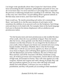I no longer write specifically about Alice Cooper for I don't know all the facts surrounding his life's experience, philosophies and point of view, nor do I even know him. I've never met him so I can't judge him or claim that the previous or following remarks have anything to do with him. They may or they may not; I don't know. I'm just talking about a general outlook on life that many seem to have, and I have had in the past.

Some would say, "By merely presenting such antics, he's commending them," and maybe he is, but the mere mention of such topics (with sometimes the addition of an answer) is all over the Scriptures. Such things exist and deserve to be dealt with. For example, listen to the harsh language God uses to illustrate his intense displeasure with an adulterous and promiscuous nation.

"Yet she became more and more promiscuous as she recalled the days of her youth, when she was a prostitute in Egypt. There she lusted after her lovers, whose genitals were like those of donkeys and whose emission was like that of horses. So you longed for the lewdness of your youth, when in Egypt your bosom was caressed and your young breasts fondled. Therefore, Oholibah, this is what the Sovereign LORD says: I will stir up your lovers against you, those you turned away from in disgust, and I will bring them against you from every side–the Babylonians and all the Chaldeans, the men of Pekod and Shoa and Koa, and all the Assyrians with them, handsome young men, all of them governors and commanders, chariot officers and men of high rank, all mounted on horses. They will come against you with weapons, chariots and wagons and with a throng of people; they will take up positions against you on every side with large and small shields and with helmets. I will turn you over to them for punishment, and they will punish you according to their standards."

(Ezekiel 23:19-24, NIV version)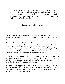"They will deal with you in hatred and take away everything you have worked for. They will leave you naked and bare, and the shame of your prostitution will be exposed. Your lewdness and promiscuity have brought this upon you, because you lusted after the nations and defiled yourself with their idols."

(Ezekiel 23:29-30, NIV version)

To merely relish in dark and evil things for their own enjoyment may show honesty with one's earthly nature, but also dishonesty with one's spiritual nature.

We may all have violent feelings and selfish, lustful, sinful desires; but to fertilize these thoughts, help them grow and let them engulf our lives, to bathe in the honesty of our own depravity without wanting or looking for an even deeper truth, may feel, in a sense, freeing for a moment, but will not lead you to the best place you could be. It's an extreme, an acknowledging of our own sinful state and relishing in it.

One who thinks such ways and acts such ways may be very persuasive and will draw many to their side. They reveal man's fleshly nature and natural selfish desires. They may try to make others feel that such desires are natural and wrongfully suppressed by God.

Honesty is often suppressed by the so-called church, but not by God. God realizes our inbred sinful desires; he acknowledges them, but also provides a way in which victory can be had over them. How? The answer is the blood of Christ and the Holy Spirit.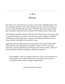# $+$  1  $+$ **54) Gray**

But what is sin, and what isn't, may be a very large, undefined, gray area. Not all things are black and white, though some are. Once the church, or anyone, starts defining the gray areas of what's right and wrong, I think they sometimes make the same mistake the Pharisees made in their day.

The Pharisees and the teachers of the law had tons of rules. Every gray area or unclear situation was made "clear" by man; and to disagree with their clarifications of such gray areas would be considered (it seems in some cases beyond a thought of the matter) wrong.

Again, the church often chooses to mimic Jesus' adversaries rather than Jesus himself, or his disciples and apostles. Today we have (in many churches) a clearly defined list describing what certain actions, which are not specifically defined in Scripture, should be treated as.

Jesus replied, "And you experts in the law, woe to you, because you load people down with burdens they can hardly carry, and you yourselves will not lift one finger to help them."

(Luke 11:46, NIV version)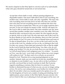We need to depend on the Holy Spirit to convince each of us individually what color gray should be turned into or not turned into.

Accept him whose faith is weak, without passing judgment on disputable matters. One man's faith allows him to eat everything, but another man, whose faith is weak, eats only vegetables. The man who eats everything must not look down on him who does not, and the man who does not eat everything must not condemn the man who does, for God has accepted him. Who are you to judge someone else's servant? To his own master he stands or falls. And he will stand, for the Lord is able to make him stand. One man considers one day more sacred than another; another man considers every day alike. Each one should be fully convinced in his own mind. He who regards one day as special, does so to the Lord. He who eats meat, eats to the Lord, for he gives thanks to God; and he who abstains, does so to the Lord and gives thanks to God. For none of us lives to himself alone and none of us dies to himself alone. If we live, we live to the Lord; and if we die, we die to the Lord. So, whether we live or die, we belong to the Lord. For this very reason, Christ died and returned to life so that he might be the Lord of both the dead and the living. You, then, why do you judge your brother? Or why do you look down on your brother? For we will all stand before God's judgment seat. It is written: "`As surely as I live,' says the Lord, `every knee will bow before me; every tongue will confess to God.'" So then, each of us will give an account of himself to God. Therefore let us stop passing judgment on one another. Instead, make up your mind not to put any stumbling block or obstacle in your brother's way. As one who is in the Lord Jesus, I am fully convinced that no food is unclean in itself. But if anyone regards something as unclean, then for him it is unclean. If your brother is distressed because of what you eat, you are no longer acting in love. Do not by your eating destroy your brother for whom Christ died. Do not allow what you consider good to be spoken of as evil. For the kingdom of God is not a matter of eating and drinking, but of righteousness, peace and joy in the Holy Spirit, because anyone who serves Christ in this way is pleasing to God and approved by men. Let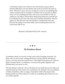us therefore make every effort to do what leads to peace and to mutual edification. Do not destroy the work of God for the sake of food. All food is clean, but it is wrong for a man to eat anything that causes someone else to stumble. It is better not to eat meat or drink wine or to do anything else that will cause your brother to fall. So whatever you believe about these things keep between yourself and God. Blessed is the man who does not condemn himself by what he approves. But the man who has doubts is condemned if he eats, because his eating is not from faith; and everything that does not come from faith is sin.

(Romans 14 [Isaiah 45:23], NIV version)

# $+ + +$ **55) Pointless Ritual**

A pointless ritual: to even try to find a job in this freuqing economy. For those who are sick of me writing about how strong I feel by the Spirit's power, you may soon have good news. I feel anger having its way with me again. It seems there's a conspiracy: everyone has gotten together and decided that I am never to win.

The best thing I could do is lie on the floor (or my bed) and cry for help and comfort from my God; I know he would hear me. Instead, I have purchased a bottle of Sambuca, after an angry, frustrated walk to the liquor store, hoping all the way that someone would say something discourteous to me so I could explode.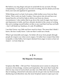But before you sing dirges and put on sackcloth for my account, I'll stop complaining. I was going to say I'm sick of writing, but I'm afraid you'd rise from your seat and applaud in agreement.

While things aren't so bad, God seems a little further away from me than before. This is only my fault, I realize. I have given into sin and have not leaned heavily on God for help to deliver me from my dreary circumstances. I also realize that to go down the road of anger, lust, booze and depression is futile, and have already decided in the course of writing this not to indulge myself farther on this or any road that God has not built – but I will finish my Sambuca, it's only 50 milliliters.

I see that I know very little and have much to learn. The more that I think I know, the less I really know. I also see that I could use a break.

When I get miserable and angry, I'm better off away from people (though people do respect you when you're angry). I'd rather have respect than false sympathy or fake hellos, but respect deemed from anger is more so fear not respect – so God, help me.

### $+ + +$

### **56) Majestic Overtones**

Scripture (the Bible – Old and New Testaments) never seems to exhaust its treasures of knowledge, wisdom and inspiration. The more that I make the effort to stay close to God (which can take very little effort at all, equal to that of making a friend feel welcome) and do not give into my bent towards disobeying God (therefore sin), the more Scripture seems to open up to me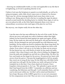– showing me unfathomable truths, so clear and applicable to my life that it is frightening, as if God is speaking directly to me.

I believe God uses the Scriptures to speak to us individually, as well as by using newspaper, radio, baby drool, soap scum or whatever he chooses. There may be a divine message behind much more than what we are willing to see. Being open to God is the key to reading the signs he places around us (and maybe the deciding factor in whether these signs, to aid us, are even placed at all), as the Holy Spirit interprets these every day or extraordinary occurrences into road signs of his plan for our lives.

But anyway, one chapter really hit me the other day.

I am the man who has seen affliction by the rod of his wrath. He has driven me away and made me walk in darkness rather than light; indeed, he has turned his hand against me again and again, all day long. He has made my skin and my flesh grow old and has broken my bones. He has besieged me and surrounded me with bitterness and hardship. He has made me dwell in darkness like those long dead. He has walled me in so I cannot escape; he has weighed me down with chains. Even when I call out or cry for help, he shuts out my prayer. He has barred my way with blocks of stone; he has made my paths crooked. Like a bear lying in wait, like a lion in hiding, he dragged me from the path and mangled me and left me without help. He drew his bow and made me the target for his arrows. He pierced my heart with arrows from his quiver. I became the laughingstock of all my people; they mock me in song all day long. He has filled me with bitter herbs and sated me with gall. He has broken my teeth with gravel; he has trampled me in the dust. I have been deprived of peace; I have forgotten what prosperity is. So I say, "My splendor is gone and all that I had hoped from the LORD." I remember my affliction and my wandering, the bitterness and the gall. I well remember them, and my soul is downcast within me. Yet this I call to mind and therefore I have hope: Because of the LORD's great love we are not consumed, for his compassions never fail. They are new every morning; great is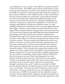your faithfulness. I say to myself, "The LORD is my portion; therefore I will wait for him." The LORD is good to those whose hope is in him, to the one who seeks him; it is good to wait quietly for the salvation of the LORD. It is good for a man to bear the yoke while he is young. Let him sit alone in silence, for the LORD has laid it on him. Let him bury his face in the dust–there may yet be hope. Let him offer his cheek to one who would strike him, and let him be filled with disgrace. For men are not cast off by the Lord forever. Though he brings grief, he will show compassion, so great is his unfailing love. For he does not willingly bring affliction or grief to the children of men. To crush underfoot all prisoners in the land, to deny a man his rights before the Most High, to deprive a man of justice–would not the Lord see such things? Who can speak and have it happen if the Lord has not decreed it? Is it not from the mouth of the Most High that both calamities and good things come? Why should any living man complain when punished for his sins? Let us examine our ways and test them, and let us return to the LORD. Let us lift up our hearts and our hands to God in heaven, and say: "We have sinned and rebelled and you have not forgiven. You have covered yourself with anger and pursued us; you have slain without pity. You have covered yourself with a cloud so that no prayer can get through. You have made us scum and refuse among the nations. All our enemies have opened their mouths wide against us. We have suffered terror and pitfalls, ruin and destruction." Streams of tears flow from my eyes because my people are destroyed. My eyes will flow unceasingly, without relief, until the LORD looks down from heaven and sees. What I see brings grief to my soul because of all the women of my city. Those who were my enemies without cause hunted me like a bird. They tried to end my life in a pit and threw stones at me; the waters closed over my head, and I thought I was about to be cut off. I called on your name, O LORD, from the depths of the pit. You heard my plea: "Do not close your ears to my cry for relief." You came near when I called you, and you said, "Do not fear." O Lord, you took up my case; you redeemed my life. You have seen, O LORD, the wrong done to me. Uphold my cause! You have seen the depth of their vengeance, all their plots against me. O LORD, you have heard their insults, all their plots against me–what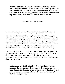my enemies whisper and mutter against me all day long. Look at them! Sitting or standing, they mock me in their songs. Pay them back what they deserve, O LORD, for what their hands have done. Put a veil over their hearts, and may your curse be on them! Pursue them in anger and destroy them from under the heavens of the LORD.

(Lamentations 3, NIV version)

The ability to rub our faces in the dust and wait quietly for the Lord to come and free us from our present dismal situation is as rare as the commonness of our inclination to explode into fits of childish rage, to submit to depression, or to fill our senses with fleshly pleasures. To sit still and have patience for God's emancipation goes directly against many, if not all, of our seemingly natural reactions to adversity. To watch our lives almost as an observer of where God leads us, almost as an actor in a movie, knowing our fate has been decided and written by someone we trust – doing this not in a resigned pacifistic manner, but rather in a trusting one.

To resist exploding with anger if a particular door is slammed shut in our face and walk to the next door. To try again at the last door or find a back door to the same place, but all the while looking at every good or (seemingly) bad turn as a point on a connect-the dots picture that God has drawn to perfection.

And do not grieve the Holy Spirit of God, with whom you were sealed for the day of redemption. Get rid of all bitterness, rage and anger, brawling and slander, along with every form of malice. Be kind and compassionate to one another, forgiving each other, just as in Christ God forgave you.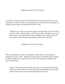#### (Ephesians 4:30-32, NIV version)

To walk in wonder of where God will lead you and not already have your mind set on exactly where you're going or how you'll get there (though you should always make your desires known to God).

"Which of you, if his son asks for bread, will give him a stone? Or if he asks for a fish, will give him a snake? If you, then, though you are evil, know how to give good gifts to your children, how much more will your Father in heaven give good gifts to those who ask him!"

(Matthew 7:9-11, NIV version)

Have the openness to follow his guidance when there is a discrepancy between your two wills – though if you are close to his Spirit, there should be little trouble here, you'll be as one. This is all sometimes difficult, but well worth doing.

There is one body and one Spirit–just as you were called to one hope when you were called–one Lord, one faith, one baptism; one God and Father of all, who is over all and through all and in all.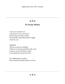# $+ + +$

### **57) Seedy Whites**

I am not a circled vow I am here to save your bows In the chest of seedy whites I'll comb the steps that bend to night And see you

Rubbish! All my words are rubbish! I fall on my hands and blame the curb I leap in vain at all that's cured I am ashamed and proud of it!

It's frightening to realize How much our deeds affect our lives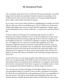### **58) Abandoned Wants**

Life is tasteless apart from God. I could have the most seemingly successful, happy life, but inside be miserable. I'd prefer outside circumstance to be terrible and be close to God on the inside, as to having outside things be great while on the inside I feel like I'm dying.

It's so easy to lose touch with God that it is frightening to consider; but God tells me, flat out, when I am drifting away. For as I drift away, he becomes farther and farther away from me; and I feel the separation. I begin, again, to be bombarded by the worries of this life – so much as to miss the point of life.

If I had not been so fortunate as to experience the true joy of a life in harmony and oneness with the Lord, I would most likely be far less aware of the difference between being caught up in the world and caught up in the kingdom of heaven. I would have nothing to compare my pointless life too, so I might not even venture to consider the emptiness of it. The emptiness might feel natural, and there would still be moments of joy (or what seems like joy, but maybe only an imitation). These moments (when experienced apart from God) seem more like rich candy that makes your stomach turn as opposed to a three-course meal (when close to God). It is better to be alone and close to God than to be with many people and away from God.

Apart from God, you can't enjoy people to the fullest anyway; but close to God, you can enjoy people to the fullest. Close to God there are no worries, insecurities, there is no defensiveness, selfishness or arrogance; while apart from God we are knocked to the floor in agony by a friendly insult, or even by a compliment that doesn't blanket our entire image of ourselves.

You can only go so long on the high of what others think of you, or your own grandiose image of yourself. It runs out like a drunkard's merriment. He closes his eyes and feels the room spinning, as his joy was magnified, so now his sorrow. The effects of his shallowness slap him in the face as he realizes the lack of depth that has been achieved with those he cares about,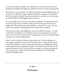or could care about someday. He climbed a tree of joy that was rooted in pudding. Inevitably, the higher he climbed, the lower it sank to the ground.

Second best is not an option. To settle for less than what the Spirit leads you towards is to settle for a paper napkin instead of a sponge to wash dishes with. The napkin will push the water around for a second or two, but soon it will fall apart into bedraggled pieces of mush.

As my thoughts turn to God, so my spirit is uplifted. As I appeal in prayer for a bit of color in my colorless world, soon I see the gray flowers turn bright pink. The honest eyes of the children, so honest as to scare my eyes away, now turned to sparkling pools of wonder and acceptance.

True success in life, real fulfillment, can occur in fifteen minutes – as I fall on the floor (symbolically or literally) and pray for forgiveness for all my evil ways. Even if the world doesn't recognize my evil ways, the Holy Spirit convinces me of my rebelliousness.

I don't want to dwell on shallow planes anymore. It's like walking on a cold, soggy marshland. Apart from God, life sucks. I could rule the world, be loved by millions, marry my pick of thousands, accomplish great feats and be adored for my wisdom by all the world, but if my soul did not rub against the Spirit of God I would still be as empty as a barren gymnasium on a winter's day – filled only with broken memories of a losing High School basketball season.



**59) Position**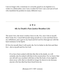I am no longer only a musician or a security guard or an engineer or a writer or a dishwasher, now I am a worker for God. I am a servant of God who manifests his position in many different ways.

# $+ \uparrow \rightarrow$

# **60) As Death's Pure Justice Breathes Life**

The more I live, the more I realize I have to die. For, once I die to myself, then I truly live. I must kill myself, hang myself on a cross and beat down my selfishness, put a gun to my head and let God live through me with the least resistance to his Spirit.

If I live for myself, then I will surely die. So it is better to die first and then live – die to myself and live for God.

If we have been united with him like this in his death, we will certainly also be united with him in his resurrection. For we know that our old self was crucified with him so that the body of sin might be done away with, that we should no longer be slaves to sin–because anyone who has died has been freed from sin.

(Romans 6:5-7, NIV version)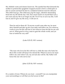My childish wants and desires haunt me. The spoiled brat that demands his mother to pretend the spaghetti wrapped around a fork is a helicopter or else to scream and kick his feet in a unilateral tantrum must be silenced. This child must go. This child may pop his angry, attention demanding head into my life till the day I die, but I must resolve to myself that I am a new man and my life is no longer my life. For if I try to save my life, I will lose it; and if I give my life away, I will save it.

Then he said to them all: "If anyone would come after me, he must deny himself and take up his cross daily and follow me. For whoever wants to save his life will lose it, but whoever loses his life for me will save it. What good is it for a man to gain the whole world, and yet lose or forfeit his very self?"

(Luke 9:23-25, NIV version)

"The man who loves his life will lose it, while the man who hates his life in this world will keep it for eternal life. Whoever serves me must follow me; and where I am, my servant also will be. My Father will honor the one who serves me."

(John 12:25-26, NIV version)

It's a matter of trust. Whom do you trust – yourself? Can you manipulate your surroundings so well that you feel secure in this?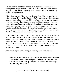Oh, the dangers of getting your way, of being created beautifully or of having any earthly power that has fallen on your lap; these are incredibly dangerous predicaments. You may forfeit life for death! You may pass by joy for a cheap imitation!

Whom do you trust? Whom or what do you rely on? Do you trust God to bring you your daily bread and to provide for your needs, or do you scrape for every piece of bread you have? Do you fight your way; do you demand your way? Is your whole life consumed by nothing more than your own whimsical desires? Are you unable to indulge in love completely, as you are too busy making what you think you want to happen, happen – running frantically after your self prescribed brand of happiness, only to find (hopefully before it's too late) that you're running in the exact opposite direction of the road that truly leads to fulfillment?

On such a sprinter, life's joy lies in one more goal away, and then again one more, and then one more – never completely satisfied, there's always some mysterious thing missing. Like our childhood visions of utter and complete, ecstatic joy that is to be shoveled on us by all the presents that we will receive on Christmas Day. After all the wrappers have been torn into, and all the secrets are disclosed, we realize that our expectations have far outweighed reality.

Is there such a plan where reality far outweighs our expectations?

However, as it is written: "No eye has seen, no ear has heard, no mind has conceived what God has prepared for those who love him"–but God has revealed it to us by his Spirit. The Spirit searches all things, even the deep things of God.

(1 Corinthians 2:9-10 [Isaiah 64:4], NIV version)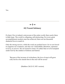# $+ + +$

### **61) Vacant Intimacy**

If where I live is indeed a microcosm of the entire world, then surely there is little hope. The world is collapsing, self-destructing. For every great accomplishment modern man has achieved, there are ten thousand shattered lives to match it.

Only the strong survive, while the weak are pushed lower. So we are forced to suppress our weakness, and also our vulnerability (therefore, openness to love), to survive. We are turned to stone. It's either that or to be trampled under foot by the soldiers of distress and hatred.

"Because of the increase of wickedness, the love of most will grow cold, but he who stands firm to the end will be saved."

(Matthew 24:12-13, NIV version)

Yes.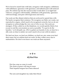We're forced to match hate with hate, arrogance with arrogance, selfishness with selfishness, ignorance with ignorance, and inflicted pain with induced pain. We seldom tap into the resources that would allow us to fight hate with love, arrogance with humility, selfishness with generosity, ignorance with knowledge, and pain with forgiveness and mercy.

Our souls are like distant relatives that are awkward to spend time with. We barely recognize their existence. We recognize our flesh, our wants, our reproductive organs, which need to be recognized correctly; but we do not recognize or acknowledge the very core of who we are. Our souls are strangers. If they called us on the telephone, we would quickly think of an excuse to end the conversation as soon as possible. "I've got to do the laundry," we'd abruptly say. (We've gotten our laundry to do, no time for a silly soul, no time to satisfy our soul's need to be at one with its maker.)

We feed our faces, we feed our children, we feed our cats, some even feed their noses; but we seldom feed our souls. So they wither away due to malnutrition. We don't even know our souls are there anymore.

### $+ + +$

### **62) Red War**

War has come as come it would The choirs of peace will sing no more Their hopeful tongues have been silenced

The sons and daughters lay stake their blood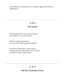The children of foreign lands are amassed against the leader of indignation

# $+ + +$

### **63) Lament**

The strength of our own souls are spent On shadows of our fear's lament

We lie in siege by hesitance We live and breathe beneath its stench

The lovers' hands grow cool to touch As they stare at dreams that cost too much For them to dare to grasp them

# $+ + +$

### **64) The Courtship of Fear**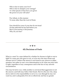Who is fear to tame your love? Who is fear to dampen your outrage? To what species of fear have you given the power of your will unto?

Pay tribute, in this manner To none other than the Lord of Hosts

Fear should be yours if your feet do not tread On the path that he has laid before you But if your journey is his journey Why do you fear?



What is a man? Is a man defined by whether he chooses to fight or not to fight? Is a man one who goes to war, or is he one who stays home and chooses not to? I believe the answer is not found in any answer to either question, but rather in one's own determination to do what one truly feels is right, regardless of any consequence and in the face of any adverse circumstances.

One may be led to war, while another is convinced that aggression is not the answer; and both may follow their hearts. But it is the one who, deep down, feels it is his responsibility to serve in a war (though he may not want to), and is adequately fit to do so effectively and has no greater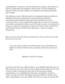responsibilities to attend to, and still refrains from doing so that bends to a spirit of compromise and bargains with his values. He risks bringing on himself, and his soul, the weight of cowardliness and the gnawing of the rats of regret.

His mind may scurry with the velocity of a computer printout machine to defend his decision if confronted. So well oiled are his defensive mechanisms and justification pinwheels that sometimes even he is convinced of his own lies, and that his arguments are valid. Yet even if his own mind is persuaded to believe such self-made excuses, I do not think his being can escape the consequences (unless he comes to terms with his fear and becomes honest with his former dishonesty – there is complete forgiveness).

But if you have not God, then by all means fear. Fear not only for your life, but also for your soul.

"Do not be afraid of those who kill the body but cannot kill the soul. Rather, be afraid of the One who can destroy both soul and body in  $he$ ll $"$ 

(Matthew 10:28, NIV version)

If you have not God, nor a belief in him or of an afterlife, than there may be little reason for you to do what you feel is right and honorable anyway. Life is more a matter of self-preservation and of an amassing of things, acquaintances or accomplishments, that give you pleasure, security or honor, to bring your self to the highest position possible (or maybe to the safest, depending on your personality and what you want). If one feels that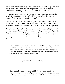life on earth is all there is, why would they risk the only life they have, even if they felt it a just cause, and that the just cause was just enough to constitute the shedding of blood and the casualty of human life?

However, there are many brave men, or seemingly brave men, that claim no allegiance to God. "Warriors of hell," they boast. But what good is bravery if it is married to stupidity or to evil?

There is also the case of a man who supports a war (or anything) that he feels is unjust, only because of his fear of certain people's opinion of him if he decides to refrain from serving the cause. He also commits compromise.

But to the one who has God through Christ, and is convinced by the Spirit of the course that he must follow: Soar on the wings of grace and fight with the power of love. Your destiny is not thrown to the hands of jackals, and your life is not ebbed by the decisions of fools (even if this seems to be). Nothing can touch you, which is not permitted by your heavenly Father to do so.

A thousand may fall at your side, ten thousand at your right hand, but it will not come near you. You will only observe with your eyes and see the punishment of the wicked. If you make the Most High your dwelling–even the LORD, who is my refuge–then no harm will befall you, no disaster will come near your tent.

(Psalms 91:7-10, NIV version)

"Because he loves me," says the LORD, "I will rescue him; I will protect him, for he acknowledges my name. He will call upon me, and I will answer him; I will be with him in trouble, I will deliver him and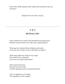honor him. With long life will I satisfy him and show him my salvation."

(Psalms 91:14-16, NIV version)

### $+ + +$

### **66) Weary Lifts**

Their withered eyes peak from beneath the freezing snow Should I not lock mine eyes with such a pitiful glance?

Their age has rendered them helpless and needy Is not my arm worthy as any to aid them in stature?

Their open palms lay claim to my scraps The tassels of my remnants Can I not even spare them these?

Their hearts lie barren Encased by stone walls And the ripping torrents of passed fortunes

Am I so righteous as to forget The emptiness of sin's regret?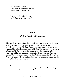Am I so pure that I reject To join them in their soul's lament And tell them of forgiveness?

To lose myself in others' plight Is to find myself amidst the night

 $+ + +$ 

### **67) The Question Considered**

"I live for this," my superintendent friend said to me as he looked through his toolbox for a screwdriver for me to borrow. "Live for what, screwdrivers?" I asked. He didn't bother to answer my silly response, but continued his helpful search to aid me. He didn't have to answer; he lives to help others. He does not consider it a nuisance when someone asks something of him, but rather an opportunity. To the question, "Can you help me?" his automatic response is, "Yes," when mine so often is, "No," or, "Yes, but I've got to do this and this first; can you ask someone else, and if I have to I'll help you tomorrow?"

Do not withhold good from those who deserve it, when it is in your power to act. Do not say to your neighbor, "Come back later; I'll give it tomorrow"–when you now have it with you.

(Proverbs 3:27-28, NIV version)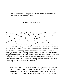"Give to the one who asks you, and do not turn away from the one who wants to borrow from you."

(Matthew 5:42, NIV version)

We miss the core, yes the girth, of living when we consider our own little life's events so high on our list of priorities that it is beyond our capacity to help the needy. Is not to help a reason for living, then should not living be a reason to help? Yes, none other than the fact that you live is reason enough for you to help those who need you – out of thankfulness for your very life. You did nothing to gain life; it is merely a gift. Should one who receives such a gift laugh in scorn when the giver of the gift asks something of the bearer of the gift? It might be true that sometimes, in severe circumstances, it is almost impossible to give – as we're so confused and hurting ourselves. We may need to seek help for ourselves before we have the ability and privilege to help others. To help yourself, or to let God help you, may be the greatest thing that you could do for others and those who love you. For soon you will be able to be a positive factor in their lives, instead of someone whom they love, but are constantly concerned about – and also eventually be able to help others yourself.

"Why do you look at the speck of sawdust in your brother's eye and pay no attention to the plank in your own eye? How can you say to your brother, `Let me take the speck out of your eye,' when all the time there is a plank in your own eye? You hypocrite, first take the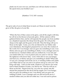plank out of your own eye, and then you will see clearly to remove the speck from your brother's eye."

(Matthew 7:3-5, NIV version)

The giver asks of you to help those in need, as if those in need were the giver of life, the giver of your life.

"When the Son of Man comes in his glory, and all the angels with him, he will sit on his throne in heavenly glory. All the nations will be gathered before him, and he will separate the people one from another as a shepherd separates the sheep from the goats. He will put the sheep on his right and the goats on his left. Then the King will say to those on his right, `Come, you who are blessed by my Father; take your inheritance, the kingdom prepared for you since the creation of the world. For I was hungry and you gave me something to eat, I was thirsty and you gave me something to drink, I was a stranger and you invited me in, I needed clothes and you clothed me, I was sick and you looked after me, I was in prison and you came to visit me.' Then the righteous will answer him, `Lord, when did we see you hungry and feed you, or thirsty and give you something to drink? When did we see you a stranger and invite you in, or needing clothes and clothe you? When did we see you sick or in prison and go to visit you?' The King will reply, `I tell you the truth, whatever you did for one of the least of these brothers of mine, you did for me.' Then he will say to those on his left, `Depart from me, you who are cursed, into the eternal fire prepared for the devil and his angels. For I was hungry and you gave me nothing to eat, I was thirsty and you gave me nothing to drink, I was a stranger and you did not invite me in, I needed clothes and you did not clothe me, I was sick and in prison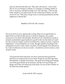and you did not look after me.' They also will answer, `Lord, when did we see you hungry or thirsty or a stranger or needing clothes or sick or in prison, and did not help you?' He will reply, `I tell you the truth, whatever you did not do for one of the least of these, you did not do for me.' Then they will go away to eternal punishment, but the righteous to eternal life."

(Matthew 25:31-46, NIV version)

We are to look at every opportunity to help others as an opportunity to help Christ, as if that needy person is Christ in disguise, not a pesky annoyance to be dealt with abruptly. Should not our schedules be made to include unscheduled opportunities for good? Is this not the believer's task? For his words are empty words if not backed by a spirit of action, a spirit of helpfulness. A loud chatterbox of words, though capable of leading to the redemption of men's souls, made a mockery of and zapped of its full power by a lack of adherence to its own words – revealed by a lack of action, a lack of good works.

"No good tree bears bad fruit, nor does a bad tree bear good fruit. Each tree is recognized by its own fruit. People do not pick figs from thornbushes, or grapes from briers. The good man brings good things out of the good stored up in his heart, and the evil man brings evil things out of the evil stored up in his heart. For out of the overflow of his heart his mouth speaks."

(Luke 6:43-45, NIV version)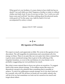What good is it, my brothers, if a man claims to have faith but has no deeds? Can such faith save him? Suppose a brother or sister is without clothes and daily food. If one of you says to him, "Go, I wish you well; keep warm and well fed," but does nothing about his physical needs, what good is it? In the same way, faith by itself, if it is not accompanied by action, is dead.

(James 2:14-17, NIV version)

# $+ + +$

### **68) Agonies of Discontent**

We expect so much, and appreciate so little. We swim in the agonies of our discontent. The self magnifies its misfortunes and concentrates all of its energy on these. There is no pain like our own pain, but when a missed bus is given more emotional energy then is given to the suffering of the forgotten homeless, or even to the real distress of a true friend, we're probably exaggerating our own problems too much.

But what is more natural than to focus our selves on ourselves. To suggest fault in this seems almost strange. To be selfless seems like more of a theoretical concept to be admired then something that is possible to achieve. To strive for selflessness sounds strange, for if you don't look out for yourself, who will? We all have to brush our own teeth, nobody else will do it for us; but sometimes we look out for ourselves too much and forget about others.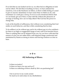If we feel that no one looked out for us, we often feel no obligation to look out for others. We feel that everything we have, we have attained for ourselves, even at the hindrance of others, so there is little feeling of a need to give to anyone. Sometimes we have more than we think we do, and sometimes we could give a freuq. If we're in such emotional distress that we can barely get out of bed, or deal with life without the pleasures of revenge or hurting, how can we help others? But God has the power to change this.

Look at the benefits of selflessness, first without even considering that God smiles on such behavior, and then while considering that he does.

To be selfless is to be without ego; and to be without ego is to be confident – for there is no high or exaggerated image of one's self to be knocked down. There is nothing that can be stripped from you, for you have cultivated the essence of who you are rather than a self-imposed image constructed and maintained by beams as strong as straws and having windows as clear as haze.

# $+ + +$

## **69) Softening of Blows**

Is there no justice? Is there no mercy for one such as I? Is there no softening of blows dealt by life's un-pardoning bat?

I lie in service to my wants unmet So much as to seek solace in my disobedience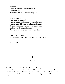In my sin And then am distanced from my Lord And stand alone With my wants, my sins, and my guilt

Lord, restore me Forgive me of my sins! My sins of desperation, and my sins of escape My sins of rebelliousness, and those of neglect Give me patience to wait for your saving grace And not turn from you in disgust Only seconds before your hour of salvation

I am not worthy of you But please look upon me with mercy and then favor

Help me, O Lord!

# ←↑→ **70) Sin**

Possibly the reason that the Christian church, in general, has been unable to adequately deal with and provide a viable option to a life married with sin may be due to its unwillingness to deal honestly with its own bent towards sin, and also to deal compassionately and without judgment of the sins of others.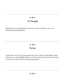# $+ \uparrow \rightarrow$ **71) Thought**

Should our every thought be of our own wants and desires, our own dreaming and nothing else?



I often shy away from writing about love for it's more comfortable to skirt the issue or to only slightly brush on it. But is not love the reason for living, is not to love and to be loved the greatest goals?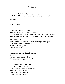### **73) Torture**

Lock me in the torture chamber of your love I will sink with you to the most ugly corners of your soul

and smile

"Is that all?" I'll say

I'll hold hands with your anger And blow kisses at your stubbornness You can show me the knife that you had planned to kill me with And show me the bed where you slept with the football team

for \$2.50 a piece I will not turn away and hide my face from you in disgust I will thank you for your honesty My love is not stopped For I see you in me

Let us ride in the car of death together If we must Let your hand reach to kill us both The car will swerve, but not my love

Your ugliness is not ugly to me Your venom is not deadly I long to see you see yourself as beautiful And long to see you free I will go with you anywhere My love it will not leave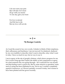I do not want your pain But will take it if I must I'll go with you insane To one day gain your trust

For love is eternal And life has to die But my love will not die

### $+ + +$

### **74) Benign Contrite**

As I read the sound of my own words, I shutter to think of their emptiness, their callousness and harshness. I am not moved; I'm shattered, shattered by my own inability to describe what I want to describe, relay what I want to relay. I have so much to say, but no way to say it.

I am in agony at the site of people's distress, which shows progress for me. For it wasn't long ago that I hadn't the ability to feel compassion or agony for what someone else was going through – all I could feel for was myself, and that feeling wasn't a good one. But by some miracle or operation, some seed of caring has been implanted in me. Not to say I couldn't completely squelch it tomorrow, or I haven't partially covered it today, but it seems to have been planted and has grown recently.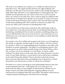The souls of our children are at stake, as we whittle our effectiveness to help them away. The angels and the demons may fight endlessly and tirelessly over the fate of our loved ones, while we idly fumble through our futile daily tasks and hurry to our appointments of meaninglessness. Our children are dying before our eyes, and we have not a word to console them, nor a tissue to dry their tears. How could we help our children if the reason they're so freuqed up is greatly our own fault? To reach out and try to heal would mean having to come to terms with what ails them; and this would mean admitting fault. Who could be so honest as to admit: The reason my child is lost is because of something that I did?

So you will always see that same unresolved, fake, half-happy smile on your child's face. Unresolved, because there is something underneath left smoldering, something felt but not always spoken, something eating away at your child that they may not even be aware of, every time they see you. All because of you, the parent, because of your inability to admit fault and seek forgiveness.

No wonder we're all so selfish and arrogant, look at how we're brought up. The family is a big joke, and the laugh is on the children. We have to fend for ourselves. There is no understanding hand of guidance, but rather cold aloofness or posed congeniality. The father is an endangered species. Has anyone grown up with a father actually living in the house? Please, call in. Oh, you have; was he an alcoholic or a wife beater, or maybe a child molester? For these seem to be the only ones who stick around for over five years. If your father did leave, was he thrown out or did he have rambling on his mind? Freuq the children! They're all pains in the butt anyway. They're just the latest link in the snowballing cycle of depravity, of which the parents were the previous victims. So whom do you blame?

We think we've come so freuqing far with relationships between man and woman (husband and wife – yeah right), but we've only gone, not backwards but rather, to new heights of futile behavior. Women are no longer women, but rather drill sergeants, nagging endlessly at every innocent error in judgment that their man makes. She thinks of him more as a stupid dog than anything else, and treats him accordingly.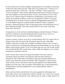It's less strenuous to endure military training than it is to endure a road trip to the next state with your girl. "Why did you go that way?" "I told you we should of gone left." "Pull over." "Do this." "Do that." "Don't touch me." "You're so stupid." These are the affirmations that many of today's men are left with. Respect is reserved for those we fear, not for those we love. But what is love without respect? Politeness, thankfulness, graciousness and charm are lavished on those we have yet conquered, or those we can get something from. To those who have already pledged their eternal love to us, why bother being nice to these pitiful creatures? They're claimed territory, chartered ground. They're annoying mutts who hold their love in their drooling mouths. Don't they realize that no one wants what they know they can have?

Compassion is a lost art form; understanding is a buried treasure. Patience has been withdrawn from the dictionary due to lack of use. Love is a misused word; mutual abuse is a better description.

Control, control, control, we're all so worried about who's in control. We've all got to have the last word; the last punch must be ours. Like little children who have so little real, in-depth confidence that we have to rip it out for ourselves by winning petty disputes and demanding our way on the silliest, most minute points. As if, if we didn't get our way, the world would end and World War III would ensue, when really the dispute is over which restaurant to pull into and eat.

Some women don't want to be equal, but rather to be boss, and are extremely annoyed if their sovereign law that has been uttered is disobeyed. The wrath that is incurred on that poor dog that disobeys is surely worse than the wrath of Godzilla with a hangover, woken up too early to film a scene. Her horns come up and appear on her head; smoke gushes out of her ears. Her eyes glare with intense fury as she pronounces condemnation and then judgment on your insubordinate crimes of disobedience.

After you have been convicted on all counts against her (the judge and jury), then comes your sentencing, which is usually very severe as to ensure that next time she will get her way without any ifs, ands, or butts about it. If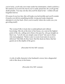you're lucky, you'll only serve time under her domination, which could be a life sentence if you let it be; but if you've really pissed her off, you'll get the death penalty. You may not die, but you'll be dead to her – written off and forgotten forever.

Of course if you love her, this will make you feel terrible and you'll wonder if maybe you did do something terribly wrong and make desperate attempts to win her back. (Now you're exactly where she wants you, you groveling mutt!)

The woman Folly is loud; she is undisciplined and without knowledge. She sits at the door of her house, on a seat at the highest point of the city, calling out to those who pass by, who go straight on their way. "Let all who are simple come in here!" she says to those who lack judgment. "Stolen water is sweet; food eaten in secret is delicious!" But little do they know that the dead are there, that her guests are in the depths of the grave.

(Proverbs 9:13-18, NIV version)

A wife of noble character is her husband's crown, but a disgraceful wife is like decay in his bones.

(Proverbs 12:4, NIV version)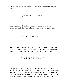Better to live in a desert than with a quarrelsome and ill-tempered wife.

(Proverbs 21:19, NIV version)

A quarrelsome wife is like a constant dripping on a rainy day; restraining her is like restraining the wind or grasping oil with the hand.

(Proverbs 27:15-16, NIV version)

A wife of noble character who can find? She is worth far more than rubies. Her husband has full confidence in her and lacks nothing of value. She brings him good, not harm, all the days of her life.

(Proverbs 31:10-12, NIV version)

She opens her arms to the poor and extends her hands to the needy. When it snows, she has no fear for her household; for all of them are clothed in scarlet. She makes coverings for her bed; she is clothed in fine linen and purple. Her husband is respected at the city gate, where he takes his seat among the elders of the land. She makes linen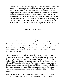garments and sells them, and supplies the merchants with sashes. She is clothed with strength and dignity; she can laugh at the days to come. She speaks with wisdom, and faithful instruction is on her tongue. She watches over the affairs of her household and does not eat the bread of idleness. Her children arise and call her blessed; her husband also, and he praises her: "Many women do noble things, but you surpass them all." Charm is deceptive, and beauty is fleeting; but a woman who fears the LORD is to be praised. Give her the reward she has earned, and let her works bring her praise at the city gate.

(Proverbs 31:20-31, NIV version)

There's nothing wrong with a woman having strength or confidence, there is nothing wrong with a woman who wants fair treatment, but why can't these traits be manifest in a calm (dare I say, even, quiet – sometimes) spirit, rather than in an impatient rage? Why is "leaving power" more practiced then "staying power?" Why is forgiveness so far out of reach? Why is perfection required in an imperfect and unbalanced bond? This seems impossible to achieve.

Why can't these women with such incredible strength transform this strength as to strengthen their men as well as keeping, even increasing, their own strength? It is possible. Why can't they breathe life into their walking dead men instead of sucking out what's left of their dwindling existence? Women have this power. To hurt or to heal is their choice, to destroy or to create, to make their man feel like a woman or make him feel like a man, a servant or a hero. [This sentence in no way indicates that women are servants and men are heroes; it's just what flew out of my mouth.]

A man is not necessarily born with confidence or strength, but rather acquires it through outside (or inside, therefore spiritual) circumstances. If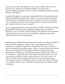you treat your man with respect, he may come to respect himself. If you give him love, he may love himself someday. If you give him understanding and patience, he may come to understand himself and have patience with others.

Instead of honing in on your man's insecurities like a laser guided missile, and exploiting them until he's left a failure or a broken spirited, defeated, lifeless wimp (or a callused man, made a foreigner to his own emotions), why not fill his insecurities with loving assurance and see him transform into someone that even you can respect?

I'm not suggesting that the woman becomes a mindless adoration machine, hysterically praising her man's slightest passing of gas, nor that she becomes an excess of flesh without opinion, only speaking when spoken to, and that she kisses her man's butt in a pathetic, spineless manner, but rather that she loves and respects him.

But the men are often the reason that women are the way they are. Men can often be either: a spineless, wishy-washy, uncourageous, devoid of confidence, incapable of leadership, whimpering, lazy loser, or they're a phony silhouette of masculine repose. Actors, so unsure and worried about their own masculinity (and sexuality) that they (having not the inner strength and confidence to risk looking sensitive, therefore less manly or even feminine – they think, but if done right makes them look even more masculine) overdo their leader, strong, hardened roles and become, not men, but rather dolls, modeling their false bravado and performing as many manly-maneuvers (things that phony, macho men will do, like fight over nothing, yell at a cat, or walk like a robot) as the day will allow them to perform.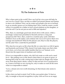## **75) The Endeavors of Pain**

Why is there pain in the world? How can God let a two-year-old baby be run over by a truck? How can this so-called God permit disease and famine to starve our children? How can he create such people who are so inclined to go on murder sprees as if on fishing trips? How could he create a world where it is possible for a father to force sexual relations on his daughter, or even his son? Can he not put an end to filth and injustice?

Why, then, is a seemingly good man struck down with cancer, while a seemingly wicked man permitted to flourish and have a long and prosperous life? How, then, could two countries play cards with their children's lives as the stakes, and continue into war as if to prove their own courage and manhood? What do the players care; they're only the players, not the ante? How could this be permitted?

Why does he even give us life when the life we come into is so full of agony and heartache and torture? Why doesn't God make damn sure that when we're born, we're born into stable families that love us? Instead, we're thrust into the supervision of madmen and witches.

If love is so impossible to attain, why did God create us with such a need for it – like putting cows in the desert where there is no grass to graze, or bearing fish in the air with a string tied to their tails (to dangle only inches away from their heart's desire, water)? Is this not how love is portrayed to us, a tease of all that we are craving for, only to make us want all the more what is so impossible to attain?

"Love, a dream not even worth dreaming, for that dream only seems to crush us."

Is this what you had in mind, God? Is this your perfect plan: To beat us silly, to mangle us beyond recognition, to play with our lives as an angry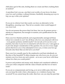child plays god of the ants, feeding them ice cream and then crushing them at random?

A merciless God, you say, one that is not worthy of your favor, let alone your love and worship; a callused dictator, fiendishly dreaming up ways to trip you up, is this your opinion?

If you are to criticize God, then surely you have an alternative to his thoughtless, uncaring ways. Then let us consider what would happen if you were God.

You do not possess the power that God does, but you do possess power – minute in comparison, but enough to examine your qualifications for the job of God.

Does your love blanket perfectly and unquestionably amongst all those whose love extends to you? Are all those who love you returned with love – even greater portions, tenfold maybe? I do not ask yet if you love your enemies, but only if your love is returned to all who love you. I ask again as to provoke deeper consideration of the question. Do you love every single person that loves you or has attempted to love you, or does your love go towards only those that you feel serve you best?

Does your love casually pass by the unattractive and beat relentlessly on the door of the beautiful? If others despise one who loves you, do you not restrain your love from one such outcast – as to save your favor with those whose love that you would prefer?

Is power and position and money truly disdain and considered rubbish in your eyes when compared with the value of hearts and the love of men's souls?

If you are so compassionate and loving, as to never inflict pain, then how can you keep the order when a discrepancy or a violation of peace has occurred? If you cannot keep the order, then how can you stop the pain that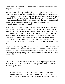results from disorder and lack of adherence to the laws created to maintain the peace and order?

If you are now willing to distribute discipline to those under your supervision and rule, what measuring device will you use to measure out your wrath as to ensure peace? How are you sure that the measure you use is precisely the measure needed to bring about justice and is not an unfair or sadistic punishment? Or is your measure too light, and your authority is laughed at as to promote future disturbances of the peace that you so boastfully claim the ability to parent?

Now if some under your domination agree with your measure, and some feel that your measure was too severe, if some feel that no measure was necessary at all, and some feel that your measure was too light, to which group of individuals, so privileged to be under your command, do you bend or adhere to: To those who agree with you, as to maintain their allegiance, or to those who oppose you, as to gain their future approval? Do you bend to those who love you, or do you give ear to those whom you love? Do you consider their influence and power, or do you consider their number?

Do you not consider any of them, or do you consider all of them and have a personal one-on-one, heart-to-heart talk with every single person in your kingdom, and hold their hands and explain in extreme detail your every reasoning, your every thought and justification for every move that you've ever made?

We want God to sit down with us and show us everything and all the reasons behind all the mysteries. For some mysterious reason, God leaves many things a mystery.

When I was a child, I talked like a child, I thought like a child, I reasoned like a child. When I became a man, I put childish ways behind me. Now we see but a poor reflection as in a mirror; then we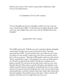shall see face to face. Now I know in part; then I shall know fully, even as I am fully known.

(1 Corinthians 13:11-12, NIV version)

"For my thoughts are not your thoughts, neither are your ways my ways," declares the LORD. "As the heavens are higher than the earth, so are my ways higher than your ways and my thoughts than your thoughts."

(Isaiah 55:8-9, NIV version)

The LORD said to Job: "Will the one who contends with the Almighty correct him? Let him who accuses God answer him!" Then Job answered the LORD: "I am unworthy–how can I reply to you? I put my hand over my mouth. I spoke once, but I have no answer–twice, but I will say no more." Then the LORD spoke to Job out of the storm: "Brace yourself like a man; I will question you, and you shall answer me. Would you discredit my justice? Would you condemn me to justify yourself? Do you have an arm like God's, and can your voice thunder like his? Then adorn yourself with glory and splendor, and clothe yourself in honor and majesty. Unleash the fury of your wrath, look at every proud man and bring him low, look at every proud man and humble him, crush the wicked where they stand. Bury them all in the dust together; shroud their faces in the grave. Then I myself will admit to you that your own right hand can save you."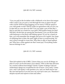#### (Job 40:1-14, NIV version)

"Can you pull in the leviathan with a fishhook or tie down his tongue with a rope? Can you put a cord through his nose or pierce his jaw with a hook? Will he keep begging you for mercy? Will he speak to you with gentle words? Will he make an agreement with you for you to take him as your slave for life? Can you make a pet of him like a bird or put him on a leash for your girls? Will traders barter for him? Will they divide him up among the merchants? Can you fill his hide with harpoons or his head with fishing spears? If you lay a hand on him, you will remember the struggle and never do it again! Any hope of subduing him is false; the mere sight of him is overpowering. No one is fierce enough to rouse him. Who then is able to stand against me? Who has a claim against me that I must pay? Everything under heaven belongs to me."

(Job 41:1-11, NIV version)

Then Job replied to the LORD: "I know that you can do all things; no plan of yours can be thwarted. [You asked,] `Who is this that obscures my counsel without knowledge?' Surely I spoke of things I did not understand, things too wonderful for me to know. [You said,] `Listen now, and I will speak; I will question you, and you shall answer me.' My ears had heard of you but now my eyes have seen you. Therefore I despise myself and repent in dust and ashes."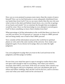How can we even pretend to possess more mercy than the creator of mercy himself? How can we feel that justice is more adequately distributed from our hands than from God's? Can we see more clearly than the one who sees what is done in the dark and behind closed doors, yes, even the on goings of our hearts and minds? Yet we entertain the thought that our judgment would be wiser. Have we the knowledge to even attempt to second-guess God? Is there something we know that is hidden from him?

What percentage of all the information in the world that there is to know do you feel you know? Is it 10 percent or 1 percent, or closer to .00001 percent and not being totally sure of half of that .00001 percent?

Now consider all the information not just in the world but in spiritual planes as well, and to the outer reaches of the universe. Now make your judgment again. If you choose not to judge, then you make the right judgment.

Use your judgment to judge that you trust in the Lord and trust in his judgment, and then judge no further.

Do not close your mind but open it; open it enough to realize that it does not open wide enough to take in everything. And when your mind is uncertain, then follow your heart. If the facts are unclear, then consult your soul. If the figures add up to emptiness, and your calculations pile up to refuse and hollow nothings, then ask the Lord for his love, and to convince your soul what your mind could not be convinced of.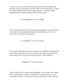I came to you in weakness and fear, and with much trembling. My message and my preaching were not with wise and persuasive words, but with a demonstration of the Spirit's power, so that your faith might not rest on men's wisdom, but on God's power.

(1 Corinthians 2:3-5, NIV version)

For since in the wisdom of God the world through its wisdom did not know him, God was pleased through the foolishness of what was preached to save those who believe.

(1 Corinthians 1:21, NIV version)

"Ask and it will be given to you; seek and you will find; knock and the door will be opened to you. For everyone who asks receives; he who seeks finds; and to him who knocks, the door will be opened."

(Matthew 7:7-8, NIV version)

"Those whom I love I rebuke and discipline. So be earnest, and repent. Here I am! I stand at the door and knock. If anyone hears my voice and opens the door, I will come in and eat with him, and he with me."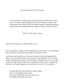(Revelation 3:19-20, NIV version)

"For God did not send his Son into the world to condemn the world, but to save the world through him. Whoever believes in him is not condemned, but whoever does not believe stands condemned already because he has not believed in the name of God's one and only Son."

(John 3:17-18, NIV version)

Ask God to forgive your sins and take you in.

You're a hopeless refugee of life, longing for life, true life. You've stumbled like a drunk to many doors searching for the answer to life.

You've knocked on the door of power and were eventually permitted to enter. You rose to the top and were respected and honored. This was okay while it lasted, but you had not yet been given the gift of love, so your rule became secretly hated. Those you so ordered around in such an unloving manner soon banned against you and knocked you off of your throne.

It seems that the man with razor sharp tongue Grows in strength and in power The people offended may soon ban as one His reign will quickly turn sour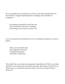So you stumbled over to the door of not love, but what seemed like love. You fell into a religion that blanketed everything with a blanket of acceptance.

Everything is beautiful, and all are one One is beautiful, and all is everything Everything is one, and so on and so on

Love was posed but not practiced. Love was imitated, and peace was love's theme.

There were no harsh rules Nor judgments incurred Tranquil and passive And truth a white blur

This white blur, you found, encompassed contradictions: If this is my truth, and that is your truth, and one refutes the other, than what is truth? Do we all have our own separate universes where each of our chosen truths is observed?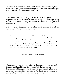Confusion set in your brain. "Maybe truth isn't so simple," you thought to yourself. Until you got so frustrated in trying to solve what is truth that you decided that it is a futile exercise to even bother.

So you knocked on the door of ignorance: the door of thoughtless unspiritual life, a door of existence but not of living... a door of vague being but not one of defined and tangible presence, a mellifluous drifting towards unclear goals.

Until you realized that you are not an animal... that you cannot live only on: food, shelter, clothing, sex and money alone...

Remember how the LORD your God led you all the way in the desert these forty years, to humble you and to test you in order to know what was in your heart, whether or not you would keep his commands. He humbled you, causing you to hunger and then feeding you with manna, which neither you nor your fathers had known, to teach you that man does not live on bread alone but on every word that comes from the mouth of the LORD.

(Deuteronomy 8:2-3, NIV version)

...that you may be married but not in love, that you may be in a crowded shopping mall but still alone, that you may be living but a better description would be dying – slowly, every day, till your life grinds to an uneventful conclusion. That conclusion is: That in all your life, you never learned to live, but only did what came easiest to you.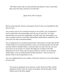"The thief comes only to steal and kill and destroy; I have come that they may have life, and have it to the full."

(John 10:10, NIV Version)

But by some miracle, and by some great work of God, you stumbled to the door of God.

You weren't sure if you wanted to knock or not at first, you wondered if God would steal your personality and rob you of your fun. You later learned that you were not completely yourself, and your personality was only accepted with love and thus it flourished under these conditions, and your fun was only increased tenfold.

You wondered if you would be turned into some kind of a freak, like all the weirdo believers you had met before. Later, you found out that not all who say they believe actually believe, and also that you and God are you and God and you do not have to mimic the behavior of others who link themselves to God. There may be many believers whom you do admire, while others, you are embarrassed by their presence – but you have to decide what is more important to you.

Are you embarrassed of your maker, of the one who loves you to the depth of your soul?

"If anyone is ashamed of me and my words, the Son of Man will be ashamed of him when he comes in his glory and in the glory of the Father and of the holy angels."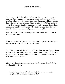Are you so worried what others think of you that you would turn your head and close your eyes and block your ears to truth and love? Is the kingdom of heaven such a meaningless place that you would pass it up for those who care nothing for you and their opinion of you? If anyone loves you, truly loves you, their love is not shed so easily – and for those whose love is, then their love was weak or false. Better to understand the true character of those who surround you as soon as possible.

Again I shudder to think of the emptiness of my words. I fall so short in words of what I feel.

All these words and all your uncertainties, all your questions and all your doubts may be moments from being dealt with.

For if I did not put stake in the Spirit of God and the love that is given from his bosom, then I would rest my case on other points – like the fulfillment of prophecy, or the wonder of nature and the complexities that could not have happened by chance.

If I did not believe that a man must be spiritually reborn through Christ and the Spirit of God...

In reply Jesus declared, "I tell you the truth, no one can see the kingdom of God unless he is born again."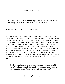#### (John 3:3, NIV version)

...then I would make greater effort to emphasize the discrepancies between all other religions, or belief systems, and the one I speak of.

If God is not alive, then my argument is dead.

For if you earnestly and honestly ask nothingness to come into your heart and lead your life in the position of God, if you accept the air as your savior and ask the mist to cover your sins and to bring you forgiveness, if you ask emptiness to fill you with love and a black void to heal you from hate and anger, if you beg with tears of longing to a painting or a religious concept for the gift of everlasting life, to be with God and with loved ones in paradise, to finally know true satisfaction and to save you from the fires of hell, if you scream a horrendous scream and beat on the door and call out for love and meaning and truth and an answer to this tormented and torturous life to an impersonal white blob that has not the capacity to know and love you personally, even as a friend, even closer than your closest friend...

"I no longer call you servants, because a servant does not know his master's business. Instead, I have called you friends, for everything that I learned from my Father I have made known to you."

(John 15:15, NIV version)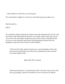...I don't think it would do you much good.

If it could, then I might try to fool you into believing some other way.

But the truth is...

HE IS.

If you believe, believe that Jesus Christ is the only begotten Son of God, and lay claim to the blood that he shed for you on the cross as the only way to cover your sins and obtain forgiveness, lay claim to this work that he did for you as your salvation and means of being granted eternal life and happiness, and ask God to fill you with his Spirit...

"I tell you the truth, whoever hears my word and believes him who sent me has eternal life and will not be condemned; he has crossed over from death to life."

(John 5:24, NIV version)

Then Jesus declared, "I am the bread of life. He who comes to me will never go hungry, and he who believes in me will never be thirsty."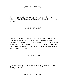"For my Father's will is that everyone who looks to the Son and believes in him shall have eternal life, and I will raise him up at the last day."

(John 6:40, NIV version)

Then Jesus told them, "You are going to have the light just a little while longer. Walk while you have the light, before darkness overtakes you. The man who walks in the dark does not know where he is going. Put your trust in the light while you have it, so that you may become sons of light." When he had finished speaking, Jesus left and hid himself from them.

(John 12:35-36, NIV version)

Ignoring what they said, Jesus told the synagogue ruler, "Don't be afraid; just believe."

(Mark 5:36, NIV version)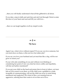...then you will finally understand what all this gibberish is all about.

If you take a step in faith and seek him and ask God through Christ to enter the door of your heart and soul and fill you with love...

...then we can laugh together at all my stupid words.

 $+ + +$ 

### **76) Save**

Again I say, what is love without respect? If you say you love someone, but you look down on them, is this not love but rather pity?

If you say you love your husband and yet treat him like a dog, will he not grow to resent you?

If your wife asks something of you and without even thinking or considering her point of view you shut her down coldly and impolitely, will she not harbor resentment?

If you pat your child on the head and praise him in front of others, yet treat him as if he weren't even there, as if the child were a goldfish in a tank, incapable of communicating, will not the child run away to resist being smothered and neglected? He's kind of like a cat running from an aggressive, adoring bear that wants to sit on him out of love.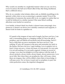Why would you smother in a neglectful manner what you say you love, even if it annoys the hell out of them? [But if they like being smothered, that's a different story.]

Why do we consider what irritates others only as childish mumblings to be ignored, while what we see as annoying is a greater matter? Even if the exasperation of someone else seems silly to us, we neglect to realize that we would be bothered in a similar manner if the same blood curdling affections were hurled on ourselves.

Love builds, it doesn't bind; love heals, it doesn't tease annoyingly; love preserves, it doesn't cut down; love carefully constructs and supports, it doesn't look for holes to capitalize on.

If I speak in the tongues of men and of angels, but have not love, I am only a resounding gong or a clanging cymbal. If I have the gift of prophecy and can fathom all mysteries and all knowledge, and if I have a faith that can move mountains, but have not love, I am nothing. If I give all I possess to the poor and surrender my body to the flames, but have not love, I gain nothing. Love is patient, love is kind. It does not envy, it does not boast, it is not proud. It is not rude, it is not self-seeking, it is not easily angered, it keeps no record of wrongs. Love does not delight in evil but rejoices with the truth. It always protects, always trusts, always hopes, always perseveres. Love never fails. But where there are prophecies, they will cease; where there are tongues, they will be stilled; where there is knowledge, it will pass away. For we know in part and we prophesy in part, but when perfection comes, the imperfect disappears.

(1 Corinthians 13:1-10, NIV version)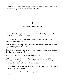Should love be always imposing or aggressive, or shouldn't it sometimes seek common ground on which to grow together?

# $+ + +$

## **77) Wants and Desires**

Does God care? Are your needs and wants considered by him as only selfish, childlike desires to be ignored?

Does the Lord not care if you want to be a fireman or a fisherman, a beautician or a bouncer?

Is his desire for you only to see you do what he wants you to do without any attention paid to your wants?

Does he go so far as to force us to do what we don't want to do and not to do what we do want to do?

Are sacrifice and sufferings his only offering to us?

Is his path a long tedious path of giving up everything and stifling our natural indwelt longings, one of convincing our selves every day that we really don't want those things that our heart cries out for?

Does he drown our personal wishes and block out any prayer that asks for an individual need to be met?

Does he not want to hear about whom you love and whom you want to marry?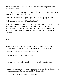Are your prayers for a child to him but the pathetic whimpering of an undisciplined disciple?

Are we not to want? Are our wills shriveled up and thrown away when we come to the service of the Almighty?

Is denial our inheritance; is prolonged torture our only expectation?

Shall we sing dirges, and celebrate loneliness?

Shall we withdraw from living and walk quietly down the dark corridors of separation, quietly and mournfully walking to our graves – and tip motionlessly into an even greater abyss, falling into a cold afterlife of boring, stagnant existence, prolonged and dragged out to the ends of eternity?

#### NO!

If God asks anything of you, it's only because he wants to give it back to you one hundredfold (or that what he asks is truly for your benefit).

He wants to increase your joy, not diminish it.

He wants to free you, not enslave you.

He wants your leaping love, and not your begrudging resignation.

He does not desire to see your face robbed of all expression, and to see your wants as unmet as a broken winged bird's desire to fly.

He does not take pleasure in your hardships.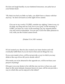He does not laugh hardily at your shattered innocence, nor poke fun at your broken heart.

"Oh, that's too bad you little cry baby, you didn't have a chance with her anyway," he does not taunt us at the sight of love unmet.

Give ear to my words, O LORD, consider my sighing. Listen to my cry for help, my King and my God, for to you I pray. In the morning, O LORD, you hear my voice; in the morning I lay my requests before you and wait in expectation. You are not a God who takes pleasure in evil; with you the wicked cannot dwell.

(Psalms 5:1-4, NIV version)

If God created you, then he also created your inner desires and will eventually fulfill them if you do trust in him and do things his way.

If you were made to love, will he not provide a way in which you may drink of the cup of love till you're drunk with it?

If he made you to be attracted to the opposite sex, will he not hear your prayers of joining?

If he gave you your desire to lie with the one you love, to have sex, and share in this most intimate closeness known to man, will he not provide a way in which this can be enjoyed to the fullest?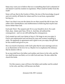Satan may want you to believe that sex is something that God is ashamed of and doesn't want his creation to experience. What could be further from the truth?

Some will say that in the Garden of Eden, the tree of the knowledge of good and evil, strictly off limits for Adam and Eve to eat from, represented having sex.

Dare I say that it was not the desire for sex that caused the fall of man, but rather man's disobedience and stubbornness in believing that maybe man knows better than God.

God said: Don't. The serpent said: It's to your benefit to do it. Eve said: Duh, okay. Adam said: Sure, I'll try it. And they all suffered the consequences – and we are still suffering the consequences.

God created sex and your desire to have it. He longs to see you enjoy it. God is not embarrassed and red-faced by men and women wrestling in unity. He applauds in agreement and is glad to see you enjoy this gift that he has created and given to you.

Sex is so much in harmony with God's plan that he uses marriage and sex as an illustration of his love for us. Maybe it is to emphasize the intimacy that he desires with us.

So as man shall leave his father and mother and cleave to his wife, and the two shall become one flesh, so it is with God and man. He also called the church his bride.

For this reason a man will leave his father and mother and be united to his wife, and they will become one flesh.

(Genesis 2:24, NIV version)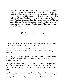Then I heard what sounded like a great multitude, like the roar of rushing waters and like loud peals of thunder, shouting: "Hallelujah! For our Lord God Almighty reigns. Let us rejoice and be glad and give him glory! For the wedding of the Lamb has come, and his bride has made herself ready. Fine linen, bright and clean, was given her to wear." (Fine linen stands for the righteous acts of the saints.) Then the angel said to me, "Write: `Blessed are those who are invited to the wedding supper of the Lamb!'" And he added, "These are the true words of God."

(Revelation 19:6-9, NIV version)

God even gives us tips on how to enjoy sex to the fullest. Such tips, though, are often ignored – no, not ignored, but mocked.

Heaps of laughter is shoveled on those tips or rules till they are buried. We are afraid to even mention these tips or regulations for fear of being ridiculed.

"For better or for worse, till death do us part," and to not commit adultery we agree before God. We take a freuqing oath and then piss on the wedding documents.

What good is our word? It is as meaningless as an infant's burping and belching. It is as stable and trustworthy as that of a fly's obedience. Who can predict where the fly will go next? Who can call to it and trust it will come?

Marriage is a game we like to play. We'll play house until we don't want to anymore. We'll toast our broken vows and smile in self-satisfaction. We'll just say, "He (or she) didn't please me anymore." Even his (or her) next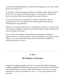victim of shortsighted affection will grin a knowing grin, as if to say, "That's great, now destroy me."

It's just like a salmon infatuated with his own death, which likes himself as much as an ice sculpture likes the jungle, or a deer fancies a shotgun. (I know they die to breed or something, but you get the idea.)

Do we hate ourselves so much that we look for misfortune, that we consider sorrow our only friend? Are self-destruction and outward destruction our only pastime?

What are we trying to attain? Do we feel that the more lives we destroy, the more points we'll gain to raise the score high enough to enter into the great torture chamber in the sky?

Do we strive after disaster and pestilence so much that we desire an afterlife where even sharper stripes of pain are lashed on our backs, a place where we are rewarded with being made that much more skillful in inflicting wounds on others?

## $+ + +$

### **78) Children of Derision**

Laughing, laughing, laughing, all I hear is incessant mindless laughing, laughing, laughing. What the freuq is so funny? I wish someone would tell me what the freuq is so funny. Is life that beautiful or are we so far from reality that we grin, our stupid lives, away – or am I just a gloomy bumcrevasse?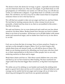The desire to hurt, the desire for revenge, is great – especially towards those you love that have hurt you. They are our targets. To get them back we will get pregnant; we will destroy our rooms; we will run away; we will slit our wrists; we will become a disgrace. To get them back we will kill, as if to kill them. We will throw our lives away for no other reason than to exasperate someone whom we love who has hurt us.

We will find new people to take out our anger and hurt on, and hurt them. We feel that by hurting someone else for what a former loved one (or presently, a hated one) has done to us, that we are justified in this action – that this is fair play.

We seek and destroy; for we were destroyed and could not care less about ourselves, let alone others. Broken hearts have become our food; to shatter them is our form of recreation. All because we're all little babies with unmet needs and unresolved anger, and no matter how hard we try to rise above it, we fail.

God, save us from the fate of revenge. Save us from ourselves. Forgive us and give us the strength to forgive others. For if we don't forgive and release them from our eternal wrath, we will still be slaves to them. We think we are freeing ourselves by offending our loved ones who have hurt us, or their representatives in the form of other people, but we are only enslaving ourselves to them and to anger.

Break these chains and free us. Take these scared children into your arms and heal us, for we have found no other healing. We have nurtured our anger until it has become bigger than ourselves, so big that it encompasses us.

We strike out as if in striking we are healed; and maybe the striking feels good, so good, but it does not free us if it controls us. Stalwart behavior and courage can be useful; but let not anger and revenge rob us of what we're deserving and designed for (and from our greatest potential).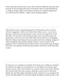If love and hate stood up eye-to-eye, hate could be melted by the pain. Dear God, let us not let anger take away from the joy that you had intended for us. Help us forgive others and forgive ourselves, for without forgiveness we will always be children – angry, mean, hurting children.

The time has come to stop playing games. The time has come to reckon with your aggressor. There are no days left to throw away – every one is precious. Tomorrow may be eternity, and to waste one could be to waste the other. Do not dance with what persuades you; do not flirt with your destruction. Come on over to the other side and sit with me. I feel happier than the richest, most honored men on earth, and I have nothing. Imagine if I had something; I'd probably explode with joy. I feel as steady as the passing of days, while the enemy shoots arrows at me all day long. Imagine if his fury was silenced; I'd become peace itself. And I know both will come to pass.

So what are you: A believer in Christ? And what am I: A believer in Christ? So what are we: Believers in Christ? Yes, we are believers in Christ. Then what is our law: The word of God? Yes, our law is the word of God. What is the word of God? How do we know what the word of God is: The Holy Spirit? Yes, the Holy Spirit, the Spirit of truth. And how do we interpret the word: The Holy Spirit? Yes, the Holy Spirit, the Spirit of truth and the word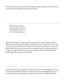of God. How do we receive the Holy Spirit: By believing in Christ? Yes, we receive the Holy Spirit by believing in Christ.

She'll freuq with you Just to bring you down She'll bring you down Just to freuq with you

Women don't want to marry men anymore; they want to marry control. They want control as their lifelong companion. But control can't very well love you back or listen to you when you need an ear to bend. Nor can you hold control in your arms and feel its warm embrace. Is control so dear to us that we will run from love for fear of losing control? [What if God in control is better than you in control?]

Is not the mind the passageway to the soul? Are not our thoughts our lives? If we feed our minds with the word of God and are constantly in prayer, a constant state of communication with our Lord, if our ambitions are the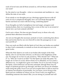souls of loved ones and all those around us, will not these actions benefit our souls?

So, the mind or our thoughts – what we concentrate and meditate on – may define the state of our souls.

If our minds or our thoughts put up a blockage against heaven with all sorts of evil or complacent thoughts, how can God break through this barrier and feed our souls with his loving, comforting Spirit?

If our thoughts are full of unrighteous lust and anger, arrogance and maniacal plans, then we, in passing, kiss a cross on the way to an errand of deceit, how can God contend with this?

God is not a whore. He does not give himself away to those who only pretend their affections towards him.

Are not our thoughts the necessary prelude to God's comforting that allows him and invites him by our own freewill to enter the passageway to our soul and fill us?

Once our souls are filled with the Spirit of God, then our bodies are enabled to obey God's commands, to restrain us from sin and empower us to do good works.

When the Holy Spirit is at work in our bodies (the temple of the Holy Spirit), who we are becomes obvious, as obvious as the brightness of the sun. No longer do we have to ask ourselves, "Who should I be?" "What am I?" or, "Who do I want to act like?" For the Spirit can make this plain. No longer do we have to worry about whom we've offended, or if we acted a different way, we might have gone over better. For if we are truly living in the Spirit, correct behavior can become automatic (though there may be stages of spiritual growth to go through, and there can always be mistakes made along the path). Even if you are not accepted there is still no need for an intense reevaluation of personality, for you know you're living in the Spirit and are confident of whom you are. Even if who you might be is something someone else doesn't like, you are strong in yourself and will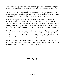accept them if they accept you and even accept them if they don't; but you do not need to bend to them and how you think they think you should be.

We no longer need to drastically change our entire personalities after every movie we see, as we imitate each new actor that overtakes the screen with a vengeance. Christ is our number one movie star and no one else.

He is our example. We will never become Christ and we are not to be pawns, but if we strive to achieve his outlook on life and to imitate his actions, it will lead us to the greatest place that our individual personalities could possibly end up. We will then all still end up individuals and with differences, but only interesting differences and not disunifying differences.

We will all end up ourselves and unique, but our natural selves combined with the striving to be Christ like, by the power of the Holy Spirit, will result in the greatest potential that we could possibly attain, fulfilled. And with the Spirit, this, yes even this, becomes possible.

But staying close to the Spirit of God is sometimes difficult. To rely on the Spirit, when the world offers so many options and alternatives to rely on, is the difficult part. But nothing is so sweet, as the Lord.

T.O.I.

 $+$  1  $+$